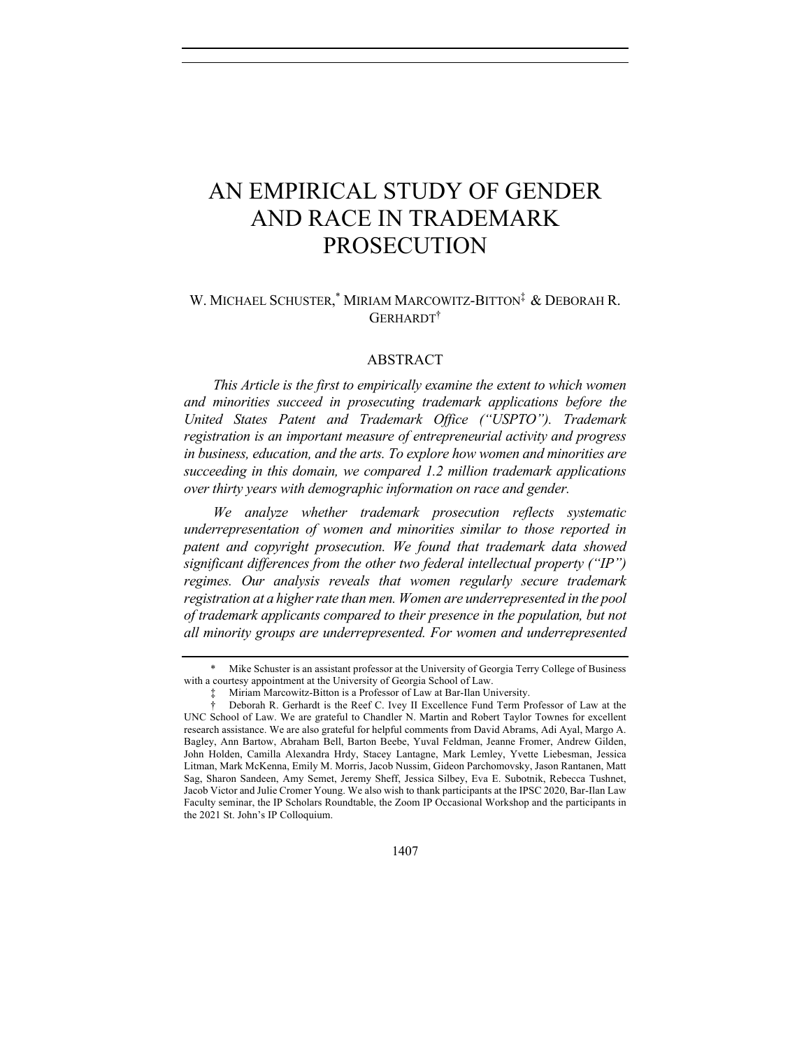# AN EMPIRICAL STUDY OF GENDER AND RACE IN TRADEMARK PROSECUTION

# W. MICHAEL SCHUSTER, \* MIRIAM MARCOWITZ-BITTON‡ & DEBORAH R. GERHARDT†

## **ABSTRACT**

*This Article is the first to empirically examine the extent to which women and minorities succeed in prosecuting trademark applications before the United States Patent and Trademark Office ("USPTO"). Trademark registration is an important measure of entrepreneurial activity and progress in business, education, and the arts. To explore how women and minorities are succeeding in this domain, we compared 1.2 million trademark applications over thirty years with demographic information on race and gender.*

*We analyze whether trademark prosecution reflects systematic underrepresentation of women and minorities similar to those reported in patent and copyright prosecution. We found that trademark data showed significant differences from the other two federal intellectual property ("IP") regimes. Our analysis reveals that women regularly secure trademark registration at a higher rate than men. Women are underrepresented in the pool of trademark applicants compared to their presence in the population, but not all minority groups are underrepresented. For women and underrepresented* 

<sup>\*</sup> Mike Schuster is an assistant professor at the University of Georgia Terry College of Business with a courtesy appointment at the University of Georgia School of Law.

<sup>‡</sup> Miriam Marcowitz-Bitton is a Professor of Law at Bar-Ilan University.

<sup>†</sup> Deborah R. Gerhardt is the Reef C. Ivey II Excellence Fund Term Professor of Law at the UNC School of Law. We are grateful to Chandler N. Martin and Robert Taylor Townes for excellent research assistance. We are also grateful for helpful comments from David Abrams, Adi Ayal, Margo A. Bagley, Ann Bartow, Abraham Bell, Barton Beebe, Yuval Feldman, Jeanne Fromer, Andrew Gilden, John Holden, Camilla Alexandra Hrdy, Stacey Lantagne, Mark Lemley, Yvette Liebesman, Jessica Litman, Mark McKenna, Emily M. Morris, Jacob Nussim, Gideon Parchomovsky, Jason Rantanen, Matt Sag, Sharon Sandeen, Amy Semet, Jeremy Sheff, Jessica Silbey, Eva E. Subotnik, Rebecca Tushnet, Jacob Victor and Julie Cromer Young. We also wish to thank participants at the IPSC 2020, Bar-Ilan Law Faculty seminar, the IP Scholars Roundtable, the Zoom IP Occasional Workshop and the participants in the 2021 St. John's IP Colloquium.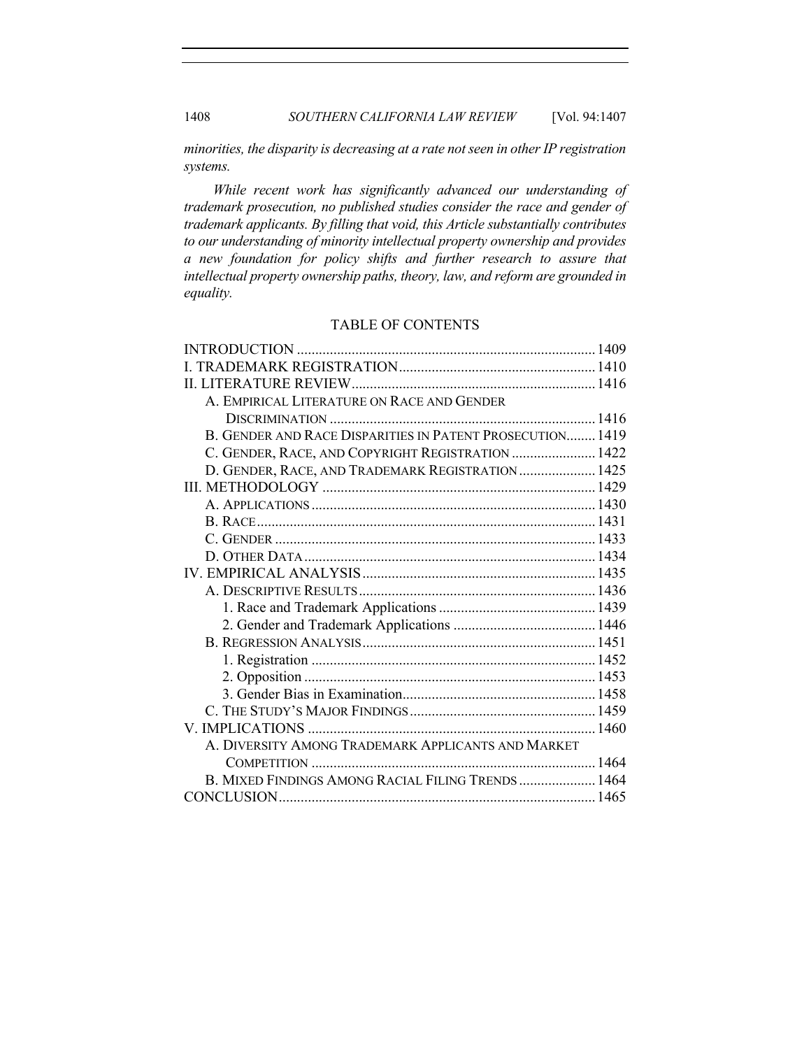1408 *SOUTHERN CALIFORNIA LAW REVIEW* [Vol. 94:1407

*minorities, the disparity is decreasing at a rate not seen in other IP registration systems.*

*While recent work has significantly advanced our understanding of trademark prosecution, no published studies consider the race and gender of trademark applicants. By filling that void, this Article substantially contributes to our understanding of minority intellectual property ownership and provides a new foundation for policy shifts and further research to assure that intellectual property ownership paths, theory, law, and reform are grounded in equality.*

# TABLE OF CONTENTS

| A. EMPIRICAL LITERATURE ON RACE AND GENDER                |  |
|-----------------------------------------------------------|--|
|                                                           |  |
| B. GENDER AND RACE DISPARITIES IN PATENT PROSECUTION 1419 |  |
| C. GENDER, RACE, AND COPYRIGHT REGISTRATION  1422         |  |
| D. GENDER, RACE, AND TRADEMARK REGISTRATION 1425          |  |
|                                                           |  |
|                                                           |  |
|                                                           |  |
|                                                           |  |
|                                                           |  |
|                                                           |  |
|                                                           |  |
|                                                           |  |
|                                                           |  |
|                                                           |  |
|                                                           |  |
|                                                           |  |
|                                                           |  |
|                                                           |  |
|                                                           |  |
| A. DIVERSITY AMONG TRADEMARK APPLICANTS AND MARKET        |  |
|                                                           |  |
| B. MIXED FINDINGS AMONG RACIAL FILING TRENDS 1464         |  |
|                                                           |  |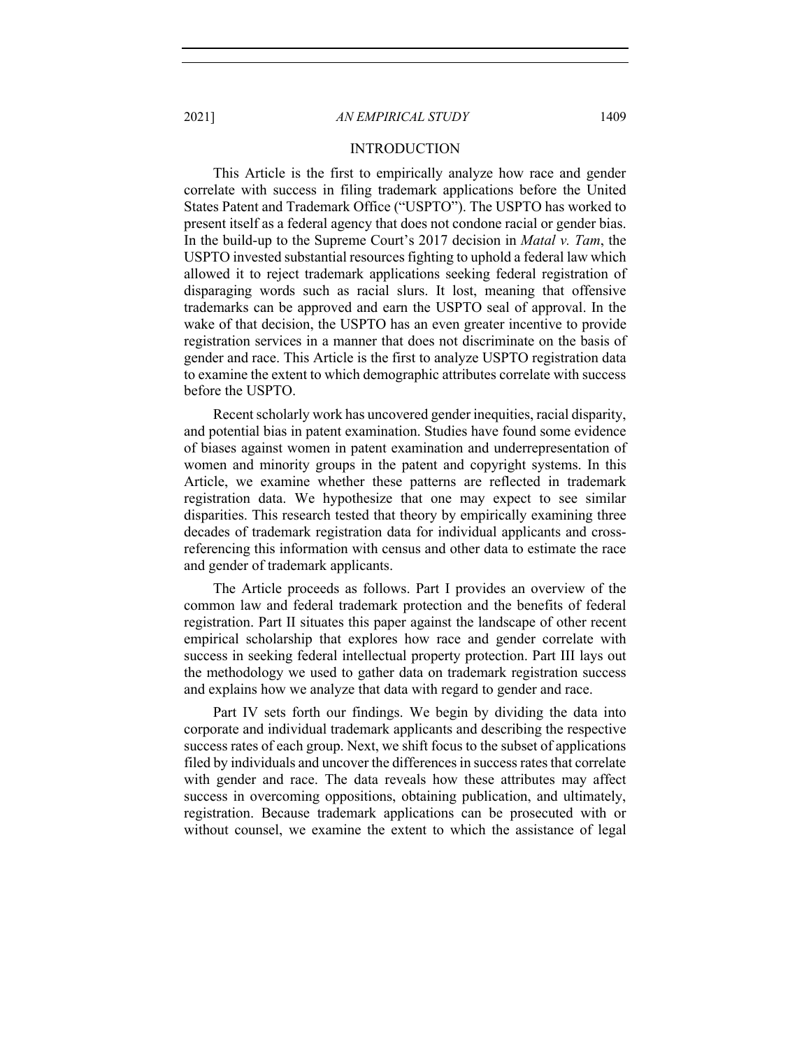#### INTRODUCTION

This Article is the first to empirically analyze how race and gender correlate with success in filing trademark applications before the United States Patent and Trademark Office ("USPTO"). The USPTO has worked to present itself as a federal agency that does not condone racial or gender bias. In the build-up to the Supreme Court's 2017 decision in *Matal v. Tam*, the USPTO invested substantial resources fighting to uphold a federal law which allowed it to reject trademark applications seeking federal registration of disparaging words such as racial slurs. It lost, meaning that offensive trademarks can be approved and earn the USPTO seal of approval. In the wake of that decision, the USPTO has an even greater incentive to provide registration services in a manner that does not discriminate on the basis of gender and race. This Article is the first to analyze USPTO registration data to examine the extent to which demographic attributes correlate with success before the USPTO.

Recent scholarly work has uncovered gender inequities, racial disparity, and potential bias in patent examination. Studies have found some evidence of biases against women in patent examination and underrepresentation of women and minority groups in the patent and copyright systems. In this Article, we examine whether these patterns are reflected in trademark registration data. We hypothesize that one may expect to see similar disparities. This research tested that theory by empirically examining three decades of trademark registration data for individual applicants and crossreferencing this information with census and other data to estimate the race and gender of trademark applicants.

The Article proceeds as follows. Part I provides an overview of the common law and federal trademark protection and the benefits of federal registration. Part II situates this paper against the landscape of other recent empirical scholarship that explores how race and gender correlate with success in seeking federal intellectual property protection. Part III lays out the methodology we used to gather data on trademark registration success and explains how we analyze that data with regard to gender and race.

Part IV sets forth our findings. We begin by dividing the data into corporate and individual trademark applicants and describing the respective success rates of each group. Next, we shift focus to the subset of applications filed by individuals and uncover the differences in success rates that correlate with gender and race. The data reveals how these attributes may affect success in overcoming oppositions, obtaining publication, and ultimately, registration. Because trademark applications can be prosecuted with or without counsel, we examine the extent to which the assistance of legal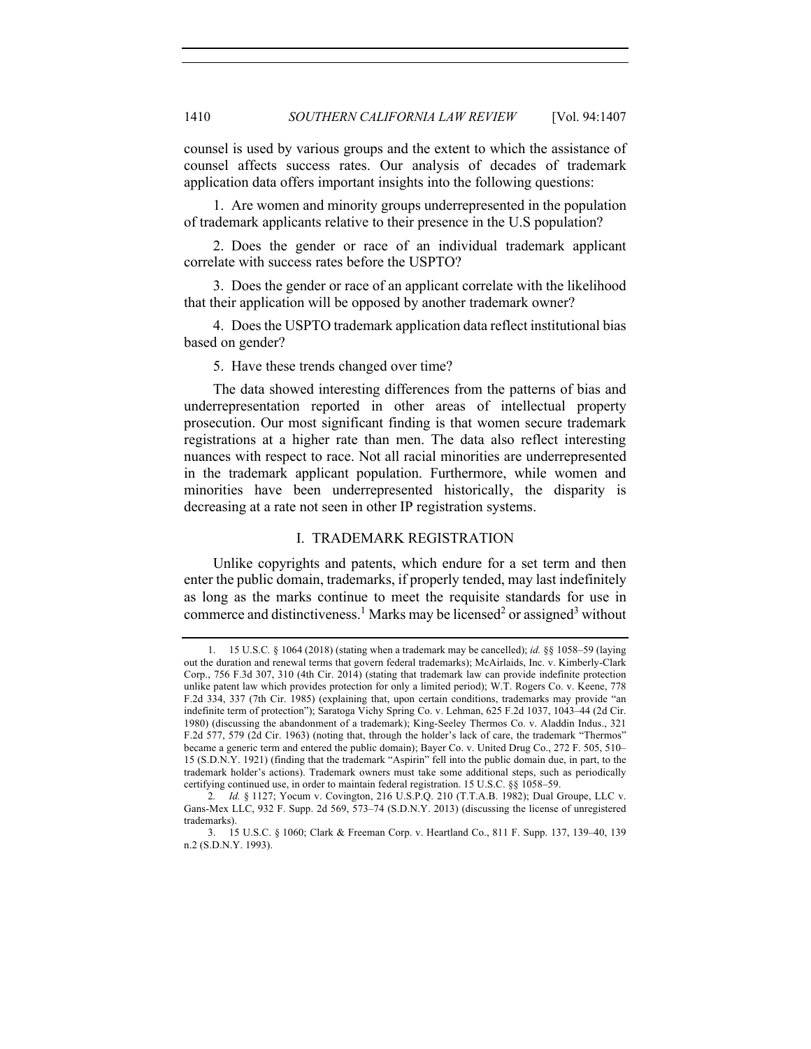counsel is used by various groups and the extent to which the assistance of counsel affects success rates. Our analysis of decades of trademark application data offers important insights into the following questions:

1. Are women and minority groups underrepresented in the population of trademark applicants relative to their presence in the U.S population?

2. Does the gender or race of an individual trademark applicant correlate with success rates before the USPTO?

3. Does the gender or race of an applicant correlate with the likelihood that their application will be opposed by another trademark owner?

4. Does the USPTO trademark application data reflect institutional bias based on gender?

5. Have these trends changed over time?

The data showed interesting differences from the patterns of bias and underrepresentation reported in other areas of intellectual property prosecution. Our most significant finding is that women secure trademark registrations at a higher rate than men. The data also reflect interesting nuances with respect to race. Not all racial minorities are underrepresented in the trademark applicant population. Furthermore, while women and minorities have been underrepresented historically, the disparity is decreasing at a rate not seen in other IP registration systems.

# I. TRADEMARK REGISTRATION

Unlike copyrights and patents, which endure for a set term and then enter the public domain, trademarks, if properly tended, may last indefinitely as long as the marks continue to meet the requisite standards for use in commerce and distinctiveness.<sup>1</sup> Marks may be licensed<sup>2</sup> or assigned<sup>3</sup> without

<sup>1.</sup> 15 U.S.C*.* § 1064 (2018) (stating when a trademark may be cancelled); *id.* §§ 1058–59 (laying out the duration and renewal terms that govern federal trademarks); McAirlaids, Inc. v. Kimberly-Clark Corp., 756 F.3d 307, 310 (4th Cir. 2014) (stating that trademark law can provide indefinite protection unlike patent law which provides protection for only a limited period); W.T. Rogers Co. v. Keene, 778 F.2d 334, 337 (7th Cir. 1985) (explaining that, upon certain conditions, trademarks may provide "an indefinite term of protection"); Saratoga Vichy Spring Co. v. Lehman, 625 F.2d 1037, 1043–44 (2d Cir. 1980) (discussing the abandonment of a trademark); King-Seeley Thermos Co. v. Aladdin Indus., 321 F.2d 577, 579 (2d Cir. 1963) (noting that, through the holder's lack of care, the trademark "Thermos" became a generic term and entered the public domain); Bayer Co. v. United Drug Co., 272 F. 505, 510– 15 (S.D.N.Y. 1921) (finding that the trademark "Aspirin" fell into the public domain due, in part, to the trademark holder's actions). Trademark owners must take some additional steps, such as periodically certifying continued use, in order to maintain federal registration. 15 U.S.C. §§ 1058–59.

<sup>2</sup>*. Id.* § 1127; Yocum v. Covington, 216 U.S.P.Q. 210 (T.T.A.B. 1982); Dual Groupe, LLC v. Gans-Mex LLC, 932 F. Supp. 2d 569, 573–74 (S.D.N.Y. 2013) (discussing the license of unregistered trademarks).

<sup>3.</sup> 15 U.S.C. § 1060; Clark & Freeman Corp. v. Heartland Co., 811 F. Supp. 137, 139–40, 139 n.2 (S.D.N.Y. 1993).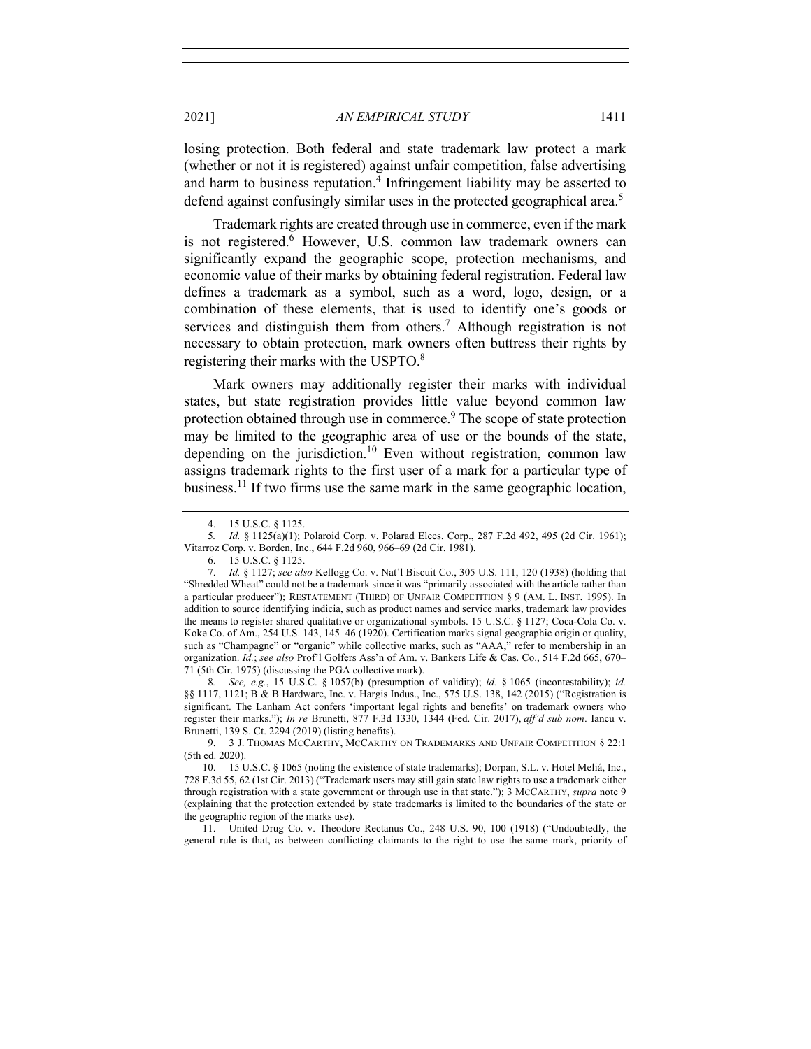losing protection. Both federal and state trademark law protect a mark (whether or not it is registered) against unfair competition, false advertising and harm to business reputation.<sup>4</sup> Infringement liability may be asserted to defend against confusingly similar uses in the protected geographical area.<sup>5</sup>

Trademark rights are created through use in commerce, even if the mark is not registered.<sup>6</sup> However, U.S. common law trademark owners can significantly expand the geographic scope, protection mechanisms, and economic value of their marks by obtaining federal registration. Federal law defines a trademark as a symbol, such as a word, logo, design, or a combination of these elements, that is used to identify one's goods or services and distinguish them from others.<sup>7</sup> Although registration is not necessary to obtain protection, mark owners often buttress their rights by registering their marks with the USPTO.<sup>8</sup>

Mark owners may additionally register their marks with individual states, but state registration provides little value beyond common law protection obtained through use in commerce.<sup>9</sup> The scope of state protection may be limited to the geographic area of use or the bounds of the state, depending on the jurisdiction.<sup>10</sup> Even without registration, common law assigns trademark rights to the first user of a mark for a particular type of business.<sup>11</sup> If two firms use the same mark in the same geographic location,

8*. See, e.g.*, 15 U.S.C. § 1057(b) (presumption of validity); *id.* § 1065 (incontestability); *id.*  §§ 1117, 1121; B & B Hardware, Inc. v. Hargis Indus., Inc., 575 U.S. 138, 142 (2015) ("Registration is significant. The Lanham Act confers 'important legal rights and benefits' on trademark owners who register their marks."); *In re* Brunetti, 877 F.3d 1330, 1344 (Fed. Cir. 2017), *aff'd sub nom*. Iancu v. Brunetti, 139 S. Ct. 2294 (2019) (listing benefits).

11. United Drug Co. v. Theodore Rectanus Co., 248 U.S. 90, 100 (1918) ("Undoubtedly, the general rule is that, as between conflicting claimants to the right to use the same mark, priority of

<sup>4.</sup> 15 U.S.C. § 1125.

<sup>5</sup>*. Id.* § 1125(a)(1); Polaroid Corp. v. Polarad Elecs. Corp., 287 F.2d 492, 495 (2d Cir. 1961); Vitarroz Corp. v. Borden, Inc., 644 F.2d 960, 966–69 (2d Cir. 1981).

<sup>6.</sup> 15 U.S.C. § 1125.

<sup>7.</sup> *Id.* § 1127; *see also* Kellogg Co. v. Nat'l Biscuit Co., 305 U.S. 111, 120 (1938) (holding that "Shredded Wheat" could not be a trademark since it was "primarily associated with the article rather than a particular producer"); RESTATEMENT (THIRD) OF UNFAIR COMPETITION § 9 (AM. L. INST. 1995). In addition to source identifying indicia, such as product names and service marks, trademark law provides the means to register shared qualitative or organizational symbols. 15 U.S.C. § 1127; Coca-Cola Co. v. Koke Co. of Am., 254 U.S. 143, 145–46 (1920). Certification marks signal geographic origin or quality, such as "Champagne" or "organic" while collective marks, such as "AAA," refer to membership in an organization. *Id.*; *see also* Prof'l Golfers Ass'n of Am. v. Bankers Life & Cas. Co., 514 F.2d 665, 670– 71 (5th Cir. 1975) (discussing the PGA collective mark).

<sup>9.</sup> 3 J. THOMAS MCCARTHY, MCCARTHY ON TRADEMARKS AND UNFAIR COMPETITION § 22:1 (5th ed. 2020).

<sup>10.</sup> 15 U.S.C. § 1065 (noting the existence of state trademarks); Dorpan, S.L. v. Hotel Meliá, Inc., 728 F.3d 55, 62 (1st Cir. 2013) ("Trademark users may still gain state law rights to use a trademark either through registration with a state government or through use in that state."); 3 MCCARTHY, *supra* note 9 (explaining that the protection extended by state trademarks is limited to the boundaries of the state or the geographic region of the marks use).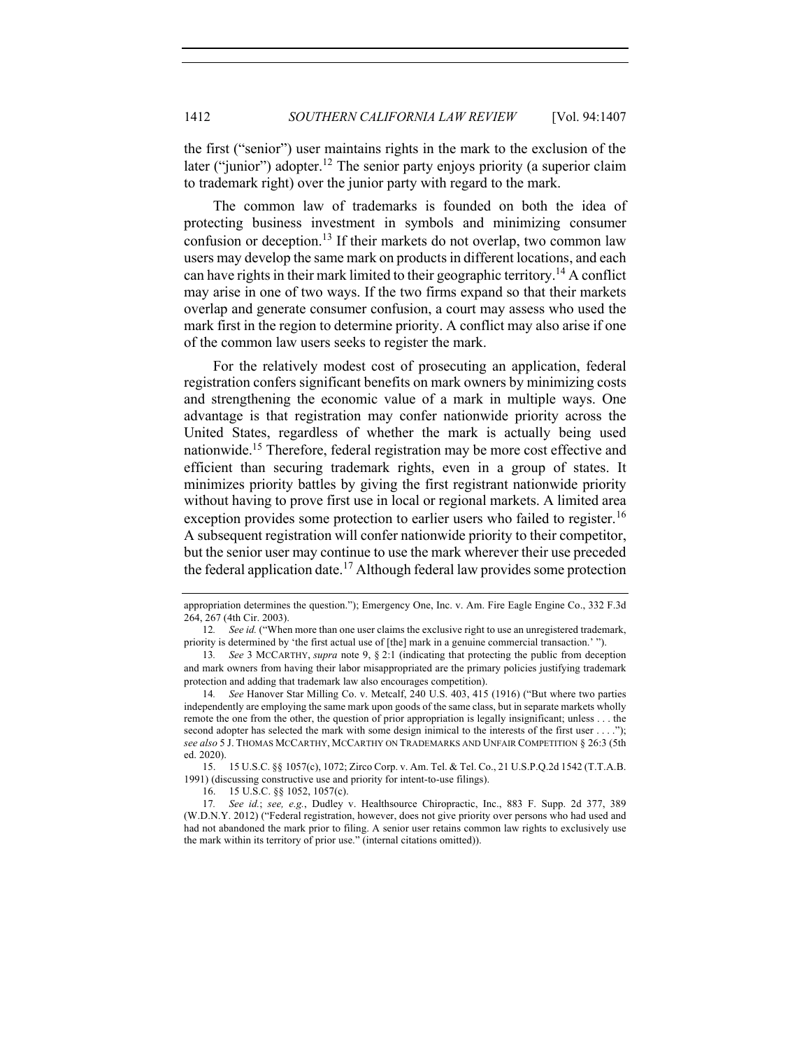the first ("senior") user maintains rights in the mark to the exclusion of the later ("junior") adopter.<sup>12</sup> The senior party enjoys priority (a superior claim to trademark right) over the junior party with regard to the mark.

The common law of trademarks is founded on both the idea of protecting business investment in symbols and minimizing consumer confusion or deception.<sup>13</sup> If their markets do not overlap, two common law users may develop the same mark on products in different locations, and each can have rights in their mark limited to their geographic territory.<sup>14</sup> A conflict may arise in one of two ways. If the two firms expand so that their markets overlap and generate consumer confusion, a court may assess who used the mark first in the region to determine priority. A conflict may also arise if one of the common law users seeks to register the mark.

For the relatively modest cost of prosecuting an application, federal registration confers significant benefits on mark owners by minimizing costs and strengthening the economic value of a mark in multiple ways. One advantage is that registration may confer nationwide priority across the United States, regardless of whether the mark is actually being used nationwide.<sup>15</sup> Therefore, federal registration may be more cost effective and efficient than securing trademark rights, even in a group of states. It minimizes priority battles by giving the first registrant nationwide priority without having to prove first use in local or regional markets. A limited area exception provides some protection to earlier users who failed to register.<sup>16</sup> A subsequent registration will confer nationwide priority to their competitor, but the senior user may continue to use the mark wherever their use preceded the federal application date.<sup>17</sup> Although federal law provides some protection

appropriation determines the question."); Emergency One, Inc. v. Am. Fire Eagle Engine Co., 332 F.3d 264, 267 (4th Cir. 2003).

<sup>12</sup>*. See id.* ("When more than one user claims the exclusive right to use an unregistered trademark, priority is determined by 'the first actual use of [the] mark in a genuine commercial transaction.' ").

<sup>13</sup>*. See* 3 MCCARTHY, *supra* note 9, § 2:1 (indicating that protecting the public from deception and mark owners from having their labor misappropriated are the primary policies justifying trademark protection and adding that trademark law also encourages competition).

<sup>14</sup>*. See* Hanover Star Milling Co. v. Metcalf, 240 U.S. 403, 415 (1916) ("But where two parties independently are employing the same mark upon goods of the same class, but in separate markets wholly remote the one from the other, the question of prior appropriation is legally insignificant; unless . . . the second adopter has selected the mark with some design inimical to the interests of the first user . . . ."); *see also* 5 J. THOMAS MCCARTHY, MCCARTHY ON TRADEMARKS AND UNFAIR COMPETITION § 26:3 (5th ed. 2020).

<sup>15.</sup> 15 U.S.C. §§ 1057(c), 1072; Zirco Corp. v. Am. Tel. & Tel. Co., 21 U.S.P.Q.2d 1542 (T.T.A.B. 1991) (discussing constructive use and priority for intent-to-use filings).

<sup>16.</sup> 15 U.S.C. §§ 1052, 1057(c).

<sup>17</sup>*. See id.*; *see, e.g.*, Dudley v. Healthsource Chiropractic, Inc., 883 F. Supp. 2d 377, 389 (W.D.N.Y. 2012) ("Federal registration, however, does not give priority over persons who had used and had not abandoned the mark prior to filing. A senior user retains common law rights to exclusively use the mark within its territory of prior use." (internal citations omitted)).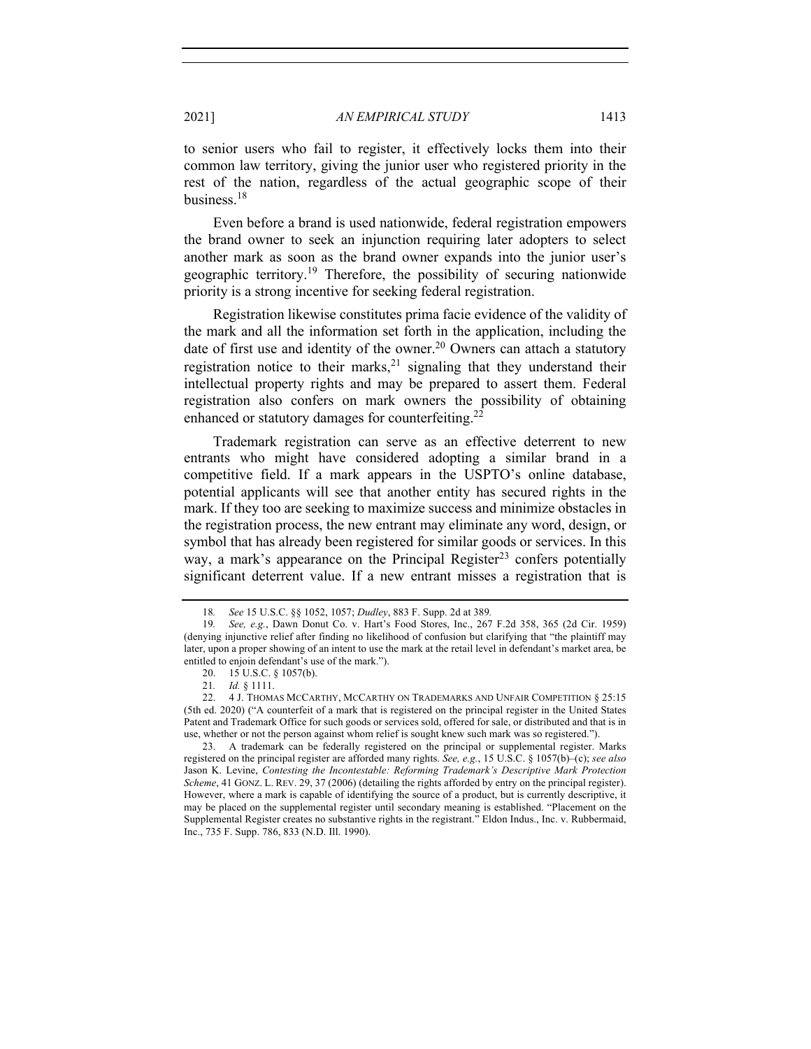to senior users who fail to register, it effectively locks them into their common law territory, giving the junior user who registered priority in the rest of the nation, regardless of the actual geographic scope of their business.<sup>18</sup>

Even before a brand is used nationwide, federal registration empowers the brand owner to seek an injunction requiring later adopters to select another mark as soon as the brand owner expands into the junior user's geographic territory.<sup>19</sup> Therefore, the possibility of securing nationwide priority is a strong incentive for seeking federal registration.

Registration likewise constitutes prima facie evidence of the validity of the mark and all the information set forth in the application, including the date of first use and identity of the owner.<sup>20</sup> Owners can attach a statutory registration notice to their marks,  $21$  signaling that they understand their intellectual property rights and may be prepared to assert them. Federal registration also confers on mark owners the possibility of obtaining enhanced or statutory damages for counterfeiting.<sup>22</sup>

Trademark registration can serve as an effective deterrent to new entrants who might have considered adopting a similar brand in a competitive field. If a mark appears in the USPTO's online database, potential applicants will see that another entity has secured rights in the mark. If they too are seeking to maximize success and minimize obstacles in the registration process, the new entrant may eliminate any word, design, or symbol that has already been registered for similar goods or services. In this way, a mark's appearance on the Principal Register<sup>23</sup> confers potentially significant deterrent value. If a new entrant misses a registration that is

<sup>18</sup>*. See* 15 U.S.C. §§ 1052, 1057; *Dudley*, 883 F. Supp. 2d at 389*.*

<sup>19</sup>*. See, e.g.*, Dawn Donut Co. v. Hart's Food Stores, Inc., 267 F.2d 358, 365 (2d Cir. 1959) (denying injunctive relief after finding no likelihood of confusion but clarifying that "the plaintiff may later, upon a proper showing of an intent to use the mark at the retail level in defendant's market area, be entitled to enjoin defendant's use of the mark.").

<sup>20.</sup> 15 U.S.C. § 1057(b).

<sup>21</sup>*. Id.* § 1111.

<sup>22.</sup> 4 J. THOMAS MCCARTHY, MCCARTHY ON TRADEMARKS AND UNFAIR COMPETITION § 25:15 (5th ed. 2020) ("A counterfeit of a mark that is registered on the principal register in the United States Patent and Trademark Office for such goods or services sold, offered for sale, or distributed and that is in use, whether or not the person against whom relief is sought knew such mark was so registered.").

<sup>23.</sup> A trademark can be federally registered on the principal or supplemental register. Marks registered on the principal register are afforded many rights. *See, e.g.*, 15 U.S.C. § 1057(b)–(c); *see also*  Jason K. Levine, *Contesting the Incontestable: Reforming Trademark's Descriptive Mark Protection Scheme*, 41 GONZ. L. REV. 29, 37 (2006) (detailing the rights afforded by entry on the principal register). However, where a mark is capable of identifying the source of a product, but is currently descriptive, it may be placed on the supplemental register until secondary meaning is established. "Placement on the Supplemental Register creates no substantive rights in the registrant." Eldon Indus., Inc. v. Rubbermaid, Inc., 735 F. Supp. 786, 833 (N.D. Ill. 1990).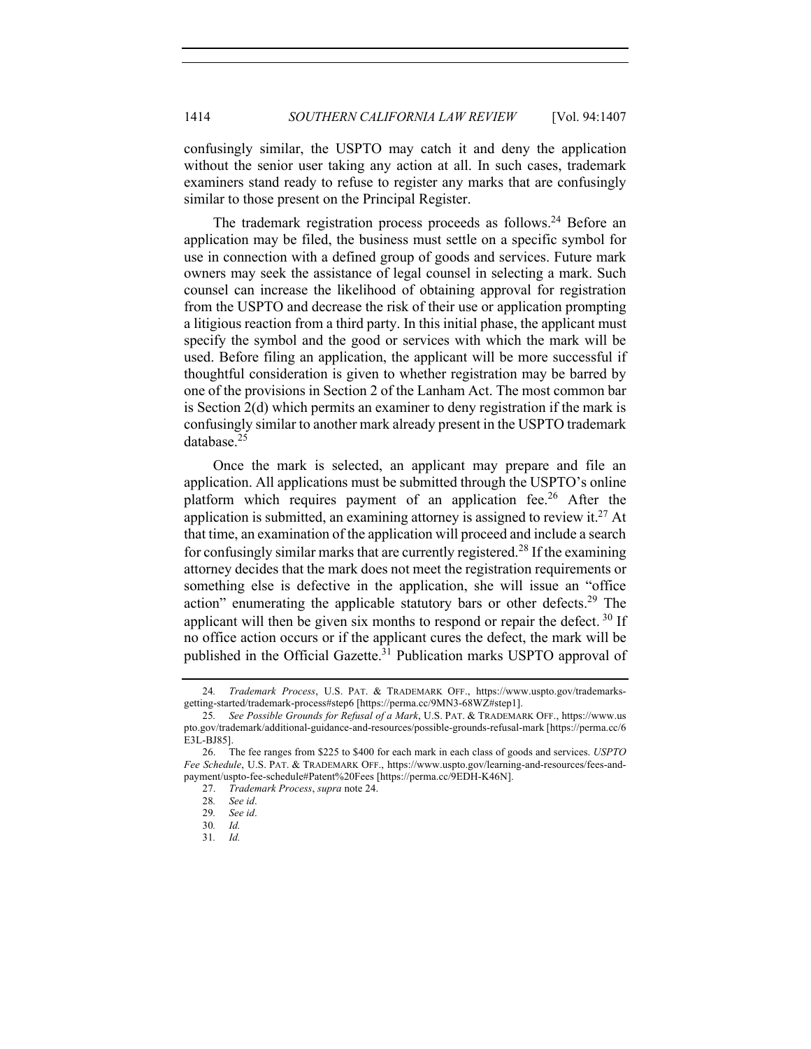confusingly similar, the USPTO may catch it and deny the application without the senior user taking any action at all. In such cases, trademark examiners stand ready to refuse to register any marks that are confusingly similar to those present on the Principal Register.

The trademark registration process proceeds as follows.<sup>24</sup> Before an application may be filed, the business must settle on a specific symbol for use in connection with a defined group of goods and services. Future mark owners may seek the assistance of legal counsel in selecting a mark. Such counsel can increase the likelihood of obtaining approval for registration from the USPTO and decrease the risk of their use or application prompting a litigious reaction from a third party. In this initial phase, the applicant must specify the symbol and the good or services with which the mark will be used. Before filing an application, the applicant will be more successful if thoughtful consideration is given to whether registration may be barred by one of the provisions in Section 2 of the Lanham Act. The most common bar is Section 2(d) which permits an examiner to deny registration if the mark is confusingly similar to another mark already present in the USPTO trademark database.25

Once the mark is selected, an applicant may prepare and file an application. All applications must be submitted through the USPTO's online platform which requires payment of an application fee.<sup>26</sup> After the application is submitted, an examining attorney is assigned to review it.<sup>27</sup> At that time, an examination of the application will proceed and include a search for confusingly similar marks that are currently registered.<sup>28</sup> If the examining attorney decides that the mark does not meet the registration requirements or something else is defective in the application, she will issue an "office action" enumerating the applicable statutory bars or other defects.<sup>29</sup> The applicant will then be given six months to respond or repair the defect.<sup>30</sup> If no office action occurs or if the applicant cures the defect, the mark will be published in the Official Gazette.<sup>31</sup> Publication marks USPTO approval of

<sup>24</sup>*. Trademark Process*, U.S. PAT. & TRADEMARK OFF., https://www.uspto.gov/trademarksgetting-started/trademark-process#step6 [https://perma.cc/9MN3-68WZ#step1].

<sup>25</sup>*. See Possible Grounds for Refusal of a Mark*, U.S. PAT. & TRADEMARK OFF., https://www.us pto.gov/trademark/additional-guidance-and-resources/possible-grounds-refusal-mark [https://perma.cc/6 E3L-BJ85].

<sup>26.</sup> The fee ranges from \$225 to \$400 for each mark in each class of goods and services. *USPTO Fee Schedule*, U.S. PAT. & TRADEMARK OFF., https://www.uspto.gov/learning-and-resources/fees-andpayment/uspto-fee-schedule#Patent%20Fees [https://perma.cc/9EDH-K46N].

<sup>27.</sup> *Trademark Process*, *supra* note 24.

<sup>28</sup>*. See id*.

<sup>29</sup>*. See id*.

<sup>30</sup>*. Id.*

<sup>31</sup>*. Id.*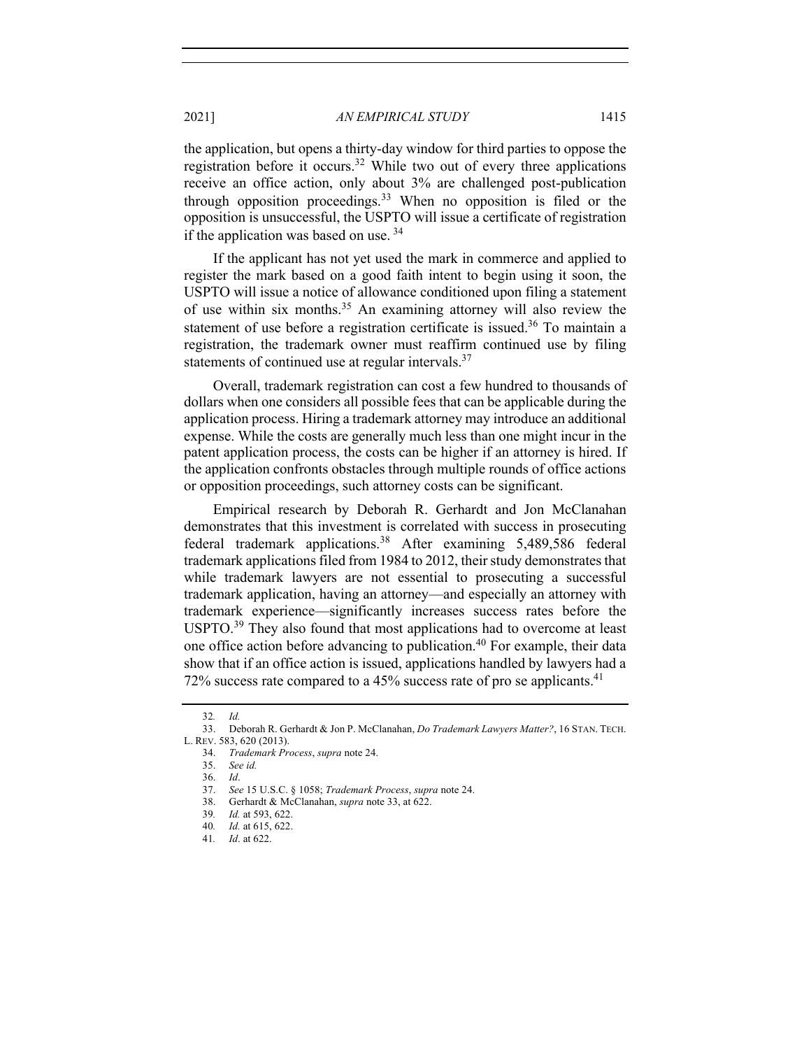the application, but opens a thirty-day window for third parties to oppose the registration before it occurs.<sup>32</sup> While two out of every three applications receive an office action, only about 3% are challenged post-publication through opposition proceedings.<sup>33</sup> When no opposition is filed or the opposition is unsuccessful, the USPTO will issue a certificate of registration if the application was based on use.  $34$ 

If the applicant has not yet used the mark in commerce and applied to register the mark based on a good faith intent to begin using it soon, the USPTO will issue a notice of allowance conditioned upon filing a statement of use within six months.<sup>35</sup> An examining attorney will also review the statement of use before a registration certificate is issued.<sup>36</sup> To maintain a registration, the trademark owner must reaffirm continued use by filing statements of continued use at regular intervals.<sup>37</sup>

Overall, trademark registration can cost a few hundred to thousands of dollars when one considers all possible fees that can be applicable during the application process. Hiring a trademark attorney may introduce an additional expense. While the costs are generally much less than one might incur in the patent application process, the costs can be higher if an attorney is hired. If the application confronts obstacles through multiple rounds of office actions or opposition proceedings, such attorney costs can be significant.

Empirical research by Deborah R. Gerhardt and Jon McClanahan demonstrates that this investment is correlated with success in prosecuting federal trademark applications.<sup>38</sup> After examining 5,489,586 federal trademark applications filed from 1984 to 2012, their study demonstrates that while trademark lawyers are not essential to prosecuting a successful trademark application, having an attorney—and especially an attorney with trademark experience—significantly increases success rates before the  $USPTO.<sup>39</sup>$  They also found that most applications had to overcome at least one office action before advancing to publication.<sup>40</sup> For example, their data show that if an office action is issued, applications handled by lawyers had a  $72\%$  success rate compared to a 45% success rate of pro se applicants.<sup>41</sup>

<sup>32</sup>*. Id.*

<sup>33.</sup> Deborah R. Gerhardt & Jon P. McClanahan, *Do Trademark Lawyers Matter?*, 16 STAN. TECH. L. REV. 583, 620 (2013).

<sup>34.</sup> *Trademark Process*, *supra* note 24.

<sup>35.</sup> *See id.*

<sup>36.</sup> *Id*.

<sup>37.</sup> *See* 15 U.S.C. § 1058; *Trademark Process*, *supra* note 24.

<sup>38.</sup> Gerhardt & McClanahan, *supra* note 33, at 622.

<sup>39</sup>*. Id.* at 593, 622.

*Id.* at 615, 622.

<sup>41</sup>*. Id*. at 622.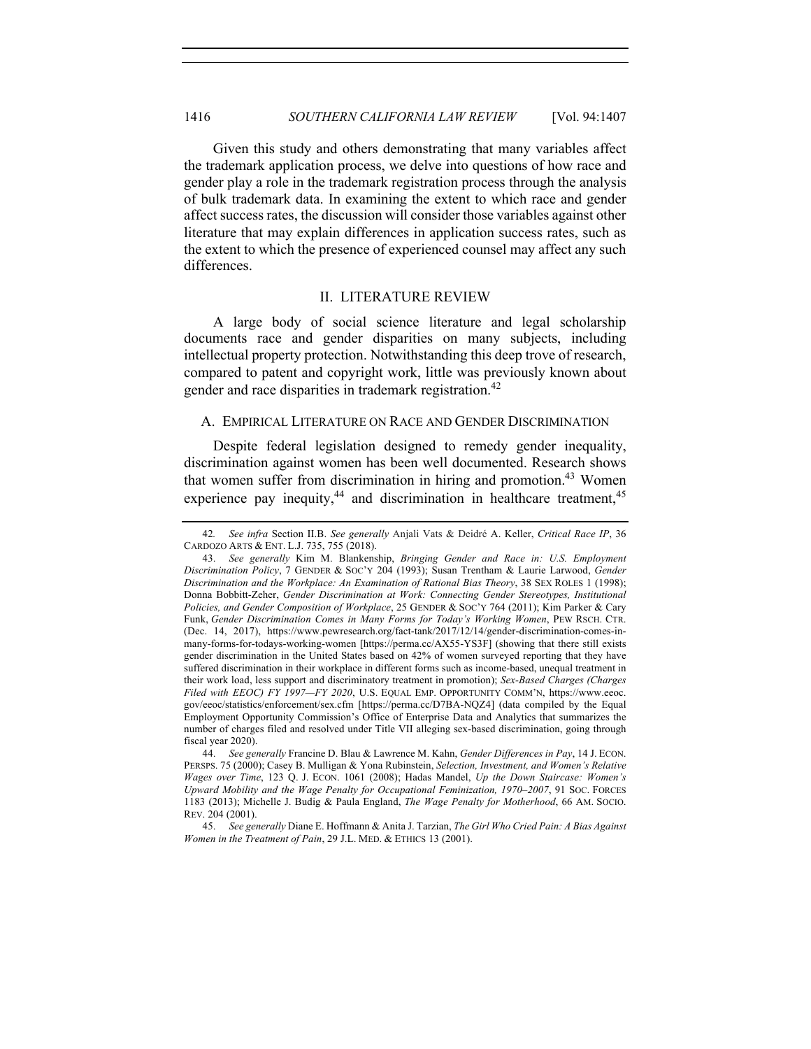Given this study and others demonstrating that many variables affect the trademark application process, we delve into questions of how race and gender play a role in the trademark registration process through the analysis of bulk trademark data. In examining the extent to which race and gender affect success rates, the discussion will consider those variables against other literature that may explain differences in application success rates, such as the extent to which the presence of experienced counsel may affect any such differences.

#### II. LITERATURE REVIEW

A large body of social science literature and legal scholarship documents race and gender disparities on many subjects, including intellectual property protection. Notwithstanding this deep trove of research, compared to patent and copyright work, little was previously known about gender and race disparities in trademark registration.<sup>42</sup>

# A. EMPIRICAL LITERATURE ON RACE AND GENDER DISCRIMINATION

Despite federal legislation designed to remedy gender inequality, discrimination against women has been well documented. Research shows that women suffer from discrimination in hiring and promotion.<sup>43</sup> Women experience pay inequity,<sup>44</sup> and discrimination in healthcare treatment,<sup>45</sup>

<sup>42</sup>*. See infra* Section II.B. *See generally* Anjali Vats & Deidré A. Keller, *Critical Race IP*, 36 CARDOZO ARTS & ENT. L.J. 735, 755 (2018).

<sup>43.</sup> *See generally* Kim M. Blankenship, *Bringing Gender and Race in: U.S. Employment Discrimination Policy*, 7 GENDER & SOC'Y 204 (1993); Susan Trentham & Laurie Larwood, *Gender Discrimination and the Workplace: An Examination of Rational Bias Theory*, 38 SEX ROLES 1 (1998); Donna Bobbitt-Zeher, *Gender Discrimination at Work: Connecting Gender Stereotypes, Institutional Policies, and Gender Composition of Workplace*, 25 GENDER & SOC'Y 764 (2011); Kim Parker & Cary Funk, *Gender Discrimination Comes in Many Forms for Today's Working Women*, PEW RSCH. CTR. (Dec. 14, 2017), https://www.pewresearch.org/fact-tank/2017/12/14/gender-discrimination-comes-inmany-forms-for-todays-working-women [https://perma.cc/AX55-YS3F] (showing that there still exists gender discrimination in the United States based on 42% of women surveyed reporting that they have suffered discrimination in their workplace in different forms such as income-based, unequal treatment in their work load, less support and discriminatory treatment in promotion); *Sex-Based Charges (Charges Filed with EEOC) FY 1997—FY 2020*, U.S. EQUAL EMP. OPPORTUNITY COMM'N, https://www.eeoc. gov/eeoc/statistics/enforcement/sex.cfm [https://perma.cc/D7BA-NQZ4] (data compiled by the Equal Employment Opportunity Commission's Office of Enterprise Data and Analytics that summarizes the number of charges filed and resolved under Title VII alleging sex-based discrimination, going through fiscal year 2020).

<sup>44.</sup> *See generally* Francine D. Blau & Lawrence M. Kahn, *Gender Differences in Pay*, 14 J. ECON. PERSPS. 75 (2000); Casey B. Mulligan & Yona Rubinstein, *Selection, Investment, and Women's Relative Wages over Time*, 123 Q. J. ECON. 1061 (2008); Hadas Mandel, *Up the Down Staircase: Women's Upward Mobility and the Wage Penalty for Occupational Feminization, 1970–2007*, 91 SOC. FORCES 1183 (2013); Michelle J. Budig & Paula England, *The Wage Penalty for Motherhood*, 66 AM. SOCIO. REV. 204 (2001).

<sup>45.</sup> *See generally* Diane E. Hoffmann & Anita J. Tarzian, *The Girl Who Cried Pain: A Bias Against Women in the Treatment of Pain*, 29 J.L. MED. & ETHICS 13 (2001).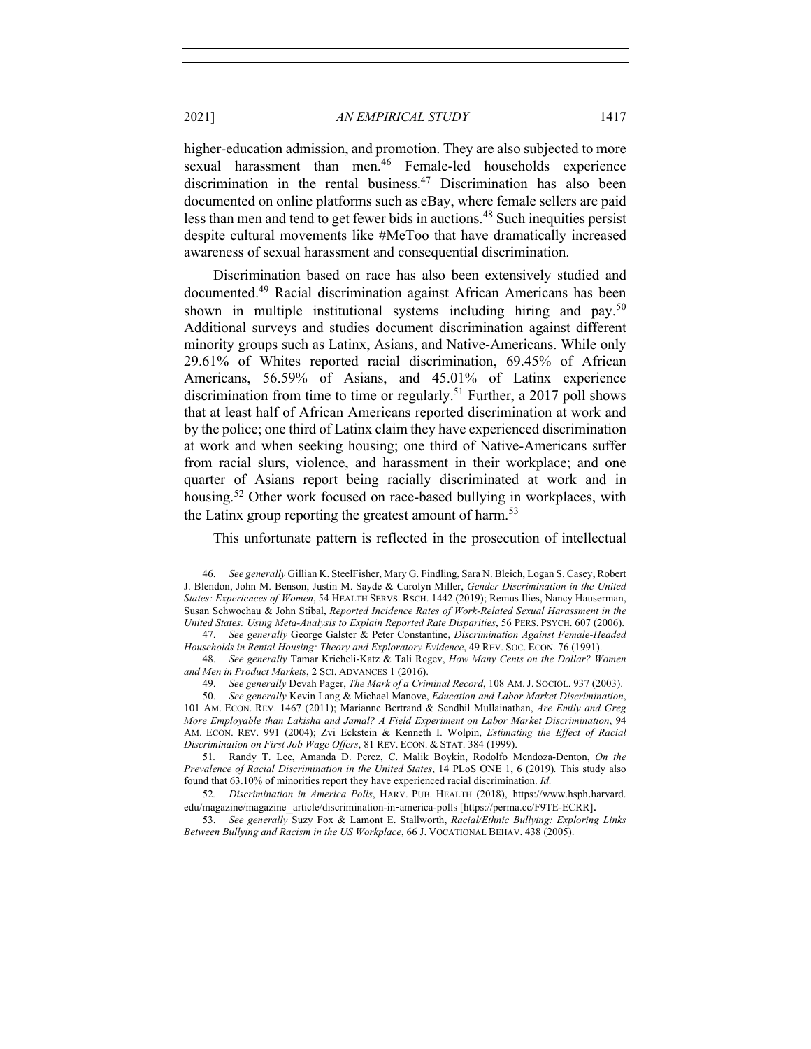higher-education admission, and promotion. They are also subjected to more sexual harassment than men.<sup>46</sup> Female-led households experience discrimination in the rental business.<sup>47</sup> Discrimination has also been documented on online platforms such as eBay, where female sellers are paid less than men and tend to get fewer bids in auctions.<sup>48</sup> Such inequities persist despite cultural movements like #MeToo that have dramatically increased awareness of sexual harassment and consequential discrimination.

Discrimination based on race has also been extensively studied and documented.49 Racial discrimination against African Americans has been shown in multiple institutional systems including hiring and pay.<sup>50</sup> Additional surveys and studies document discrimination against different minority groups such as Latinx, Asians, and Native-Americans. While only 29.61% of Whites reported racial discrimination, 69.45% of African Americans, 56.59% of Asians, and 45.01% of Latinx experience discrimination from time to time or regularly.<sup>51</sup> Further, a 2017 poll shows that at least half of African Americans reported discrimination at work and by the police; one third of Latinx claim they have experienced discrimination at work and when seeking housing; one third of Native-Americans suffer from racial slurs, violence, and harassment in their workplace; and one quarter of Asians report being racially discriminated at work and in housing.<sup>52</sup> Other work focused on race-based bullying in workplaces, with the Latinx group reporting the greatest amount of harm.<sup>53</sup>

This unfortunate pattern is reflected in the prosecution of intellectual

<sup>46.</sup> *See generally* Gillian K. SteelFisher, Mary G. Findling, Sara N. Bleich, Logan S. Casey, Robert J. Blendon, John M. Benson, Justin M. Sayde & Carolyn Miller, *Gender Discrimination in the United States: Experiences of Women*, 54 HEALTH SERVS. RSCH. 1442 (2019); Remus Ilies, Nancy Hauserman, Susan Schwochau & John Stibal, *Reported Incidence Rates of Work-Related Sexual Harassment in the United States: Using Meta-Analysis to Explain Reported Rate Disparities*, 56 PERS. PSYCH. 607 (2006).

<sup>47.</sup> *See generally* George Galster & Peter Constantine, *Discrimination Against Female-Headed Households in Rental Housing: Theory and Exploratory Evidence*, 49 REV. SOC. ECON. 76 (1991).

<sup>48.</sup> *See generally* Tamar Kricheli-Katz & Tali Regev, *How Many Cents on the Dollar? Women and Men in Product Markets*, 2 SCI. ADVANCES 1 (2016).

<sup>49.</sup> *See generally* Devah Pager, *The Mark of a Criminal Record*, 108 AM. J. SOCIOL. 937 (2003).

<sup>50.</sup> *See generally* Kevin Lang & Michael Manove, *Education and Labor Market Discrimination*, 101 AM. ECON. REV. 1467 (2011); Marianne Bertrand & Sendhil Mullainathan, *Are Emily and Greg More Employable than Lakisha and Jamal? A Field Experiment on Labor Market Discrimination*, 94 AM. ECON. REV. 991 (2004); Zvi Eckstein & Kenneth I. Wolpin, *Estimating the Effect of Racial Discrimination on First Job Wage Offers*, 81 REV. ECON. & STAT. 384 (1999).

<sup>51</sup>*.* Randy T. Lee, Amanda D. Perez, C. Malik Boykin, Rodolfo Mendoza-Denton, *On the Prevalence of Racial Discrimination in the United States*, 14 PLoS ONE 1, 6 (2019)*.* This study also found that 63.10% of minorities report they have experienced racial discrimination. *Id.*

<sup>52</sup>*. Discrimination in America Polls*, HARV. PUB. HEALTH (2018), https://www.hsph.harvard. edu/magazine/magazine\_article/discrimination-in-america-polls [https://perma.cc/F9TE-ECRR].

<sup>53.</sup> *See generally* Suzy Fox & Lamont E. Stallworth, *Racial/Ethnic Bullying: Exploring Links Between Bullying and Racism in the US Workplace*, 66 J. VOCATIONAL BEHAV. 438 (2005).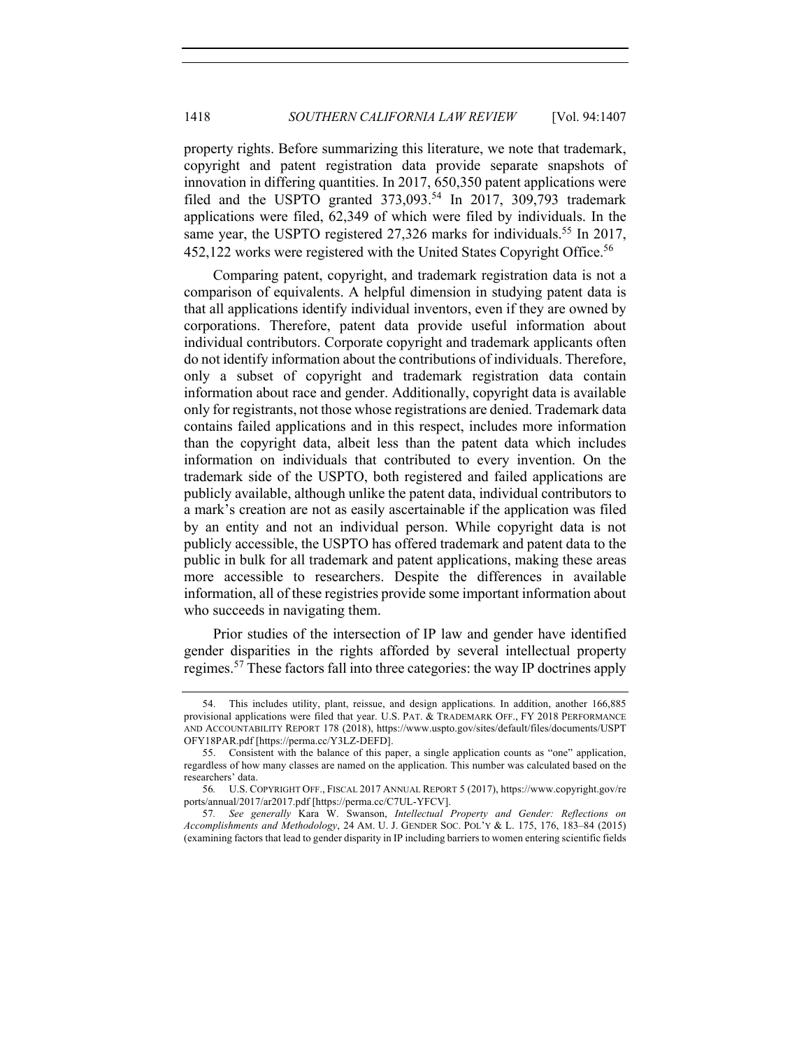property rights. Before summarizing this literature, we note that trademark, copyright and patent registration data provide separate snapshots of innovation in differing quantities. In 2017, 650,350 patent applications were filed and the USPTO granted  $373,093$ .<sup>54</sup> In 2017, 309,793 trademark applications were filed, 62,349 of which were filed by individuals. In the same year, the USPTO registered 27,326 marks for individuals.<sup>55</sup> In 2017, 452,122 works were registered with the United States Copyright Office.<sup>56</sup>

Comparing patent, copyright, and trademark registration data is not a comparison of equivalents. A helpful dimension in studying patent data is that all applications identify individual inventors, even if they are owned by corporations. Therefore, patent data provide useful information about individual contributors. Corporate copyright and trademark applicants often do not identify information about the contributions of individuals. Therefore, only a subset of copyright and trademark registration data contain information about race and gender. Additionally, copyright data is available only for registrants, not those whose registrations are denied. Trademark data contains failed applications and in this respect, includes more information than the copyright data, albeit less than the patent data which includes information on individuals that contributed to every invention. On the trademark side of the USPTO, both registered and failed applications are publicly available, although unlike the patent data, individual contributors to a mark's creation are not as easily ascertainable if the application was filed by an entity and not an individual person. While copyright data is not publicly accessible, the USPTO has offered trademark and patent data to the public in bulk for all trademark and patent applications, making these areas more accessible to researchers. Despite the differences in available information, all of these registries provide some important information about who succeeds in navigating them.

Prior studies of the intersection of IP law and gender have identified gender disparities in the rights afforded by several intellectual property regimes.<sup>57</sup> These factors fall into three categories: the way IP doctrines apply

<sup>54.</sup> This includes utility, plant, reissue, and design applications. In addition, another 166,885 provisional applications were filed that year. U.S. PAT. & TRADEMARK OFF., FY 2018 PERFORMANCE AND ACCOUNTABILITY REPORT 178 (2018), https://www.uspto.gov/sites/default/files/documents/USPT OFY18PAR.pdf [https://perma.cc/Y3LZ-DEFD].

<sup>55.</sup> Consistent with the balance of this paper, a single application counts as "one" application, regardless of how many classes are named on the application. This number was calculated based on the researchers' data.

<sup>56</sup>*.* U.S. COPYRIGHT OFF., FISCAL 2017 ANNUAL REPORT 5 (2017), https://www.copyright.gov/re ports/annual/2017/ar2017.pdf [https://perma.cc/C7UL-YFCV].

<sup>57</sup>*. See generally* Kara W. Swanson, *Intellectual Property and Gender: Reflections on Accomplishments and Methodology*, 24 AM. U. J. GENDER SOC. POL'Y & L. 175, 176, 183–84 (2015) (examining factors that lead to gender disparity in IP including barriers to women entering scientific fields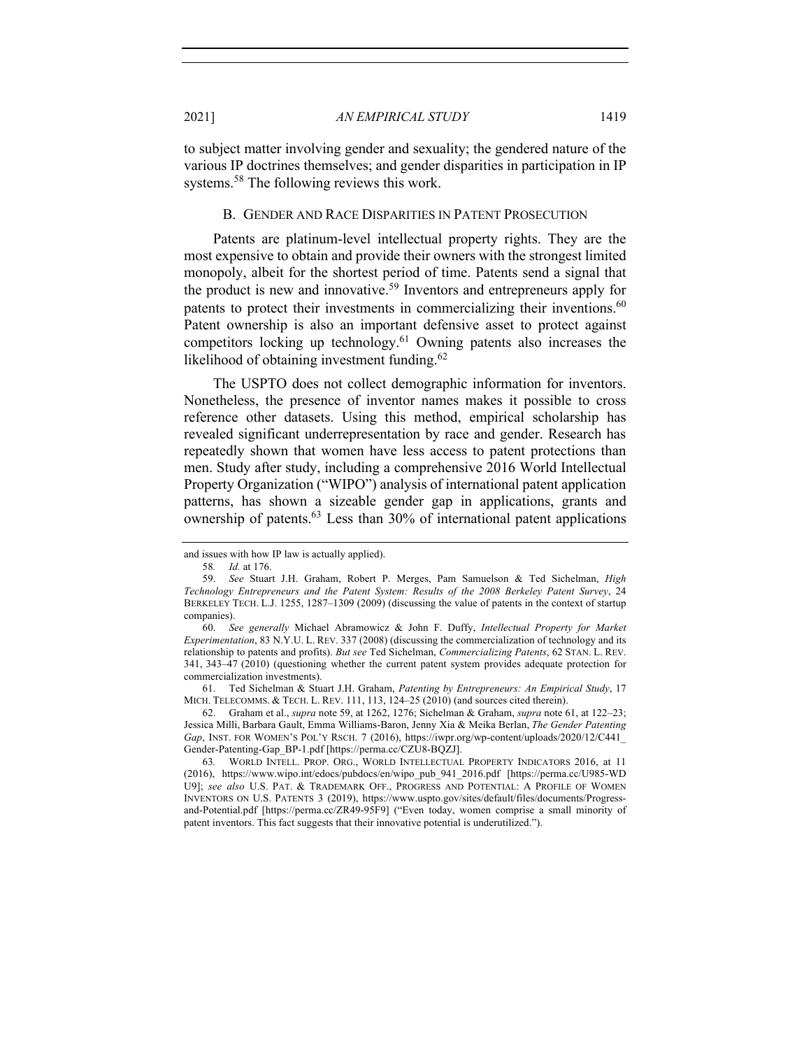to subject matter involving gender and sexuality; the gendered nature of the various IP doctrines themselves; and gender disparities in participation in IP systems.<sup>58</sup> The following reviews this work.

# B. GENDER AND RACE DISPARITIES IN PATENT PROSECUTION

Patents are platinum-level intellectual property rights. They are the most expensive to obtain and provide their owners with the strongest limited monopoly, albeit for the shortest period of time. Patents send a signal that the product is new and innovative.<sup>59</sup> Inventors and entrepreneurs apply for patents to protect their investments in commercializing their inventions.  $60$ Patent ownership is also an important defensive asset to protect against competitors locking up technology.<sup>61</sup> Owning patents also increases the likelihood of obtaining investment funding.<sup>62</sup>

The USPTO does not collect demographic information for inventors. Nonetheless, the presence of inventor names makes it possible to cross reference other datasets. Using this method, empirical scholarship has revealed significant underrepresentation by race and gender. Research has repeatedly shown that women have less access to patent protections than men. Study after study, including a comprehensive 2016 World Intellectual Property Organization ("WIPO") analysis of international patent application patterns, has shown a sizeable gender gap in applications, grants and ownership of patents.63 Less than 30% of international patent applications

61. Ted Sichelman & Stuart J.H. Graham, *Patenting by Entrepreneurs: An Empirical Study*, 17 MICH. TELECOMMS. & TECH. L. REV. 111, 113, 124–25 (2010) (and sources cited therein).

62. Graham et al., *supra* note 59, at 1262, 1276; Sichelman & Graham, *supra* note 61, at 122–23; Jessica Milli, Barbara Gault, Emma Williams-Baron, Jenny Xia & Meika Berlan, *The Gender Patenting Gap*, INST. FOR WOMEN'S POL'Y RSCH. 7 (2016), https://iwpr.org/wp-content/uploads/2020/12/C441\_ Gender-Patenting-Gap\_BP-1.pdf [https://perma.cc/CZU8-BQZJ].

63*.* WORLD INTELL. PROP. ORG., WORLD INTELLECTUAL PROPERTY INDICATORS 2016, at 11 (2016), https://www.wipo.int/edocs/pubdocs/en/wipo\_pub\_941\_2016.pdf [https://perma.cc/U985-WD U9]; *see also* U.S. PAT. & TRADEMARK OFF., PROGRESS AND POTENTIAL: A PROFILE OF WOMEN INVENTORS ON U.S. PATENTS 3 (2019), https://www.uspto.gov/sites/default/files/documents/Progressand-Potential.pdf [https://perma.cc/ZR49-95F9] ("Even today, women comprise a small minority of patent inventors. This fact suggests that their innovative potential is underutilized.").

and issues with how IP law is actually applied).

<sup>58</sup>*. Id.* at 176.

<sup>59.</sup> *See* Stuart J.H. Graham, Robert P. Merges, Pam Samuelson & Ted Sichelman, *High Technology Entrepreneurs and the Patent System: Results of the 2008 Berkeley Patent Survey*, 24 BERKELEY TECH. L.J. 1255, 1287–1309 (2009) (discussing the value of patents in the context of startup companies).

<sup>60.</sup> *See generally* Michael Abramowicz & John F. Duffy, *Intellectual Property for Market Experimentation*, 83 N.Y.U. L. REV. 337 (2008) (discussing the commercialization of technology and its relationship to patents and profits). *But see* Ted Sichelman, *Commercializing Patents*, 62 STAN. L. REV. 341, 343–47 (2010) (questioning whether the current patent system provides adequate protection for commercialization investments).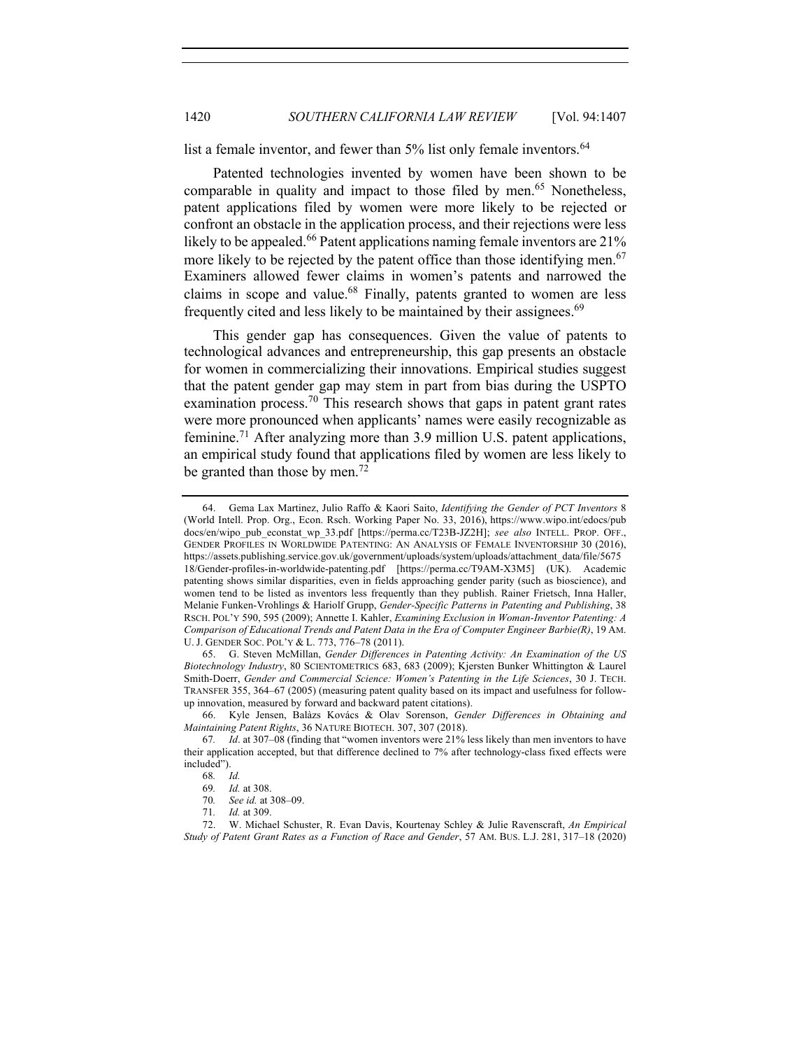list a female inventor, and fewer than 5% list only female inventors.<sup>64</sup>

Patented technologies invented by women have been shown to be comparable in quality and impact to those filed by men.<sup>65</sup> Nonetheless, patent applications filed by women were more likely to be rejected or confront an obstacle in the application process, and their rejections were less likely to be appealed.<sup>66</sup> Patent applications naming female inventors are  $21\%$ more likely to be rejected by the patent office than those identifying men.<sup>67</sup> Examiners allowed fewer claims in women's patents and narrowed the claims in scope and value.68 Finally, patents granted to women are less frequently cited and less likely to be maintained by their assignees.<sup>69</sup>

This gender gap has consequences. Given the value of patents to technological advances and entrepreneurship, this gap presents an obstacle for women in commercializing their innovations. Empirical studies suggest that the patent gender gap may stem in part from bias during the USPTO examination process.<sup>70</sup> This research shows that gaps in patent grant rates were more pronounced when applicants' names were easily recognizable as feminine.<sup>71</sup> After analyzing more than 3.9 million U.S. patent applications, an empirical study found that applications filed by women are less likely to be granted than those by men.<sup>72</sup>

<sup>64.</sup> Gema Lax Martinez, Julio Raffo & Kaori Saito, *Identifying the Gender of PCT Inventors* 8 (World Intell. Prop. Org., Econ. Rsch. Working Paper No. 33, 2016), https://www.wipo.int/edocs/pub docs/en/wipo\_pub\_econstat\_wp\_33.pdf [https://perma.cc/T23B-JZ2H]; *see also* INTELL. PROP. OFF., GENDER PROFILES IN WORLDWIDE PATENTING: AN ANALYSIS OF FEMALE INVENTORSHIP 30 (2016), https://assets.publishing.service.gov.uk/government/uploads/system/uploads/attachment\_data/file/5675 18/Gender-profiles-in-worldwide-patenting.pdf [https://perma.cc/T9AM-X3M5] (UK). Academic patenting shows similar disparities, even in fields approaching gender parity (such as bioscience), and women tend to be listed as inventors less frequently than they publish. Rainer Frietsch, Inna Haller, Melanie Funken-Vrohlings & Hariolf Grupp, *Gender-Specific Patterns in Patenting and Publishing*, 38 RSCH. POL'Y 590, 595 (2009); Annette I. Kahler, *Examining Exclusion in Woman-Inventor Patenting: A Comparison of Educational Trends and Patent Data in the Era of Computer Engineer Barbie(R)*, 19 AM. U. J. GENDER SOC. POL'Y & L. 773, 776–78 (2011).

<sup>65.</sup> G. Steven McMillan, *Gender Differences in Patenting Activity: An Examination of the US Biotechnology Industry*, 80 SCIENTOMETRICS 683, 683 (2009); Kjersten Bunker Whittington & Laurel Smith-Doerr, *Gender and Commercial Science: Women's Patenting in the Life Sciences*, 30 J. TECH. TRANSFER 355, 364–67 (2005) (measuring patent quality based on its impact and usefulness for followup innovation, measured by forward and backward patent citations).

<sup>66.</sup> Kyle Jensen, Balàzs Kovács & Olav Sorenson, *Gender Differences in Obtaining and Maintaining Patent Rights*, 36 NATURE BIOTECH. 307, 307 (2018).

<sup>67</sup>*. Id*. at 307–08 (finding that "women inventors were 21% less likely than men inventors to have their application accepted, but that difference declined to 7% after technology-class fixed effects were included").

<sup>68</sup>*. Id.*

<sup>69</sup>*. Id.* at 308.

<sup>70</sup>*. See id.* at 308–09.

<sup>71</sup>*. Id.* at 309.

<sup>72.</sup> W. Michael Schuster, R. Evan Davis, Kourtenay Schley & Julie Ravenscraft, *An Empirical Study of Patent Grant Rates as a Function of Race and Gender*, 57 AM. BUS. L.J. 281, 317–18 (2020)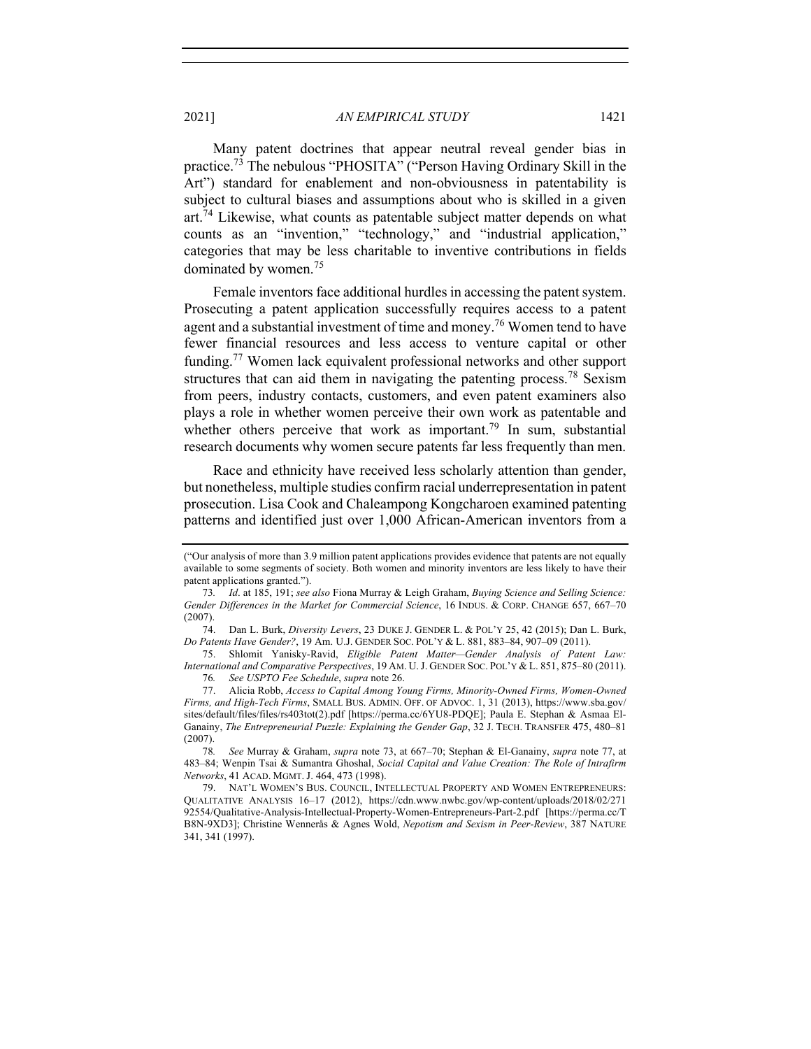Many patent doctrines that appear neutral reveal gender bias in practice.73 The nebulous "PHOSITA" ("Person Having Ordinary Skill in the Art") standard for enablement and non-obviousness in patentability is subject to cultural biases and assumptions about who is skilled in a given art.<sup>74</sup> Likewise, what counts as patentable subject matter depends on what counts as an "invention," "technology," and "industrial application," categories that may be less charitable to inventive contributions in fields dominated by women.<sup>75</sup>

Female inventors face additional hurdles in accessing the patent system. Prosecuting a patent application successfully requires access to a patent agent and a substantial investment of time and money.<sup>76</sup> Women tend to have fewer financial resources and less access to venture capital or other funding.<sup>77</sup> Women lack equivalent professional networks and other support structures that can aid them in navigating the patenting process.<sup>78</sup> Sexism from peers, industry contacts, customers, and even patent examiners also plays a role in whether women perceive their own work as patentable and whether others perceive that work as important.<sup>79</sup> In sum, substantial research documents why women secure patents far less frequently than men.

Race and ethnicity have received less scholarly attention than gender, but nonetheless, multiple studies confirm racial underrepresentation in patent prosecution. Lisa Cook and Chaleampong Kongcharoen examined patenting patterns and identified just over 1,000 African-American inventors from a

<sup>(&</sup>quot;Our analysis of more than 3.9 million patent applications provides evidence that patents are not equally available to some segments of society. Both women and minority inventors are less likely to have their patent applications granted.").

<sup>73</sup>*. Id*. at 185, 191; *see also* Fiona Murray & Leigh Graham, *Buying Science and Selling Science: Gender Differences in the Market for Commercial Science*, 16 INDUS. & CORP. CHANGE 657, 667–70 (2007).

<sup>74.</sup> Dan L. Burk, *Diversity Levers*, 23 DUKE J. GENDER L. & POL'Y 25, 42 (2015); Dan L. Burk, *Do Patents Have Gender?*, 19 Am. U.J. GENDER SOC. POL'Y & L. 881, 883–84, 907–09 (2011).

<sup>75.</sup> Shlomit Yanisky-Ravid, *Eligible Patent Matter—Gender Analysis of Patent Law: International and Comparative Perspectives*, 19 AM. U.J. GENDER SOC. POL'Y & L. 851, 875–80 (2011). 76*. See USPTO Fee Schedule*, *supra* note 26.

<sup>77.</sup> Alicia Robb, *Access to Capital Among Young Firms, Minority-Owned Firms, Women-Owned Firms, and High-Tech Firms*, SMALL BUS. ADMIN. OFF. OF ADVOC. 1, 31 (2013), https://www.sba.gov/ sites/default/files/files/rs403tot(2).pdf [https://perma.cc/6YU8-PDQE]; Paula E. Stephan & Asmaa El-Ganainy, *The Entrepreneurial Puzzle: Explaining the Gender Gap*, 32 J. TECH. TRANSFER 475, 480–81 (2007).

<sup>78</sup>*. See* Murray & Graham, *supra* note 73, at 667–70; Stephan & El-Ganainy, *supra* note 77, at 483–84; Wenpin Tsai & Sumantra Ghoshal, *Social Capital and Value Creation: The Role of Intrafirm Networks*, 41 ACAD. MGMT. J. 464, 473 (1998).

<sup>79.</sup> NAT'L WOMEN'S BUS. COUNCIL, INTELLECTUAL PROPERTY AND WOMEN ENTREPRENEURS: QUALITATIVE ANALYSIS 16–17 (2012), https://cdn.www.nwbc.gov/wp-content/uploads/2018/02/271 92554/Qualitative-Analysis-Intellectual-Property-Women-Entrepreneurs-Part-2.pdf [https://perma.cc/T B8N-9XD3]; Christine Wennerås & Agnes Wold, *Nepotism and Sexism in Peer-Review*, 387 NATURE 341, 341 (1997).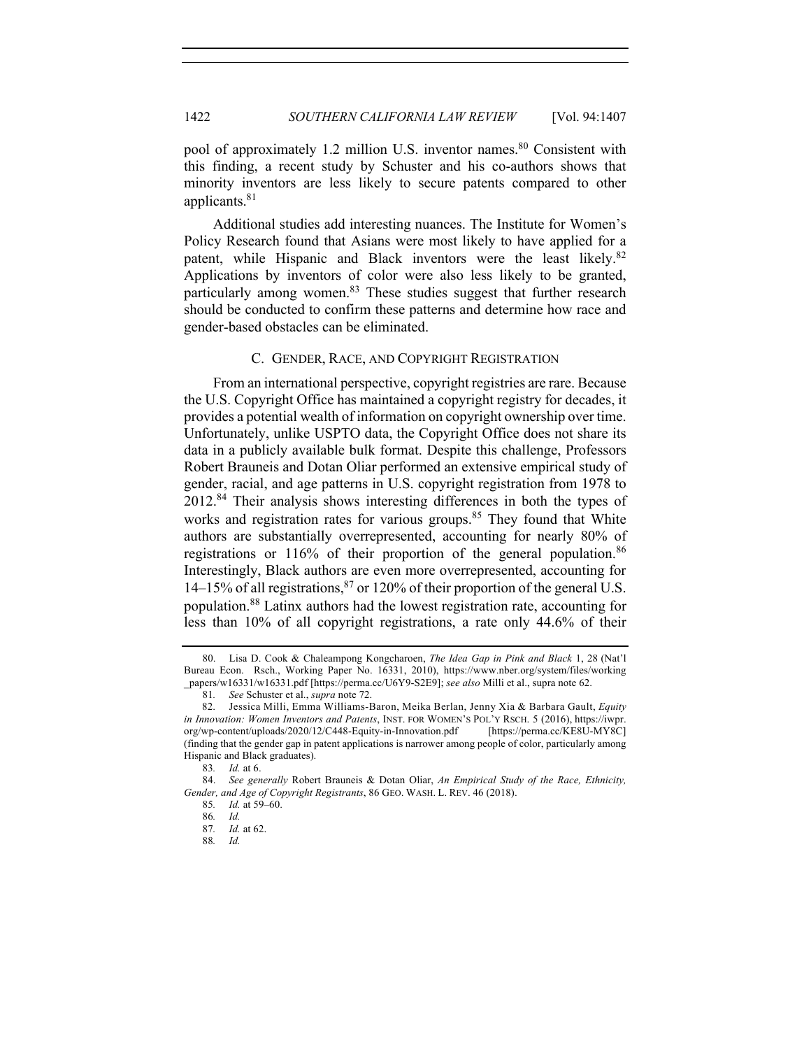pool of approximately 1.2 million U.S. inventor names.<sup>80</sup> Consistent with this finding, a recent study by Schuster and his co-authors shows that minority inventors are less likely to secure patents compared to other applicants.<sup>81</sup>

Additional studies add interesting nuances. The Institute for Women's Policy Research found that Asians were most likely to have applied for a patent, while Hispanic and Black inventors were the least likely.<sup>82</sup> Applications by inventors of color were also less likely to be granted, particularly among women.<sup>83</sup> These studies suggest that further research should be conducted to confirm these patterns and determine how race and gender-based obstacles can be eliminated.

## C. GENDER, RACE, AND COPYRIGHT REGISTRATION

From an international perspective, copyright registries are rare. Because the U.S. Copyright Office has maintained a copyright registry for decades, it provides a potential wealth of information on copyright ownership over time. Unfortunately, unlike USPTO data, the Copyright Office does not share its data in a publicly available bulk format. Despite this challenge, Professors Robert Brauneis and Dotan Oliar performed an extensive empirical study of gender, racial, and age patterns in U.S. copyright registration from 1978 to 2012.<sup>84</sup> Their analysis shows interesting differences in both the types of works and registration rates for various groups.<sup>85</sup> They found that White authors are substantially overrepresented, accounting for nearly 80% of registrations or 116% of their proportion of the general population.<sup>86</sup> Interestingly, Black authors are even more overrepresented, accounting for 14–15% of all registrations,<sup>87</sup> or 120% of their proportion of the general U.S. population.<sup>88</sup> Latinx authors had the lowest registration rate, accounting for less than 10% of all copyright registrations, a rate only 44.6% of their

<sup>80.</sup> Lisa D. Cook & Chaleampong Kongcharoen, *The Idea Gap in Pink and Black* 1, 28 (Nat'l Bureau Econ. Rsch., Working Paper No. 16331, 2010), https://www.nber.org/system/files/working \_papers/w16331/w16331.pdf [https://perma.cc/U6Y9-S2E9]; *see also* Milli et al., supra note 62.

<sup>81</sup>*. See* Schuster et al., *supra* note 72.

<sup>82.</sup> Jessica Milli, Emma Williams-Baron, Meika Berlan, Jenny Xia & Barbara Gault, *Equity in Innovation: Women Inventors and Patents*, INST. FOR WOMEN'S POL'Y RSCH. 5 (2016), https://iwpr. org/wp-content/uploads/2020/12/C448-Equity-in-Innovation.pdf [https://perma.cc/KE8U-MY8C] (finding that the gender gap in patent applications is narrower among people of color, particularly among Hispanic and Black graduates).

<sup>83</sup>*. Id.* at 6.

<sup>84.</sup> *See generally* Robert Brauneis & Dotan Oliar, *An Empirical Study of the Race, Ethnicity, Gender, and Age of Copyright Registrants*, 86 GEO. WASH. L. REV. 46 (2018).

<sup>85</sup>*. Id.* at 59–60.

<sup>86</sup>*. Id.* 

<sup>87</sup>*. Id.* at 62.

<sup>88</sup>*. Id.*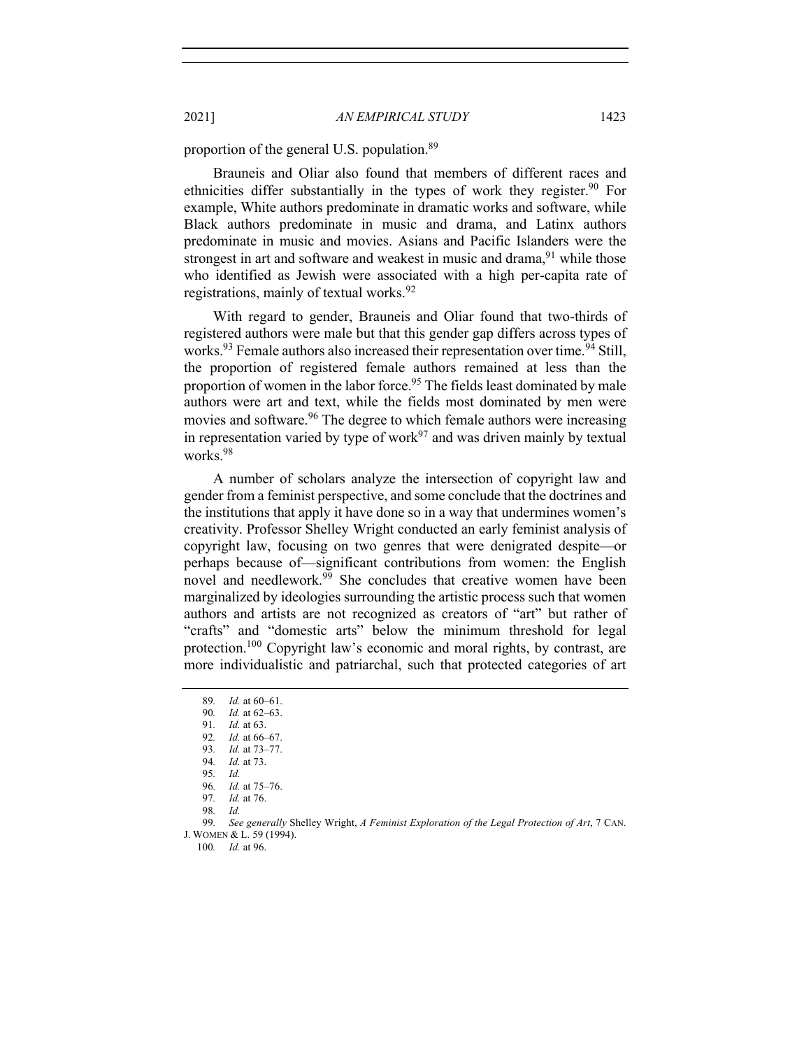proportion of the general U.S. population.<sup>89</sup>

Brauneis and Oliar also found that members of different races and ethnicities differ substantially in the types of work they register.<sup>90</sup> For example, White authors predominate in dramatic works and software, while Black authors predominate in music and drama, and Latinx authors predominate in music and movies. Asians and Pacific Islanders were the strongest in art and software and weakest in music and drama,  $91$  while those who identified as Jewish were associated with a high per-capita rate of registrations, mainly of textual works.  $92$ 

With regard to gender, Brauneis and Oliar found that two-thirds of registered authors were male but that this gender gap differs across types of works.<sup>93</sup> Female authors also increased their representation over time.<sup>94</sup> Still, the proportion of registered female authors remained at less than the proportion of women in the labor force.<sup>95</sup> The fields least dominated by male authors were art and text, while the fields most dominated by men were movies and software.<sup>96</sup> The degree to which female authors were increasing in representation varied by type of work<sup>97</sup> and was driven mainly by textual works.98

A number of scholars analyze the intersection of copyright law and gender from a feminist perspective, and some conclude that the doctrines and the institutions that apply it have done so in a way that undermines women's creativity. Professor Shelley Wright conducted an early feminist analysis of copyright law, focusing on two genres that were denigrated despite—or perhaps because of—significant contributions from women: the English novel and needlework.<sup>99</sup> She concludes that creative women have been marginalized by ideologies surrounding the artistic process such that women authors and artists are not recognized as creators of "art" but rather of "crafts" and "domestic arts" below the minimum threshold for legal protection.100 Copyright law's economic and moral rights, by contrast, are more individualistic and patriarchal, such that protected categories of art

97*. Id.* at 76.

<sup>89</sup>*. Id.* at 60–61.

*Id.* at 62–63. 91*. Id.* at 63.

<sup>92</sup>*. Id.* at 66–67.

<sup>93</sup>*. Id.* at 73–77. 94*. Id.* at 73.

<sup>95</sup>*. Id.*

<sup>96</sup>*. Id.* at 75–76.

<sup>98</sup>*. Id.*

<sup>99</sup>*. See generally* Shelley Wright, *A Feminist Exploration of the Legal Protection of Art*, 7 CAN.

J. WOMEN & L. 59 (1994). 100*. Id.* at 96.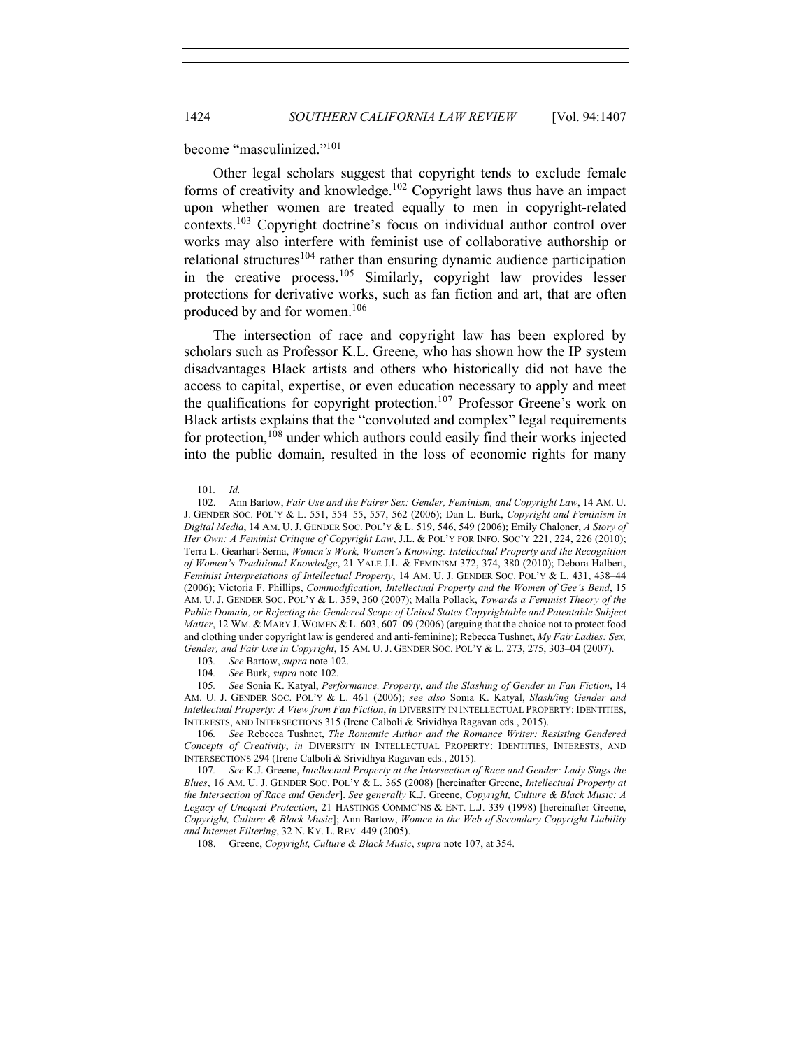become "masculinized."101

Other legal scholars suggest that copyright tends to exclude female forms of creativity and knowledge.102 Copyright laws thus have an impact upon whether women are treated equally to men in copyright-related contexts.103 Copyright doctrine's focus on individual author control over works may also interfere with feminist use of collaborative authorship or relational structures<sup>104</sup> rather than ensuring dynamic audience participation in the creative process.<sup>105</sup> Similarly, copyright law provides lesser protections for derivative works, such as fan fiction and art, that are often produced by and for women.<sup>106</sup>

The intersection of race and copyright law has been explored by scholars such as Professor K.L. Greene, who has shown how the IP system disadvantages Black artists and others who historically did not have the access to capital, expertise, or even education necessary to apply and meet the qualifications for copyright protection.<sup>107</sup> Professor Greene's work on Black artists explains that the "convoluted and complex" legal requirements for protection,<sup>108</sup> under which authors could easily find their works injected into the public domain, resulted in the loss of economic rights for many

108. Greene, *Copyright, Culture & Black Music*, *supra* note 107, at 354.

<sup>101</sup>*. Id.*

<sup>102.</sup> Ann Bartow, *Fair Use and the Fairer Sex: Gender, Feminism, and Copyright Law*, 14 AM. U. J. GENDER SOC. POL'Y & L. 551, 554–55, 557, 562 (2006); Dan L. Burk, *Copyright and Feminism in Digital Media*, 14 AM. U. J. GENDER SOC. POL'Y & L. 519, 546, 549 (2006); Emily Chaloner, *A Story of Her Own: A Feminist Critique of Copyright Law*, J.L. & POL'Y FOR INFO. SOC'Y 221, 224, 226 (2010); Terra L. Gearhart-Serna, *Women's Work, Women's Knowing: Intellectual Property and the Recognition of Women's Traditional Knowledge*, 21 YALE J.L. & FEMINISM 372, 374, 380 (2010); Debora Halbert, *Feminist Interpretations of Intellectual Property*, 14 AM. U. J. GENDER SOC. POL'Y & L. 431, 438–44 (2006); Victoria F. Phillips, *Commodification, Intellectual Property and the Women of Gee's Bend*, 15 AM. U. J. GENDER SOC. POL'Y & L. 359, 360 (2007); Malla Pollack, *Towards a Feminist Theory of the Public Domain, or Rejecting the Gendered Scope of United States Copyrightable and Patentable Subject Matter*, 12 WM. & MARY J. WOMEN & L. 603, 607–09 (2006) (arguing that the choice not to protect food and clothing under copyright law is gendered and anti-feminine); Rebecca Tushnet, *My Fair Ladies: Sex, Gender, and Fair Use in Copyright*, 15 AM. U. J. GENDER SOC. POL'Y & L. 273, 275, 303–04 (2007).

<sup>103</sup>*. See* Bartow, *supra* note 102.

<sup>104</sup>*. See* Burk, *supra* note 102.

<sup>105</sup>*. See* Sonia K. Katyal, *Performance, Property, and the Slashing of Gender in Fan Fiction*, 14 AM. U. J. GENDER SOC. POL'Y & L. 461 (2006); *see also* Sonia K. Katyal, *Slash/ing Gender and Intellectual Property: A View from Fan Fiction*, *in* DIVERSITY IN INTELLECTUAL PROPERTY: IDENTITIES, INTERESTS, AND INTERSECTIONS 315 (Irene Calboli & Srividhya Ragavan eds., 2015).

<sup>106</sup>*. See* Rebecca Tushnet, *The Romantic Author and the Romance Writer: Resisting Gendered Concepts of Creativity*, *in* DIVERSITY IN INTELLECTUAL PROPERTY: IDENTITIES, INTERESTS, AND INTERSECTIONS 294 (Irene Calboli & Srividhya Ragavan eds., 2015).

<sup>107</sup>*. See* K.J. Greene, *Intellectual Property at the Intersection of Race and Gender: Lady Sings the Blues*, 16 AM. U. J. GENDER SOC. POL'Y & L. 365 (2008) [hereinafter Greene, *Intellectual Property at the Intersection of Race and Gender*]. *See generally* K.J. Greene, *Copyright, Culture & Black Music: A Legacy of Unequal Protection*, 21 HASTINGS COMMC'NS & ENT. L.J. 339 (1998) [hereinafter Greene, *Copyright, Culture & Black Music*]; Ann Bartow, *Women in the Web of Secondary Copyright Liability and Internet Filtering*, 32 N. KY. L. REV. 449 (2005).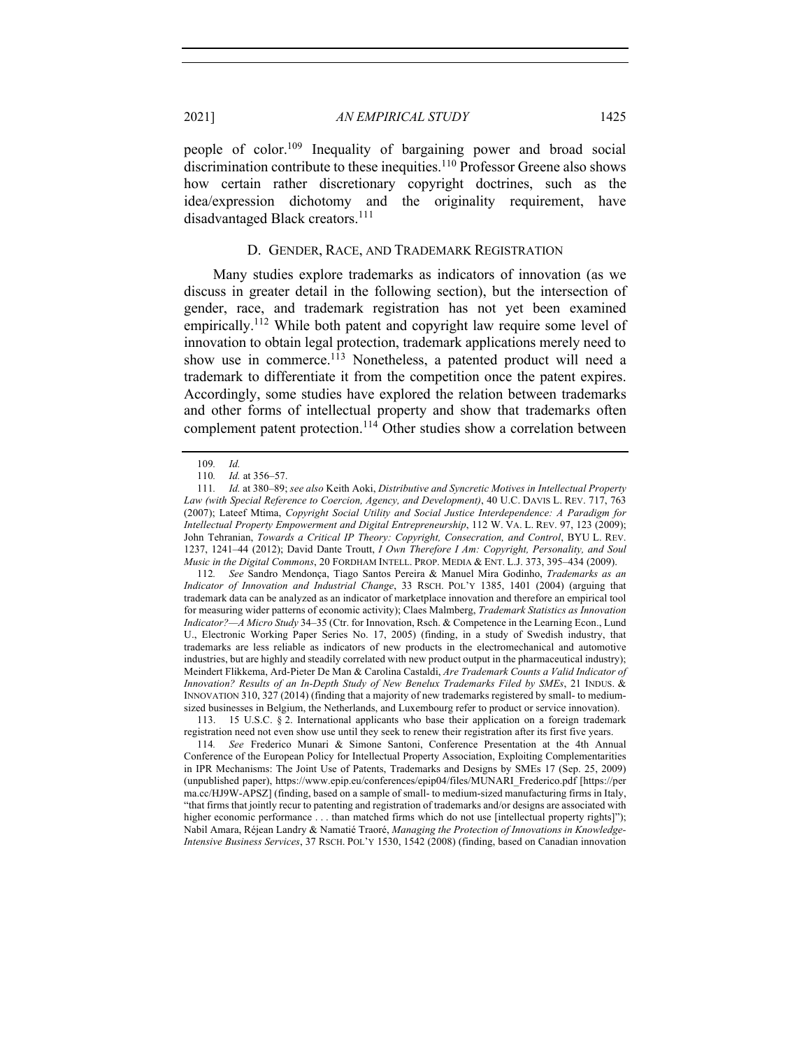people of color.<sup>109</sup> Inequality of bargaining power and broad social discrimination contribute to these inequities. $110$  Professor Greene also shows how certain rather discretionary copyright doctrines, such as the idea/expression dichotomy and the originality requirement, have disadvantaged Black creators.<sup>111</sup>

#### D. GENDER, RACE, AND TRADEMARK REGISTRATION

Many studies explore trademarks as indicators of innovation (as we discuss in greater detail in the following section), but the intersection of gender, race, and trademark registration has not yet been examined empirically.<sup>112</sup> While both patent and copyright law require some level of innovation to obtain legal protection, trademark applications merely need to show use in commerce.<sup>113</sup> Nonetheless, a patented product will need a trademark to differentiate it from the competition once the patent expires. Accordingly, some studies have explored the relation between trademarks and other forms of intellectual property and show that trademarks often complement patent protection.<sup>114</sup> Other studies show a correlation between

112*. See* Sandro Mendonça, Tiago Santos Pereira & Manuel Mira Godinho, *Trademarks as an Indicator of Innovation and Industrial Change*, 33 RSCH. POL'Y 1385, 1401 (2004) (arguing that trademark data can be analyzed as an indicator of marketplace innovation and therefore an empirical tool for measuring wider patterns of economic activity); Claes Malmberg, *Trademark Statistics as Innovation Indicator?—A Micro Study* 34–35 (Ctr. for Innovation, Rsch. & Competence in the Learning Econ., Lund U., Electronic Working Paper Series No. 17, 2005) (finding, in a study of Swedish industry, that trademarks are less reliable as indicators of new products in the electromechanical and automotive industries, but are highly and steadily correlated with new product output in the pharmaceutical industry); Meindert Flikkema, Ard-Pieter De Man & Carolina Castaldi, *Are Trademark Counts a Valid Indicator of Innovation? Results of an In-Depth Study of New Benelux Trademarks Filed by SMEs*, 21 INDUS. & INNOVATION 310, 327 (2014) (finding that a majority of new trademarks registered by small- to mediumsized businesses in Belgium, the Netherlands, and Luxembourg refer to product or service innovation).

113. 15 U.S.C. § 2. International applicants who base their application on a foreign trademark registration need not even show use until they seek to renew their registration after its first five years.

114*. See* Frederico Munari & Simone Santoni, Conference Presentation at the 4th Annual Conference of the European Policy for Intellectual Property Association, Exploiting Complementarities in IPR Mechanisms: The Joint Use of Patents, Trademarks and Designs by SMEs 17 (Sep. 25, 2009) (unpublished paper), https://www.epip.eu/conferences/epip04/files/MUNARI\_Frederico.pdf [https://per ma.cc/HJ9W-APSZ] (finding, based on a sample of small- to medium-sized manufacturing firms in Italy, "that firms that jointly recur to patenting and registration of trademarks and/or designs are associated with higher economic performance . . . than matched firms which do not use [intellectual property rights]"); Nabil Amara, Réjean Landry & Namatié Traoré, *Managing the Protection of Innovations in Knowledge-Intensive Business Services*, 37 RSCH. POL'Y 1530, 1542 (2008) (finding, based on Canadian innovation

<sup>109</sup>*. Id.*

<sup>110</sup>*. Id.* at 356–57.

<sup>111</sup>*. Id.* at 380–89; *see also* Keith Aoki, *Distributive and Syncretic Motives in Intellectual Property Law (with Special Reference to Coercion, Agency, and Development)*, 40 U.C. DAVIS L. REV. 717, 763 (2007); Lateef Mtima, *Copyright Social Utility and Social Justice Interdependence: A Paradigm for Intellectual Property Empowerment and Digital Entrepreneurship*, 112 W. VA. L. REV. 97, 123 (2009); John Tehranian, *Towards a Critical IP Theory: Copyright, Consecration, and Control*, BYU L. REV. 1237, 1241–44 (2012); David Dante Troutt, *I Own Therefore I Am: Copyright, Personality, and Soul Music in the Digital Commons*, 20 FORDHAM INTELL. PROP. MEDIA & ENT. L.J. 373, 395–434 (2009).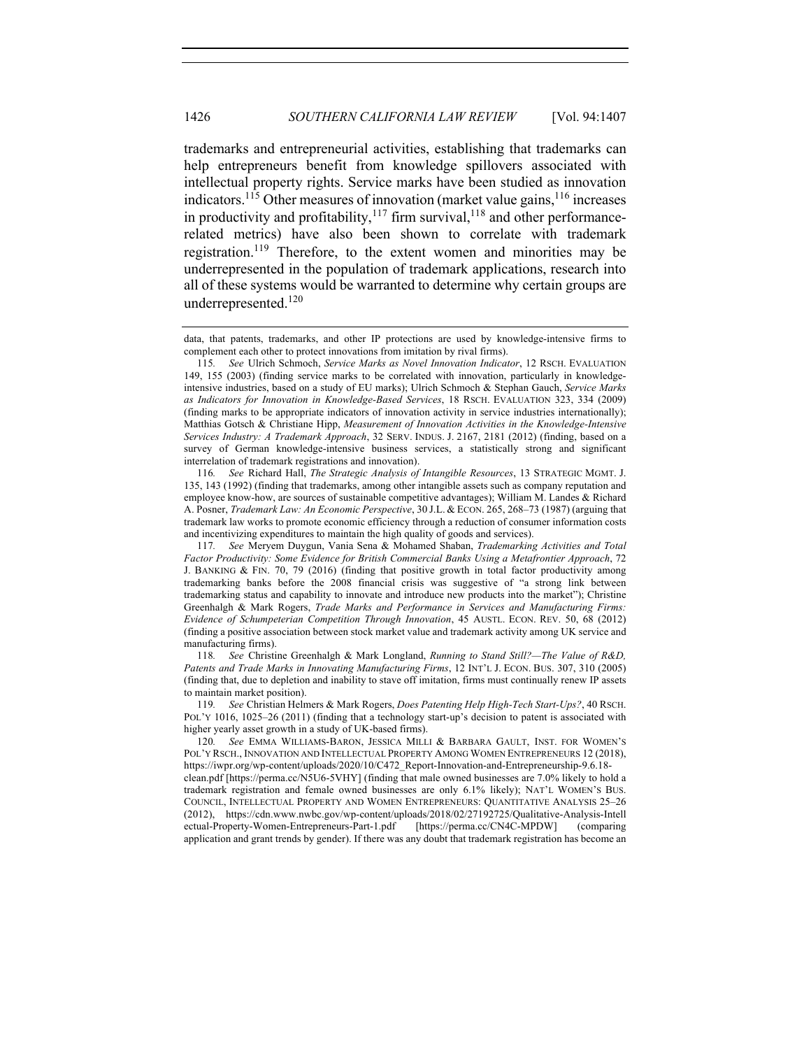trademarks and entrepreneurial activities, establishing that trademarks can help entrepreneurs benefit from knowledge spillovers associated with intellectual property rights. Service marks have been studied as innovation indicators.<sup>115</sup> Other measures of innovation (market value gains,  $116$  increases in productivity and profitability, $117$  firm survival, $118$  and other performancerelated metrics) have also been shown to correlate with trademark registration.<sup>119</sup> Therefore, to the extent women and minorities may be underrepresented in the population of trademark applications, research into all of these systems would be warranted to determine why certain groups are underrepresented. $120$ 

116*. See* Richard Hall, *The Strategic Analysis of Intangible Resources*, 13 STRATEGIC MGMT. J. 135, 143 (1992) (finding that trademarks, among other intangible assets such as company reputation and employee know-how, are sources of sustainable competitive advantages); William M. Landes & Richard A. Posner, *Trademark Law: An Economic Perspective*, 30 J.L. & ECON. 265, 268–73 (1987) (arguing that trademark law works to promote economic efficiency through a reduction of consumer information costs and incentivizing expenditures to maintain the high quality of goods and services).

118*. See* Christine Greenhalgh & Mark Longland, *Running to Stand Still?—The Value of R&D, Patents and Trade Marks in Innovating Manufacturing Firms*, 12 INT'L J. ECON. BUS. 307, 310 (2005) (finding that, due to depletion and inability to stave off imitation, firms must continually renew IP assets to maintain market position).

119*. See* Christian Helmers & Mark Rogers, *Does Patenting Help High-Tech Start-Ups?*, 40 RSCH. POL'Y 1016, 1025–26 (2011) (finding that a technology start-up's decision to patent is associated with higher yearly asset growth in a study of UK-based firms).

clean.pdf [https://perma.cc/N5U6-5VHY] (finding that male owned businesses are 7.0% likely to hold a trademark registration and female owned businesses are only 6.1% likely); NAT'L WOMEN'S BUS. COUNCIL, INTELLECTUAL PROPERTY AND WOMEN ENTREPRENEURS: QUANTITATIVE ANALYSIS 25–26 (2012), https://cdn.www.nwbc.gov/wp-content/uploads/2018/02/27192725/Qualitative-Analysis-Intell ectual-Property-Women-Entrepreneurs-Part-1.pdf [https://perma.cc/CN4C-MPDW] (comparing application and grant trends by gender). If there was any doubt that trademark registration has become an

data, that patents, trademarks, and other IP protections are used by knowledge-intensive firms to complement each other to protect innovations from imitation by rival firms).

<sup>115</sup>*. See* Ulrich Schmoch, *Service Marks as Novel Innovation Indicator*, 12 RSCH. EVALUATION 149, 155 (2003) (finding service marks to be correlated with innovation, particularly in knowledgeintensive industries, based on a study of EU marks); Ulrich Schmoch & Stephan Gauch, *Service Marks as Indicators for Innovation in Knowledge-Based Services*, 18 RSCH. EVALUATION 323, 334 (2009) (finding marks to be appropriate indicators of innovation activity in service industries internationally); Matthias Gotsch & Christiane Hipp, *Measurement of Innovation Activities in the Knowledge-Intensive Services Industry: A Trademark Approach*, 32 SERV. INDUS. J. 2167, 2181 (2012) (finding, based on a survey of German knowledge-intensive business services, a statistically strong and significant interrelation of trademark registrations and innovation).

<sup>117</sup>*. See* Meryem Duygun, Vania Sena & Mohamed Shaban, *Trademarking Activities and Total Factor Productivity: Some Evidence for British Commercial Banks Using a Metafrontier Approach*, 72 J. BANKING & FIN. 70, 79 (2016) (finding that positive growth in total factor productivity among trademarking banks before the 2008 financial crisis was suggestive of "a strong link between trademarking status and capability to innovate and introduce new products into the market"); Christine Greenhalgh & Mark Rogers, *Trade Marks and Performance in Services and Manufacturing Firms: Evidence of Schumpeterian Competition Through Innovation*, 45 AUSTL. ECON. REV. 50, 68 (2012) (finding a positive association between stock market value and trademark activity among UK service and manufacturing firms).

<sup>120</sup>*. See* EMMA WILLIAMS-BARON, JESSICA MILLI & BARBARA GAULT, INST. FOR WOMEN'S POL'Y RSCH., INNOVATION AND INTELLECTUAL PROPERTY AMONG WOMEN ENTREPRENEURS 12 (2018), https://iwpr.org/wp-content/uploads/2020/10/C472\_Report-Innovation-and-Entrepreneurship-9.6.18-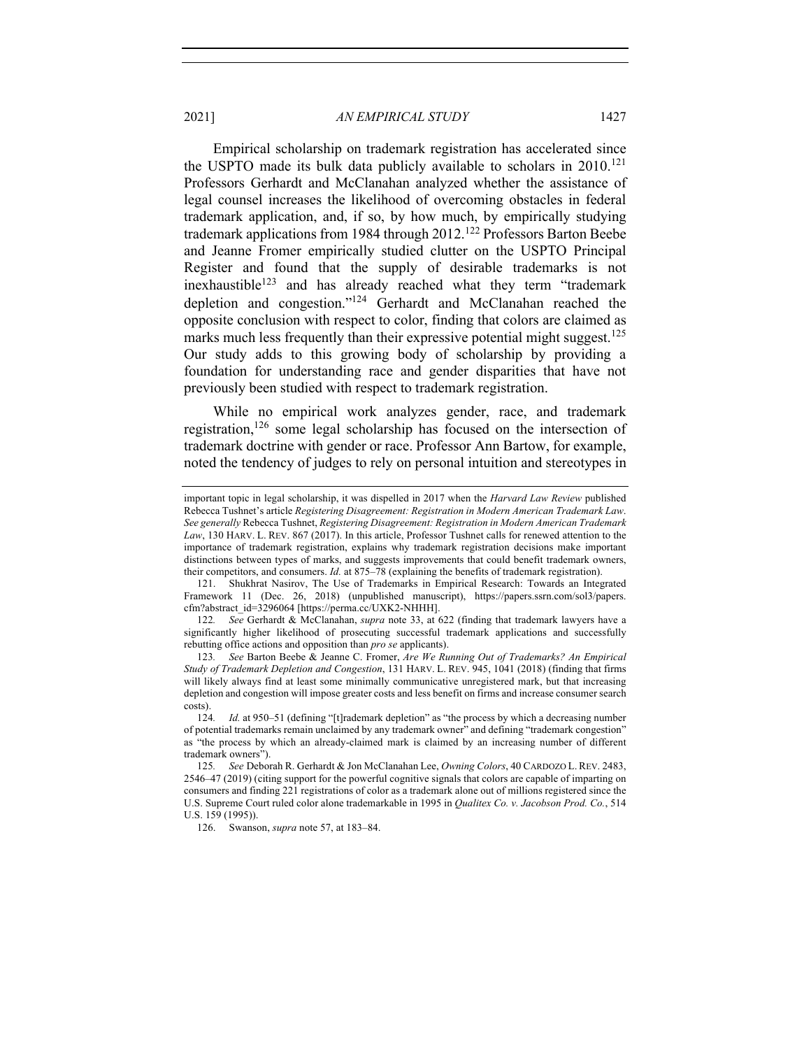Empirical scholarship on trademark registration has accelerated since the USPTO made its bulk data publicly available to scholars in  $2010$ <sup>[2]</sup> Professors Gerhardt and McClanahan analyzed whether the assistance of legal counsel increases the likelihood of overcoming obstacles in federal trademark application, and, if so, by how much, by empirically studying trademark applications from 1984 through 2012.<sup>122</sup> Professors Barton Beebe and Jeanne Fromer empirically studied clutter on the USPTO Principal Register and found that the supply of desirable trademarks is not inexhaustible<sup>123</sup> and has already reached what they term "trademark" depletion and congestion."124 Gerhardt and McClanahan reached the opposite conclusion with respect to color, finding that colors are claimed as marks much less frequently than their expressive potential might suggest.<sup>125</sup> Our study adds to this growing body of scholarship by providing a foundation for understanding race and gender disparities that have not previously been studied with respect to trademark registration.

While no empirical work analyzes gender, race, and trademark registration,<sup>126</sup> some legal scholarship has focused on the intersection of trademark doctrine with gender or race. Professor Ann Bartow, for example, noted the tendency of judges to rely on personal intuition and stereotypes in

126. Swanson, *supra* note 57, at 183–84.

important topic in legal scholarship, it was dispelled in 2017 when the *Harvard Law Review* published Rebecca Tushnet's article *Registering Disagreement: Registration in Modern American Trademark Law*. *See generally* Rebecca Tushnet, *Registering Disagreement: Registration in Modern American Trademark Law*, 130 HARV. L. REV. 867 (2017). In this article, Professor Tushnet calls for renewed attention to the importance of trademark registration, explains why trademark registration decisions make important distinctions between types of marks, and suggests improvements that could benefit trademark owners, their competitors, and consumers. *Id.* at 875–78 (explaining the benefits of trademark registration).

<sup>121.</sup> Shukhrat Nasirov, The Use of Trademarks in Empirical Research: Towards an Integrated Framework 11 (Dec. 26, 2018) (unpublished manuscript), https://papers.ssrn.com/sol3/papers. cfm?abstract\_id=3296064 [https://perma.cc/UXK2-NHHH].

<sup>122</sup>*. See* Gerhardt & McClanahan, *supra* note 33, at 622 (finding that trademark lawyers have a significantly higher likelihood of prosecuting successful trademark applications and successfully rebutting office actions and opposition than *pro se* applicants).

<sup>123</sup>*. See* Barton Beebe & Jeanne C. Fromer, *Are We Running Out of Trademarks? An Empirical Study of Trademark Depletion and Congestion*, 131 HARV. L. REV. 945, 1041 (2018) (finding that firms will likely always find at least some minimally communicative unregistered mark, but that increasing depletion and congestion will impose greater costs and less benefit on firms and increase consumer search costs).

<sup>124</sup>*. Id.* at 950–51 (defining "[t]rademark depletion" as "the process by which a decreasing number of potential trademarks remain unclaimed by any trademark owner" and defining "trademark congestion" as "the process by which an already-claimed mark is claimed by an increasing number of different trademark owners").

<sup>125</sup>*. See* Deborah R. Gerhardt & Jon McClanahan Lee, *Owning Colors*, 40 CARDOZO L. REV. 2483, 2546–47 (2019) (citing support for the powerful cognitive signals that colors are capable of imparting on consumers and finding 221 registrations of color as a trademark alone out of millions registered since the U.S. Supreme Court ruled color alone trademarkable in 1995 in *Qualitex Co. v. Jacobson Prod. Co.*, 514 U.S. 159 (1995)).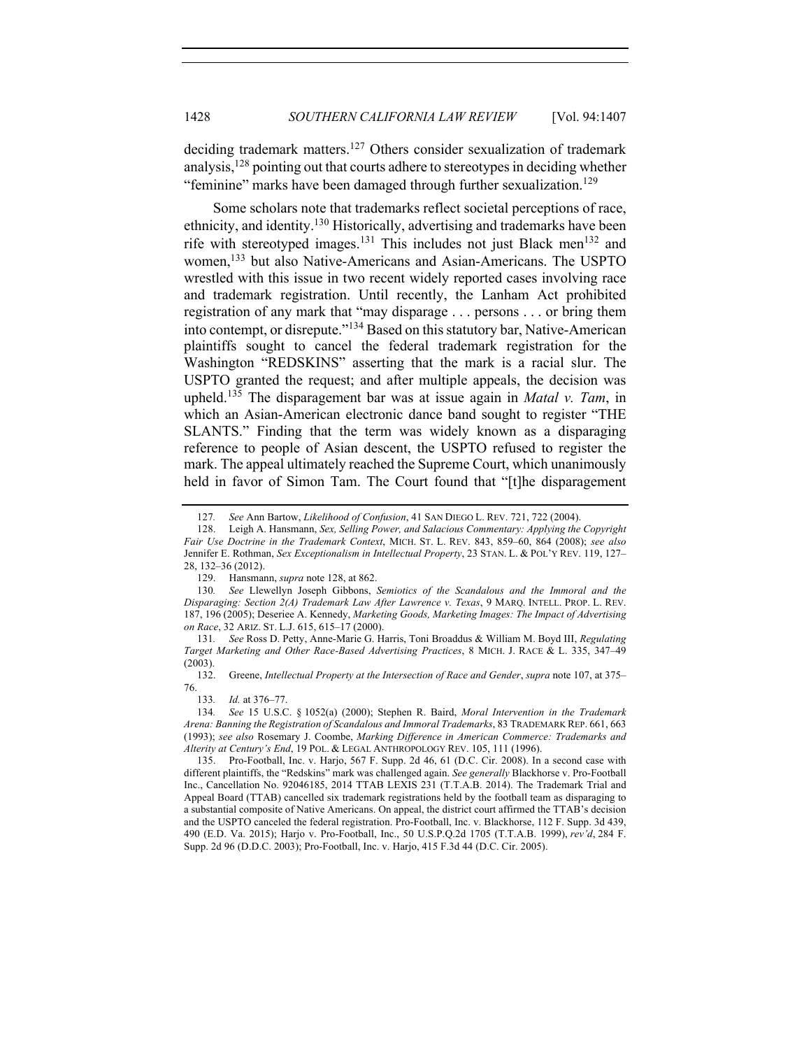deciding trademark matters.<sup>127</sup> Others consider sexualization of trademark analysis, $128$  pointing out that courts adhere to stereotypes in deciding whether "feminine" marks have been damaged through further sexualization.<sup>129</sup>

Some scholars note that trademarks reflect societal perceptions of race, ethnicity, and identity.<sup>130</sup> Historically, advertising and trademarks have been rife with stereotyped images.<sup>131</sup> This includes not just Black men<sup>132</sup> and women,<sup>133</sup> but also Native-Americans and Asian-Americans. The USPTO wrestled with this issue in two recent widely reported cases involving race and trademark registration. Until recently, the Lanham Act prohibited registration of any mark that "may disparage . . . persons . . . or bring them into contempt, or disrepute."<sup>134</sup> Based on this statutory bar, Native-American plaintiffs sought to cancel the federal trademark registration for the Washington "REDSKINS" asserting that the mark is a racial slur. The USPTO granted the request; and after multiple appeals, the decision was upheld.135 The disparagement bar was at issue again in *Matal v. Tam*, in which an Asian-American electronic dance band sought to register "THE SLANTS." Finding that the term was widely known as a disparaging reference to people of Asian descent, the USPTO refused to register the mark. The appeal ultimately reached the Supreme Court, which unanimously held in favor of Simon Tam. The Court found that "[t]he disparagement

129. Hansmann, *supra* note 128, at 862.

<sup>127</sup>*. See* Ann Bartow, *Likelihood of Confusion*, 41 SAN DIEGO L. REV. 721, 722 (2004).

<sup>128.</sup> Leigh A. Hansmann, *Sex, Selling Power, and Salacious Commentary: Applying the Copyright Fair Use Doctrine in the Trademark Context*, MICH. ST. L. REV. 843, 859–60, 864 (2008); *see also* Jennifer E. Rothman, *Sex Exceptionalism in Intellectual Property*, 23 STAN. L. & POL'Y REV. 119, 127– 28, 132–36 (2012).

<sup>130</sup>*. See* Llewellyn Joseph Gibbons, *Semiotics of the Scandalous and the Immoral and the Disparaging: Section 2(A) Trademark Law After Lawrence v. Texas*, 9 MARQ. INTELL. PROP. L. REV. 187, 196 (2005); Deseriee A. Kennedy, *Marketing Goods, Marketing Images: The Impact of Advertising on Race*, 32 ARIZ. ST. L.J. 615, 615–17 (2000).

<sup>131</sup>*. See* Ross D. Petty, Anne-Marie G. Harris, Toni Broaddus & William M. Boyd III, *Regulating Target Marketing and Other Race-Based Advertising Practices*, 8 MICH. J. RACE & L. 335, 347–49 (2003).

<sup>132.</sup> Greene, *Intellectual Property at the Intersection of Race and Gender*, *supra* note 107, at 375– 76.

<sup>133</sup>*. Id.* at 376–77.

<sup>134</sup>*. See* 15 U.S.C. § 1052(a) (2000); Stephen R. Baird, *Moral Intervention in the Trademark Arena: Banning the Registration of Scandalous and Immoral Trademarks*, 83 TRADEMARK REP. 661, 663 (1993); *see also* Rosemary J. Coombe, *Marking Difference in American Commerce: Trademarks and Alterity at Century's End*, 19 POL. & LEGAL ANTHROPOLOGY REV. 105, 111 (1996).

<sup>135.</sup> Pro-Football, Inc. v. Harjo, 567 F. Supp. 2d 46, 61 (D.C. Cir. 2008). In a second case with different plaintiffs, the "Redskins" mark was challenged again. *See generally* Blackhorse v. Pro-Football Inc., Cancellation No. 92046185, 2014 TTAB LEXIS 231 (T.T.A.B. 2014). The Trademark Trial and Appeal Board (TTAB) cancelled six trademark registrations held by the football team as disparaging to a substantial composite of Native Americans. On appeal, the district court affirmed the TTAB's decision and the USPTO canceled the federal registration. Pro-Football, Inc. v. Blackhorse, 112 F. Supp. 3d 439, 490 (E.D. Va. 2015); Harjo v. Pro-Football, Inc., 50 U.S.P.Q.2d 1705 (T.T.A.B. 1999), *rev'd*, 284 F. Supp. 2d 96 (D.D.C. 2003); Pro-Football, Inc. v. Harjo, 415 F.3d 44 (D.C. Cir. 2005).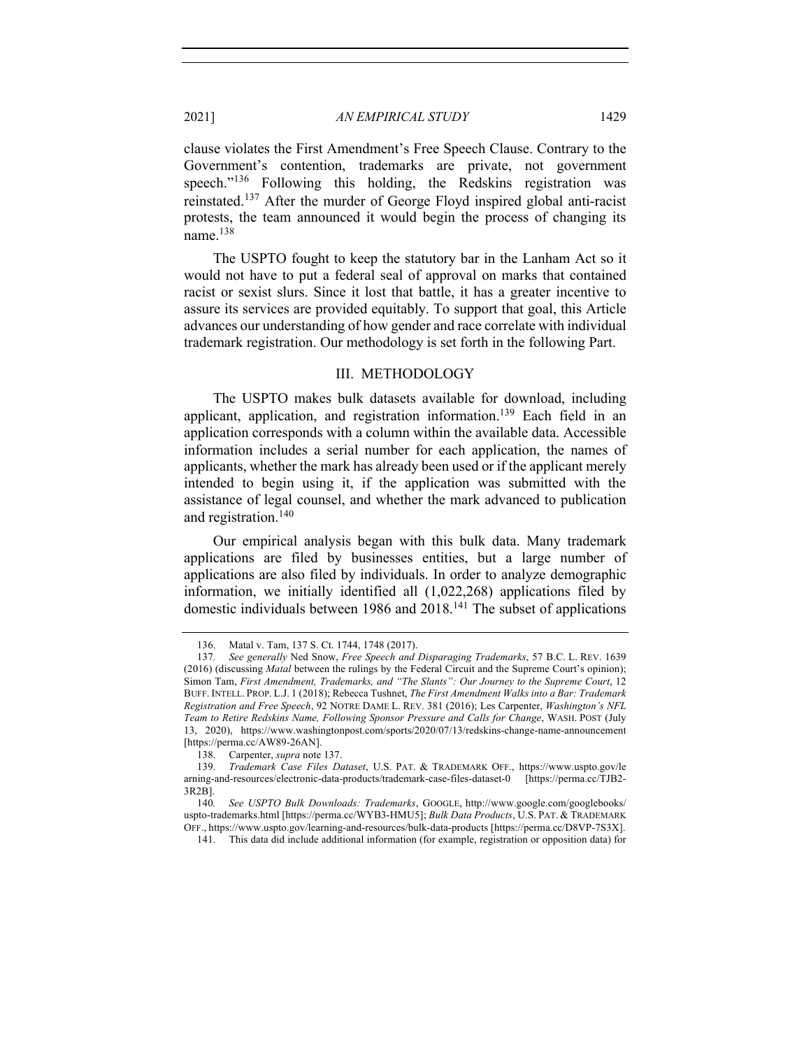clause violates the First Amendment's Free Speech Clause. Contrary to the Government's contention, trademarks are private, not government speech."<sup>136</sup> Following this holding, the Redskins registration was reinstated.<sup>137</sup> After the murder of George Floyd inspired global anti-racist protests, the team announced it would begin the process of changing its name.<sup>138</sup>

The USPTO fought to keep the statutory bar in the Lanham Act so it would not have to put a federal seal of approval on marks that contained racist or sexist slurs. Since it lost that battle, it has a greater incentive to assure its services are provided equitably. To support that goal, this Article advances our understanding of how gender and race correlate with individual trademark registration. Our methodology is set forth in the following Part.

#### III. METHODOLOGY

The USPTO makes bulk datasets available for download, including applicant, application, and registration information.<sup>139</sup> Each field in an application corresponds with a column within the available data. Accessible information includes a serial number for each application, the names of applicants, whether the mark has already been used or if the applicant merely intended to begin using it, if the application was submitted with the assistance of legal counsel, and whether the mark advanced to publication and registration.<sup>140</sup>

Our empirical analysis began with this bulk data. Many trademark applications are filed by businesses entities, but a large number of applications are also filed by individuals. In order to analyze demographic information, we initially identified all (1,022,268) applications filed by domestic individuals between 1986 and 2018.<sup>141</sup> The subset of applications

<sup>136.</sup> Matal v. Tam, 137 S. Ct. 1744, 1748 (2017).

<sup>137</sup>*. See generally* Ned Snow, *Free Speech and Disparaging Trademarks*, 57 B.C. L. REV. 1639 (2016) (discussing *Matal* between the rulings by the Federal Circuit and the Supreme Court's opinion); Simon Tam, *First Amendment, Trademarks, and "The Slants": Our Journey to the Supreme Court*, 12 BUFF. INTELL. PROP. L.J. 1 (2018); Rebecca Tushnet, *The First Amendment Walks into a Bar: Trademark Registration and Free Speech*, 92 NOTRE DAME L. REV. 381 (2016); Les Carpenter, *Washington's NFL Team to Retire Redskins Name, Following Sponsor Pressure and Calls for Change*, WASH. POST (July 13, 2020), https://www.washingtonpost.com/sports/2020/07/13/redskins-change-name-announcement [https://perma.cc/AW89-26AN].

<sup>138.</sup> Carpenter, *supra* note 137.

<sup>139.</sup> *Trademark Case Files Dataset*, U.S. PAT. & TRADEMARK OFF., https://www.uspto.gov/le arning-and-resources/electronic-data-products/trademark-case-files-dataset-0 [https://perma.cc/TJB2- 3R2B].

<sup>140</sup>*. See USPTO Bulk Downloads: Trademarks*, GOOGLE, http://www.google.com/googlebooks/ uspto-trademarks.html [https://perma.cc/WYB3-HMU5]; *Bulk Data Products*, U.S. PAT. & TRADEMARK OFF., https://www.uspto.gov/learning-and-resources/bulk-data-products [https://perma.cc/D8VP-7S3X].

<sup>141.</sup> This data did include additional information (for example, registration or opposition data) for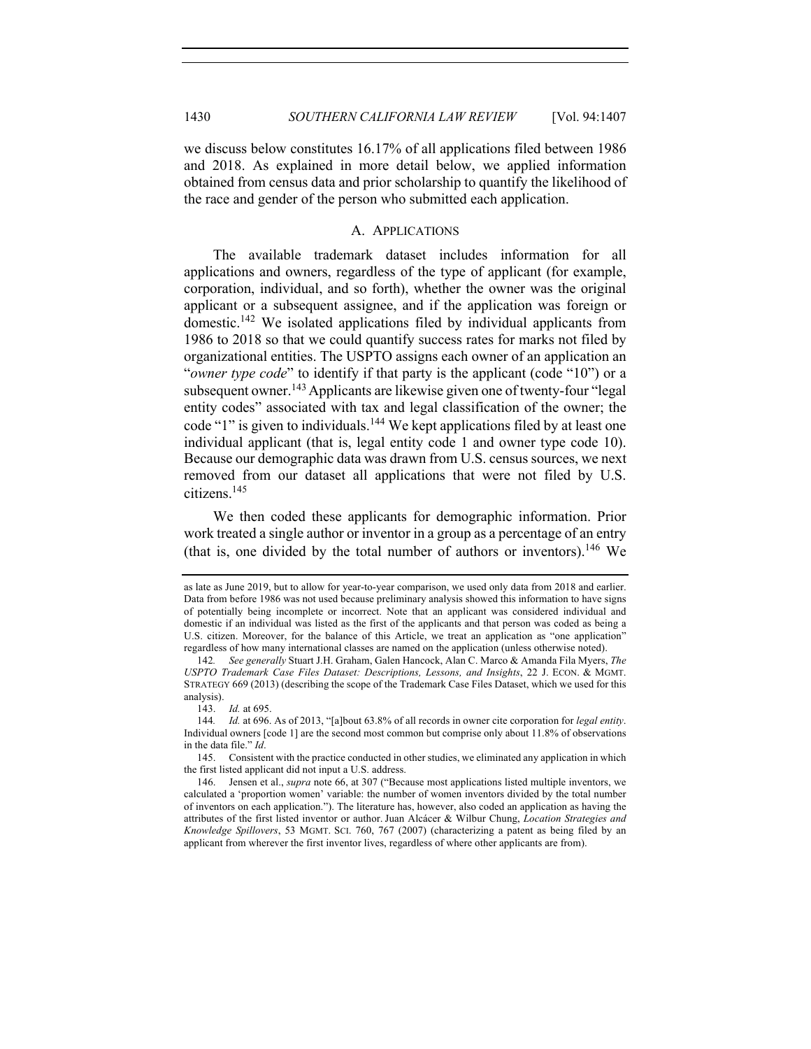we discuss below constitutes 16.17% of all applications filed between 1986 and 2018. As explained in more detail below, we applied information obtained from census data and prior scholarship to quantify the likelihood of the race and gender of the person who submitted each application.

#### A. APPLICATIONS

The available trademark dataset includes information for all applications and owners, regardless of the type of applicant (for example, corporation, individual, and so forth), whether the owner was the original applicant or a subsequent assignee, and if the application was foreign or domestic.142 We isolated applications filed by individual applicants from 1986 to 2018 so that we could quantify success rates for marks not filed by organizational entities. The USPTO assigns each owner of an application an "*owner type code*" to identify if that party is the applicant (code "10") or a subsequent owner.<sup>143</sup> Applicants are likewise given one of twenty-four "legal" entity codes" associated with tax and legal classification of the owner; the code "1" is given to individuals.<sup>144</sup> We kept applications filed by at least one individual applicant (that is, legal entity code 1 and owner type code 10). Because our demographic data was drawn from U.S. census sources, we next removed from our dataset all applications that were not filed by U.S. citizens.145

We then coded these applicants for demographic information. Prior work treated a single author or inventor in a group as a percentage of an entry (that is, one divided by the total number of authors or inventors).<sup>146</sup> We

as late as June 2019, but to allow for year-to-year comparison, we used only data from 2018 and earlier. Data from before 1986 was not used because preliminary analysis showed this information to have signs of potentially being incomplete or incorrect. Note that an applicant was considered individual and domestic if an individual was listed as the first of the applicants and that person was coded as being a U.S. citizen. Moreover, for the balance of this Article, we treat an application as "one application" regardless of how many international classes are named on the application (unless otherwise noted).

<sup>142</sup>*. See generally* Stuart J.H. Graham, Galen Hancock, Alan C. Marco & Amanda Fila Myers, *The USPTO Trademark Case Files Dataset: Descriptions, Lessons, and Insights*, 22 J. ECON. & MGMT. STRATEGY 669 (2013) (describing the scope of the Trademark Case Files Dataset, which we used for this analysis).

<sup>143.</sup> *Id.* at 695.<br>144. *Id.* at 696.

<sup>144</sup>*. Id.* at 696. As of 2013, "[a]bout 63.8% of all records in owner cite corporation for *legal entity*. Individual owners [code 1] are the second most common but comprise only about 11.8% of observations in the data file." *Id*.

<sup>145.</sup> Consistent with the practice conducted in other studies, we eliminated any application in which the first listed applicant did not input a U.S. address.

<sup>146.</sup> Jensen et al., *supra* note 66, at 307 ("Because most applications listed multiple inventors, we calculated a 'proportion women' variable: the number of women inventors divided by the total number of inventors on each application."). The literature has, however, also coded an application as having the attributes of the first listed inventor or author. Juan Alcácer & Wilbur Chung, *Location Strategies and Knowledge Spillovers*, 53 MGMT. SCI. 760, 767 (2007) (characterizing a patent as being filed by an applicant from wherever the first inventor lives, regardless of where other applicants are from).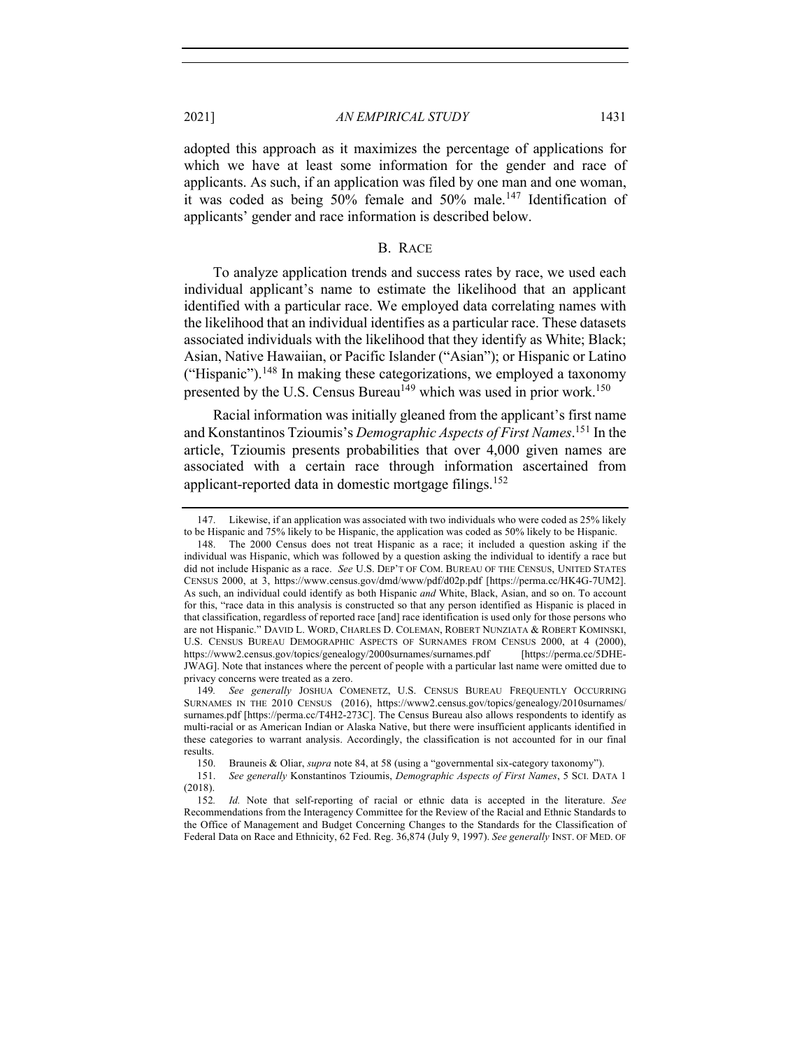adopted this approach as it maximizes the percentage of applications for which we have at least some information for the gender and race of applicants. As such, if an application was filed by one man and one woman, it was coded as being  $50\%$  female and  $50\%$  male.<sup>147</sup> Identification of applicants' gender and race information is described below.

#### B. RACE

To analyze application trends and success rates by race, we used each individual applicant's name to estimate the likelihood that an applicant identified with a particular race. We employed data correlating names with the likelihood that an individual identifies as a particular race. These datasets associated individuals with the likelihood that they identify as White; Black; Asian, Native Hawaiian, or Pacific Islander ("Asian"); or Hispanic or Latino ("Hispanic").<sup>148</sup> In making these categorizations, we employed a taxonomy presented by the U.S. Census Bureau<sup>149</sup> which was used in prior work.<sup>150</sup>

Racial information was initially gleaned from the applicant's first name and Konstantinos Tzioumis's *Demographic Aspects of First Names*. <sup>151</sup> In the article, Tzioumis presents probabilities that over 4,000 given names are associated with a certain race through information ascertained from applicant-reported data in domestic mortgage filings.<sup>152</sup>

<sup>147.</sup> Likewise, if an application was associated with two individuals who were coded as 25% likely to be Hispanic and 75% likely to be Hispanic, the application was coded as 50% likely to be Hispanic.

<sup>148.</sup> The 2000 Census does not treat Hispanic as a race; it included a question asking if the individual was Hispanic, which was followed by a question asking the individual to identify a race but did not include Hispanic as a race. *See* U.S. DEP'T OF COM. BUREAU OF THE CENSUS, UNITED STATES CENSUS 2000, at 3, https://www.census.gov/dmd/www/pdf/d02p.pdf [https://perma.cc/HK4G-7UM2]. As such, an individual could identify as both Hispanic *and* White, Black, Asian, and so on. To account for this, "race data in this analysis is constructed so that any person identified as Hispanic is placed in that classification, regardless of reported race [and] race identification is used only for those persons who are not Hispanic." DAVID L. WORD, CHARLES D. COLEMAN, ROBERT NUNZIATA & ROBERT KOMINSKI, U.S. CENSUS BUREAU DEMOGRAPHIC ASPECTS OF SURNAMES FROM CENSUS 2000, at 4 (2000), https://www2.census.gov/topics/genealogy/2000surnames/surnames.pdf [https://perma.cc/5DHE-JWAG]. Note that instances where the percent of people with a particular last name were omitted due to privacy concerns were treated as a zero.

<sup>149</sup>*. See generally* JOSHUA COMENETZ, U.S. CENSUS BUREAU FREQUENTLY OCCURRING SURNAMES IN THE 2010 CENSUS (2016), https://www2.census.gov/topics/genealogy/2010surnames/ surnames.pdf [https://perma.cc/T4H2-273C]. The Census Bureau also allows respondents to identify as multi-racial or as American Indian or Alaska Native, but there were insufficient applicants identified in these categories to warrant analysis. Accordingly, the classification is not accounted for in our final results.<br> $150$ .

<sup>150.</sup> Brauneis & Oliar, *supra* note 84, at 58 (using a "governmental six-category taxonomy").

<sup>151.</sup> *See generally* Konstantinos Tzioumis, *Demographic Aspects of First Names*, 5 SCI. DATA 1 (2018).

<sup>152</sup>*. Id.* Note that self-reporting of racial or ethnic data is accepted in the literature. *See* Recommendations from the Interagency Committee for the Review of the Racial and Ethnic Standards to the Office of Management and Budget Concerning Changes to the Standards for the Classification of Federal Data on Race and Ethnicity, 62 Fed. Reg. 36,874 (July 9, 1997). *See generally* INST. OF MED. OF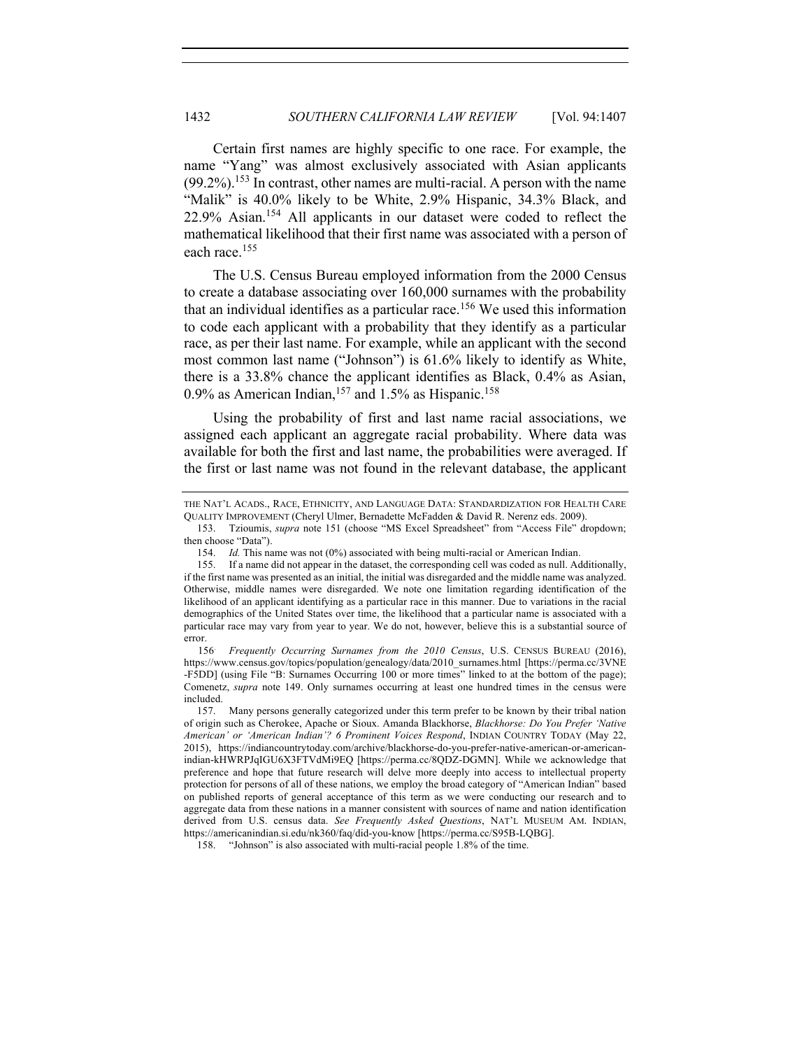Certain first names are highly specific to one race. For example, the name "Yang" was almost exclusively associated with Asian applicants  $(99.2\%)$ <sup>153</sup> In contrast, other names are multi-racial. A person with the name "Malik" is 40.0% likely to be White, 2.9% Hispanic, 34.3% Black, and 22.9% Asian. <sup>154</sup> All applicants in our dataset were coded to reflect the mathematical likelihood that their first name was associated with a person of each race.155

The U.S. Census Bureau employed information from the 2000 Census to create a database associating over 160,000 surnames with the probability that an individual identifies as a particular race.<sup>156</sup> We used this information to code each applicant with a probability that they identify as a particular race, as per their last name. For example, while an applicant with the second most common last name ("Johnson") is 61.6% likely to identify as White, there is a 33.8% chance the applicant identifies as Black, 0.4% as Asian, 0.9% as American Indian,  $157$  and 1.5% as Hispanic.<sup>158</sup>

Using the probability of first and last name racial associations, we assigned each applicant an aggregate racial probability. Where data was available for both the first and last name, the probabilities were averaged. If the first or last name was not found in the relevant database, the applicant

THE NAT'L ACADS., RACE, ETHNICITY, AND LANGUAGE DATA: STANDARDIZATION FOR HEALTH CARE QUALITY IMPROVEMENT (Cheryl Ulmer, Bernadette McFadden & David R. Nerenz eds. 2009).

<sup>153.</sup> Tzioumis, *supra* note 151 (choose "MS Excel Spreadsheet" from "Access File" dropdown; then choose "Data").

<sup>154.</sup> *Id.* This name was not (0%) associated with being multi-racial or American Indian.

<sup>155.</sup> If a name did not appear in the dataset, the corresponding cell was coded as null. Additionally, if the first name was presented as an initial, the initial was disregarded and the middle name was analyzed. Otherwise, middle names were disregarded. We note one limitation regarding identification of the likelihood of an applicant identifying as a particular race in this manner. Due to variations in the racial demographics of the United States over time, the likelihood that a particular name is associated with a particular race may vary from year to year. We do not, however, believe this is a substantial source of error.

<sup>156</sup>. *Frequently Occurring Surnames from the 2010 Census*, U.S. CENSUS BUREAU (2016), https://www.census.gov/topics/population/genealogy/data/2010\_surnames.html [https://perma.cc/3VNE -F5DD] (using File "B: Surnames Occurring 100 or more times" linked to at the bottom of the page); Comenetz, *supra* note 149. Only surnames occurring at least one hundred times in the census were included.

<sup>157.</sup> Many persons generally categorized under this term prefer to be known by their tribal nation of origin such as Cherokee, Apache or Sioux. Amanda Blackhorse, *Blackhorse: Do You Prefer 'Native American' or 'American Indian'? 6 Prominent Voices Respond*, INDIAN COUNTRY TODAY (May 22, 2015), https://indiancountrytoday.com/archive/blackhorse-do-you-prefer-native-american-or-americanindian-kHWRPJqIGU6X3FTVdMi9EQ [https://perma.cc/8QDZ-DGMN]. While we acknowledge that preference and hope that future research will delve more deeply into access to intellectual property protection for persons of all of these nations, we employ the broad category of "American Indian" based on published reports of general acceptance of this term as we were conducting our research and to aggregate data from these nations in a manner consistent with sources of name and nation identification derived from U.S. census data. *See Frequently Asked Questions*, NAT'L MUSEUM AM. INDIAN, https://americanindian.si.edu/nk360/faq/did-you-know [https://perma.cc/S95B-LQBG].

<sup>158.</sup> "Johnson" is also associated with multi-racial people 1.8% of the time.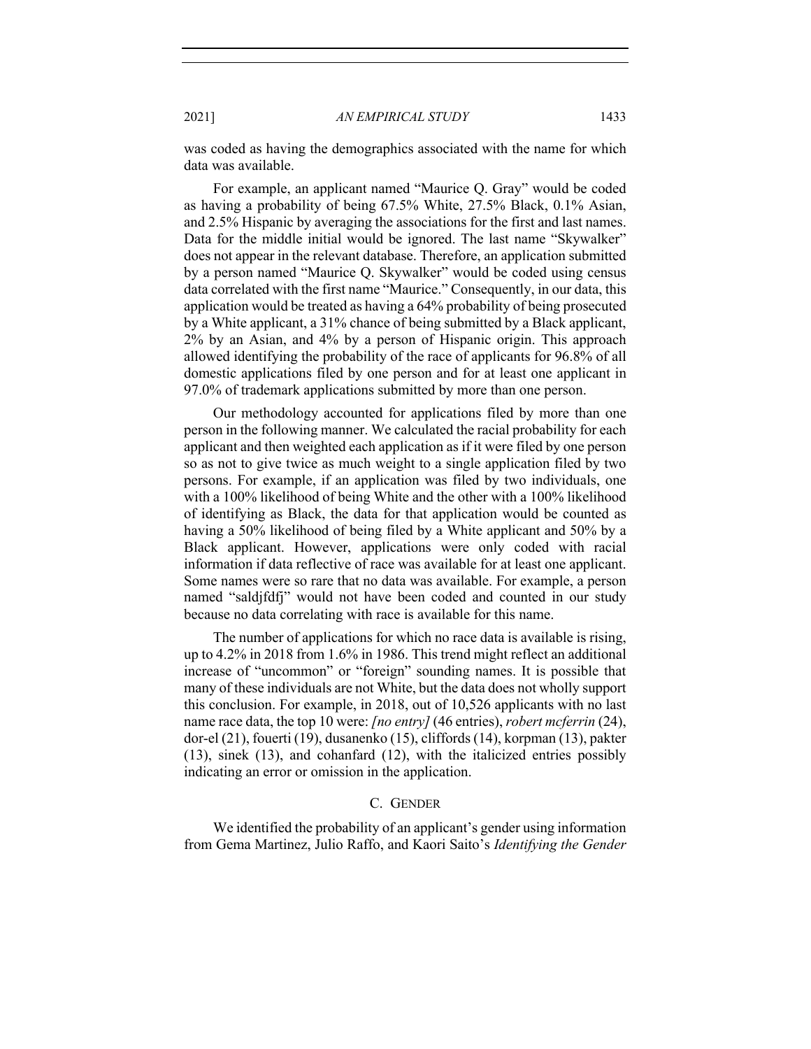was coded as having the demographics associated with the name for which data was available.

For example, an applicant named "Maurice Q. Gray" would be coded as having a probability of being 67.5% White, 27.5% Black, 0.1% Asian, and 2.5% Hispanic by averaging the associations for the first and last names. Data for the middle initial would be ignored. The last name "Skywalker" does not appear in the relevant database. Therefore, an application submitted by a person named "Maurice Q. Skywalker" would be coded using census data correlated with the first name "Maurice." Consequently, in our data, this application would be treated as having a 64% probability of being prosecuted by a White applicant, a 31% chance of being submitted by a Black applicant, 2% by an Asian, and 4% by a person of Hispanic origin. This approach allowed identifying the probability of the race of applicants for 96.8% of all domestic applications filed by one person and for at least one applicant in 97.0% of trademark applications submitted by more than one person.

Our methodology accounted for applications filed by more than one person in the following manner. We calculated the racial probability for each applicant and then weighted each application as if it were filed by one person so as not to give twice as much weight to a single application filed by two persons. For example, if an application was filed by two individuals, one with a 100% likelihood of being White and the other with a 100% likelihood of identifying as Black, the data for that application would be counted as having a 50% likelihood of being filed by a White applicant and 50% by a Black applicant. However, applications were only coded with racial information if data reflective of race was available for at least one applicant. Some names were so rare that no data was available. For example, a person named "saldjfdfj" would not have been coded and counted in our study because no data correlating with race is available for this name.

The number of applications for which no race data is available is rising, up to 4.2% in 2018 from 1.6% in 1986. This trend might reflect an additional increase of "uncommon" or "foreign" sounding names. It is possible that many of these individuals are not White, but the data does not wholly support this conclusion. For example, in 2018, out of 10,526 applicants with no last name race data, the top 10 were: *[no entry]* (46 entries), *robert mcferrin* (24), dor-el (21), fouerti (19), dusanenko (15), cliffords (14), korpman (13), pakter (13), sinek (13), and cohanfard (12), with the italicized entries possibly indicating an error or omission in the application.

#### C. GENDER

We identified the probability of an applicant's gender using information from Gema Martinez, Julio Raffo, and Kaori Saito's *Identifying the Gender*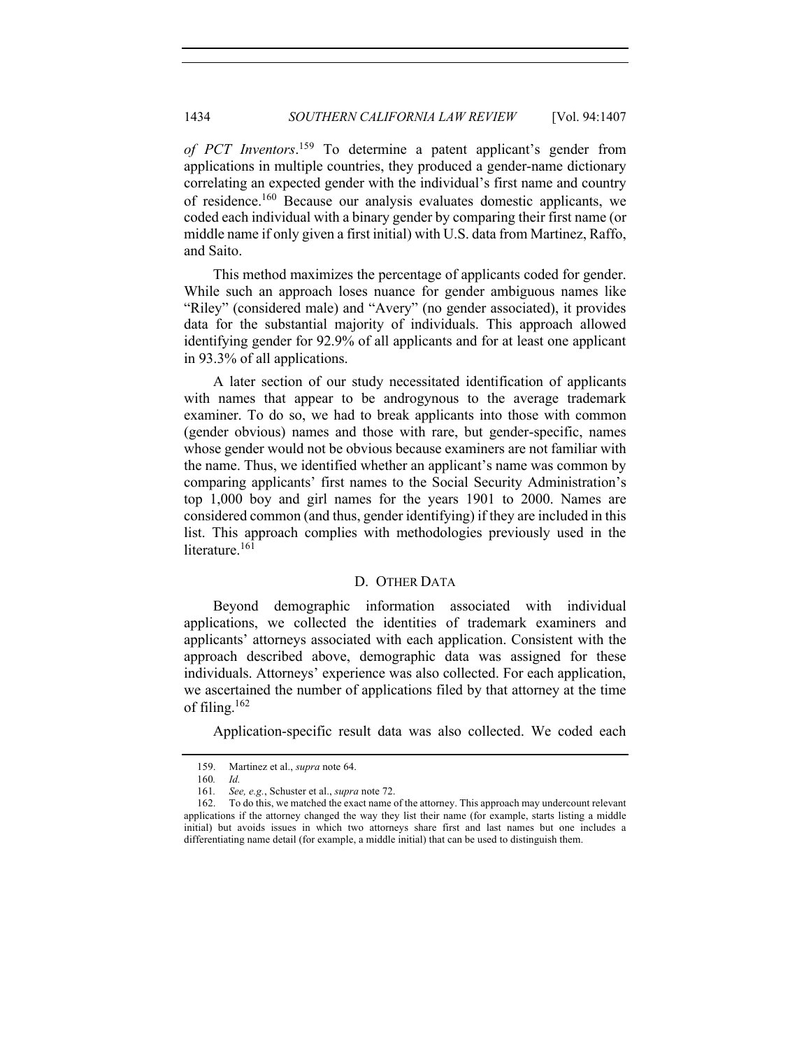*of PCT Inventors*. <sup>159</sup> To determine a patent applicant's gender from applications in multiple countries, they produced a gender-name dictionary correlating an expected gender with the individual's first name and country of residence.<sup>160</sup> Because our analysis evaluates domestic applicants, we coded each individual with a binary gender by comparing their first name (or middle name if only given a first initial) with U.S. data from Martinez, Raffo, and Saito.

This method maximizes the percentage of applicants coded for gender. While such an approach loses nuance for gender ambiguous names like "Riley" (considered male) and "Avery" (no gender associated), it provides data for the substantial majority of individuals. This approach allowed identifying gender for 92.9% of all applicants and for at least one applicant in 93.3% of all applications.

A later section of our study necessitated identification of applicants with names that appear to be androgynous to the average trademark examiner. To do so, we had to break applicants into those with common (gender obvious) names and those with rare, but gender-specific, names whose gender would not be obvious because examiners are not familiar with the name. Thus, we identified whether an applicant's name was common by comparing applicants' first names to the Social Security Administration's top 1,000 boy and girl names for the years 1901 to 2000. Names are considered common (and thus, gender identifying) if they are included in this list. This approach complies with methodologies previously used in the literature.<sup>161</sup>

#### D. OTHER DATA

Beyond demographic information associated with individual applications, we collected the identities of trademark examiners and applicants' attorneys associated with each application. Consistent with the approach described above, demographic data was assigned for these individuals. Attorneys' experience was also collected. For each application, we ascertained the number of applications filed by that attorney at the time of filing. $162$ 

Application-specific result data was also collected. We coded each

<sup>159.</sup> Martinez et al., *supra* note 64.

<sup>160</sup>*. Id.*

<sup>161</sup>*. See, e.g.*, Schuster et al., *supra* note 72.

<sup>162.</sup> To do this, we matched the exact name of the attorney. This approach may undercount relevant applications if the attorney changed the way they list their name (for example, starts listing a middle initial) but avoids issues in which two attorneys share first and last names but one includes a differentiating name detail (for example, a middle initial) that can be used to distinguish them.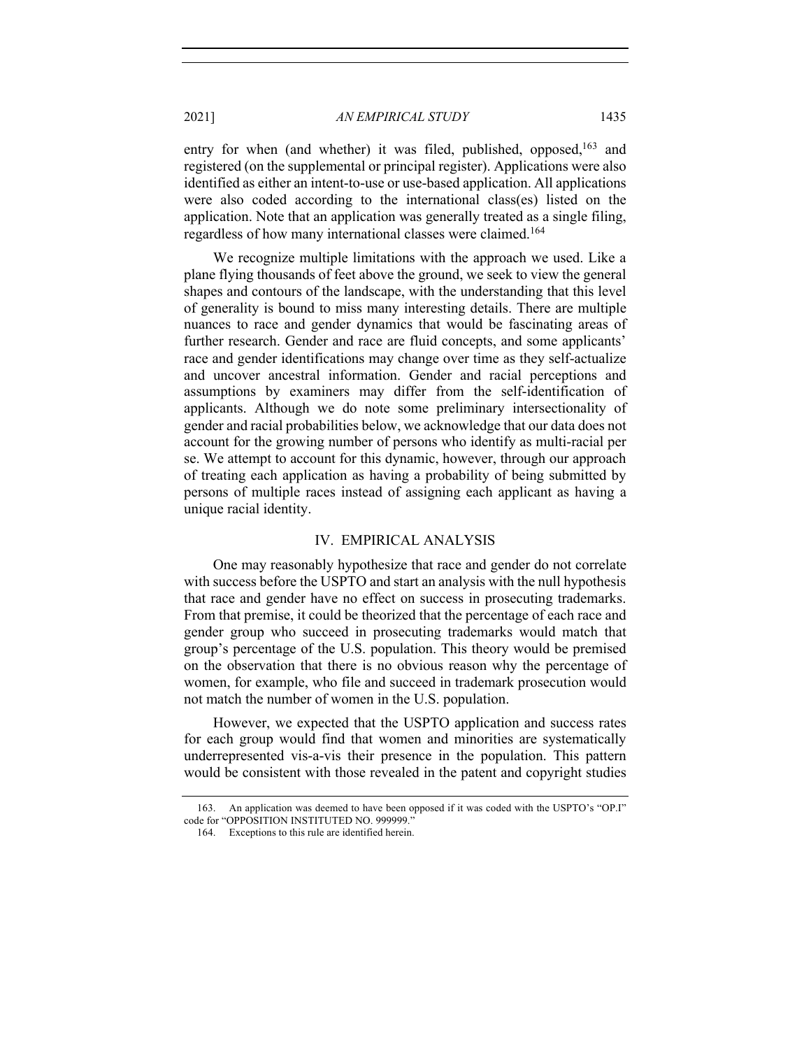entry for when (and whether) it was filed, published, opposed,<sup>163</sup> and registered (on the supplemental or principal register). Applications were also identified as either an intent-to-use or use-based application. All applications were also coded according to the international class(es) listed on the application. Note that an application was generally treated as a single filing, regardless of how many international classes were claimed.<sup>164</sup>

We recognize multiple limitations with the approach we used. Like a plane flying thousands of feet above the ground, we seek to view the general shapes and contours of the landscape, with the understanding that this level of generality is bound to miss many interesting details. There are multiple nuances to race and gender dynamics that would be fascinating areas of further research. Gender and race are fluid concepts, and some applicants' race and gender identifications may change over time as they self-actualize and uncover ancestral information. Gender and racial perceptions and assumptions by examiners may differ from the self-identification of applicants. Although we do note some preliminary intersectionality of gender and racial probabilities below, we acknowledge that our data does not account for the growing number of persons who identify as multi-racial per se. We attempt to account for this dynamic, however, through our approach of treating each application as having a probability of being submitted by persons of multiple races instead of assigning each applicant as having a unique racial identity.

#### IV. EMPIRICAL ANALYSIS

One may reasonably hypothesize that race and gender do not correlate with success before the USPTO and start an analysis with the null hypothesis that race and gender have no effect on success in prosecuting trademarks. From that premise, it could be theorized that the percentage of each race and gender group who succeed in prosecuting trademarks would match that group's percentage of the U.S. population. This theory would be premised on the observation that there is no obvious reason why the percentage of women, for example, who file and succeed in trademark prosecution would not match the number of women in the U.S. population.

However, we expected that the USPTO application and success rates for each group would find that women and minorities are systematically underrepresented vis-a-vis their presence in the population. This pattern would be consistent with those revealed in the patent and copyright studies

<sup>163.</sup> An application was deemed to have been opposed if it was coded with the USPTO's "OP.I" code for "OPPOSITION INSTITUTED NO. 999999."

<sup>164.</sup> Exceptions to this rule are identified herein.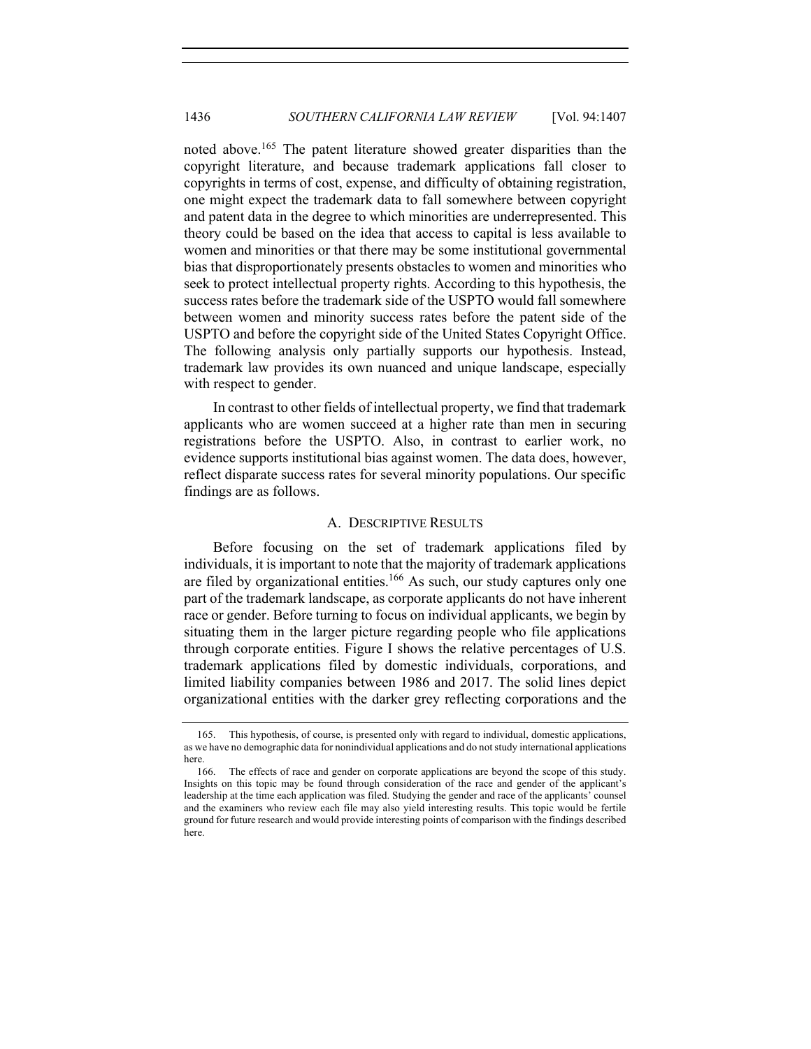noted above.<sup>165</sup> The patent literature showed greater disparities than the copyright literature, and because trademark applications fall closer to copyrights in terms of cost, expense, and difficulty of obtaining registration, one might expect the trademark data to fall somewhere between copyright and patent data in the degree to which minorities are underrepresented. This theory could be based on the idea that access to capital is less available to women and minorities or that there may be some institutional governmental bias that disproportionately presents obstacles to women and minorities who seek to protect intellectual property rights. According to this hypothesis, the success rates before the trademark side of the USPTO would fall somewhere between women and minority success rates before the patent side of the USPTO and before the copyright side of the United States Copyright Office. The following analysis only partially supports our hypothesis. Instead, trademark law provides its own nuanced and unique landscape, especially with respect to gender.

In contrast to other fields of intellectual property, we find that trademark applicants who are women succeed at a higher rate than men in securing registrations before the USPTO. Also, in contrast to earlier work, no evidence supports institutional bias against women. The data does, however, reflect disparate success rates for several minority populations. Our specific findings are as follows.

# A. DESCRIPTIVE RESULTS

Before focusing on the set of trademark applications filed by individuals, it is important to note that the majority of trademark applications are filed by organizational entities.<sup>166</sup> As such, our study captures only one part of the trademark landscape, as corporate applicants do not have inherent race or gender. Before turning to focus on individual applicants, we begin by situating them in the larger picture regarding people who file applications through corporate entities. Figure I shows the relative percentages of U.S. trademark applications filed by domestic individuals, corporations, and limited liability companies between 1986 and 2017. The solid lines depict organizational entities with the darker grey reflecting corporations and the

<sup>165.</sup> This hypothesis, of course, is presented only with regard to individual, domestic applications, as we have no demographic data for nonindividual applications and do not study international applications here.

<sup>166.</sup> The effects of race and gender on corporate applications are beyond the scope of this study. Insights on this topic may be found through consideration of the race and gender of the applicant's leadership at the time each application was filed. Studying the gender and race of the applicants' counsel and the examiners who review each file may also yield interesting results. This topic would be fertile ground for future research and would provide interesting points of comparison with the findings described here.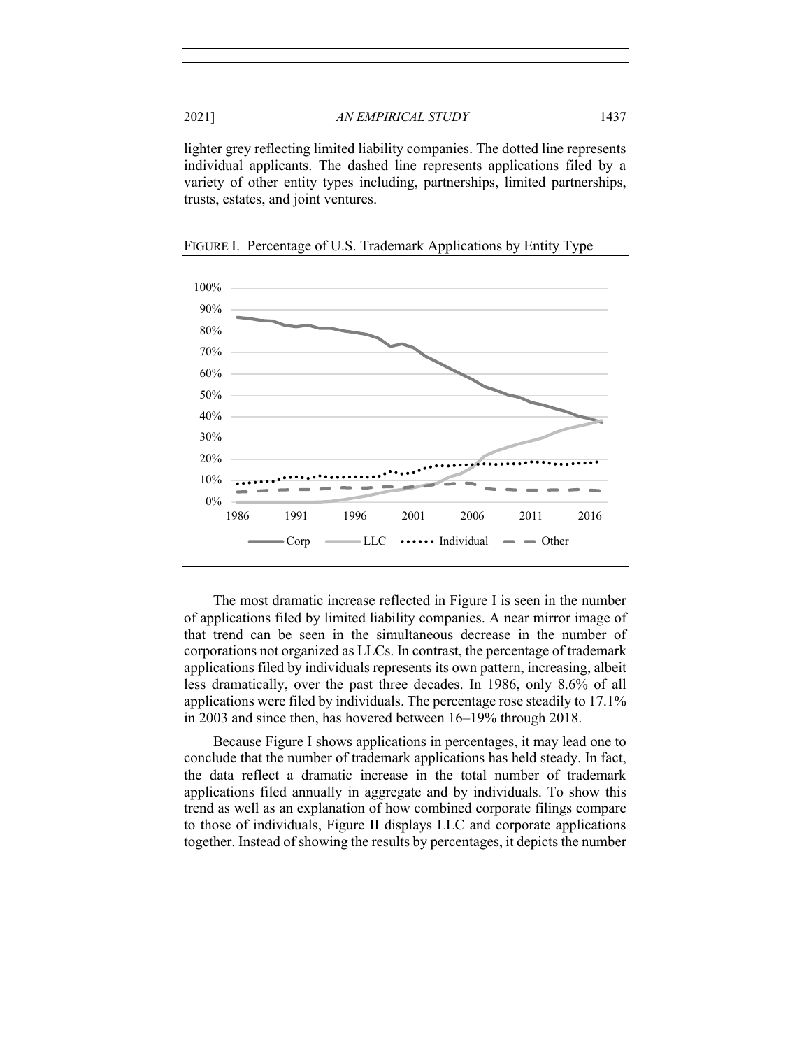lighter grey reflecting limited liability companies. The dotted line represents individual applicants. The dashed line represents applications filed by a variety of other entity types including, partnerships, limited partnerships, trusts, estates, and joint ventures.



FIGURE I. Percentage of U.S. Trademark Applications by Entity Type

The most dramatic increase reflected in Figure I is seen in the number of applications filed by limited liability companies. A near mirror image of that trend can be seen in the simultaneous decrease in the number of corporations not organized as LLCs. In contrast, the percentage of trademark applications filed by individuals represents its own pattern, increasing, albeit less dramatically, over the past three decades. In 1986, only 8.6% of all applications were filed by individuals. The percentage rose steadily to 17.1% in 2003 and since then, has hovered between 16–19% through 2018.

Because Figure I shows applications in percentages, it may lead one to conclude that the number of trademark applications has held steady. In fact, the data reflect a dramatic increase in the total number of trademark applications filed annually in aggregate and by individuals. To show this trend as well as an explanation of how combined corporate filings compare to those of individuals, Figure II displays LLC and corporate applications together. Instead of showing the results by percentages, it depicts the number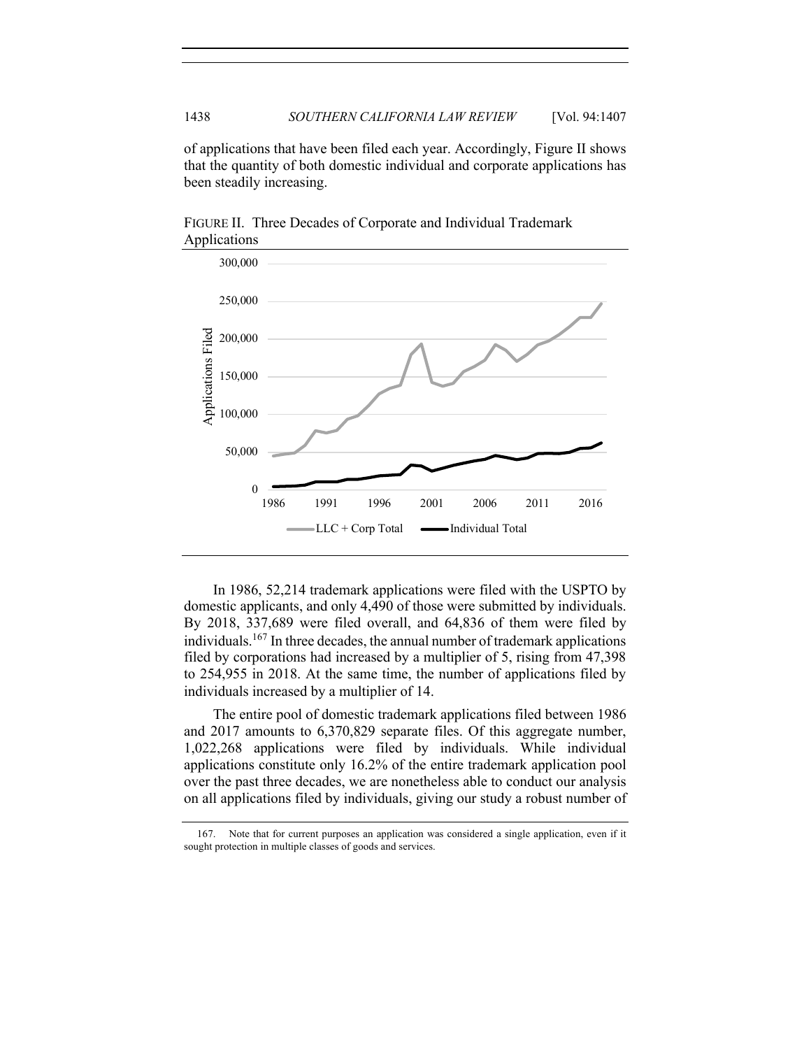of applications that have been filed each year. Accordingly, Figure II shows that the quantity of both domestic individual and corporate applications has been steadily increasing.



FIGURE II. Three Decades of Corporate and Individual Trademark Applications

In 1986, 52,214 trademark applications were filed with the USPTO by domestic applicants, and only 4,490 of those were submitted by individuals. By 2018, 337,689 were filed overall, and 64,836 of them were filed by individuals.167 In three decades, the annual number of trademark applications filed by corporations had increased by a multiplier of 5, rising from 47,398 to 254,955 in 2018. At the same time, the number of applications filed by individuals increased by a multiplier of 14.

The entire pool of domestic trademark applications filed between 1986 and 2017 amounts to 6,370,829 separate files. Of this aggregate number, 1,022,268 applications were filed by individuals. While individual applications constitute only 16.2% of the entire trademark application pool over the past three decades, we are nonetheless able to conduct our analysis on all applications filed by individuals, giving our study a robust number of

<sup>167.</sup> Note that for current purposes an application was considered a single application, even if it sought protection in multiple classes of goods and services.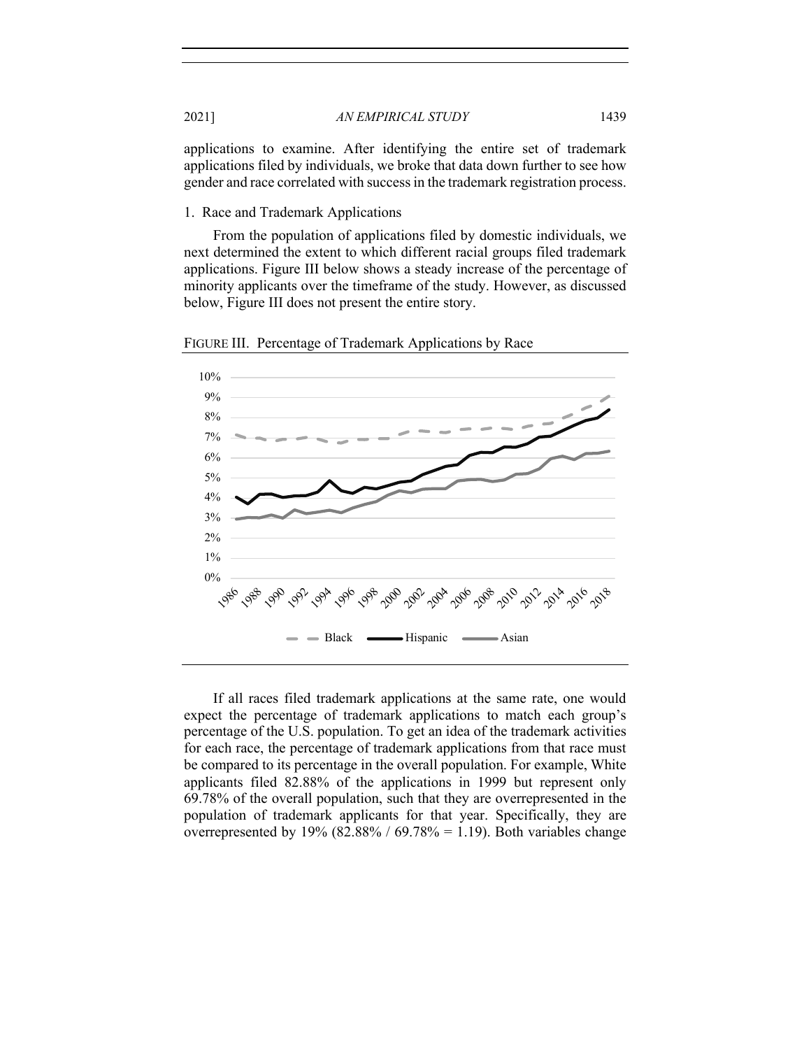applications to examine. After identifying the entire set of trademark applications filed by individuals, we broke that data down further to see how gender and race correlated with success in the trademark registration process.

# 1. Race and Trademark Applications

From the population of applications filed by domestic individuals, we next determined the extent to which different racial groups filed trademark applications. Figure III below shows a steady increase of the percentage of minority applicants over the timeframe of the study. However, as discussed below, Figure III does not present the entire story.



FIGURE III. Percentage of Trademark Applications by Race

If all races filed trademark applications at the same rate, one would expect the percentage of trademark applications to match each group's percentage of the U.S. population. To get an idea of the trademark activities for each race, the percentage of trademark applications from that race must be compared to its percentage in the overall population. For example, White applicants filed 82.88% of the applications in 1999 but represent only 69.78% of the overall population, such that they are overrepresented in the population of trademark applicants for that year. Specifically, they are overrepresented by 19% (82.88% / 69.78% = 1.19). Both variables change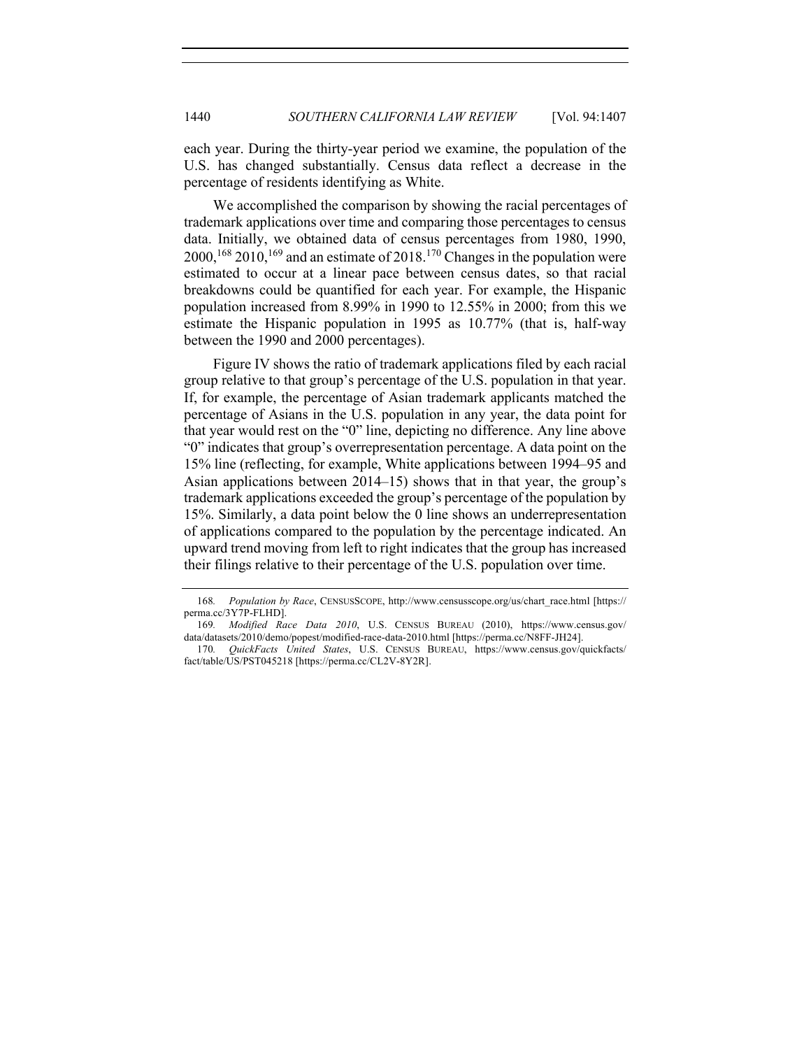each year. During the thirty-year period we examine, the population of the U.S. has changed substantially. Census data reflect a decrease in the percentage of residents identifying as White.

We accomplished the comparison by showing the racial percentages of trademark applications over time and comparing those percentages to census data. Initially, we obtained data of census percentages from 1980, 1990,  $2000$ , <sup>168</sup> 2010, <sup>169</sup> and an estimate of 2018.<sup>170</sup> Changes in the population were estimated to occur at a linear pace between census dates, so that racial breakdowns could be quantified for each year. For example, the Hispanic population increased from 8.99% in 1990 to 12.55% in 2000; from this we estimate the Hispanic population in 1995 as 10.77% (that is, half-way between the 1990 and 2000 percentages).

Figure IV shows the ratio of trademark applications filed by each racial group relative to that group's percentage of the U.S. population in that year. If, for example, the percentage of Asian trademark applicants matched the percentage of Asians in the U.S. population in any year, the data point for that year would rest on the "0" line, depicting no difference. Any line above "0" indicates that group's overrepresentation percentage. A data point on the 15% line (reflecting, for example, White applications between 1994–95 and Asian applications between 2014–15) shows that in that year, the group's trademark applications exceeded the group's percentage of the population by 15%. Similarly, a data point below the 0 line shows an underrepresentation of applications compared to the population by the percentage indicated. An upward trend moving from left to right indicates that the group has increased their filings relative to their percentage of the U.S. population over time.

<sup>168</sup>*. Population by Race*, CENSUSSCOPE, http://www.censusscope.org/us/chart\_race.html [https:// perma.cc/3Y7P-FLHD].

<sup>169</sup>*. Modified Race Data 2010*, U.S. CENSUS BUREAU (2010), https://www.census.gov/ data/datasets/2010/demo/popest/modified-race-data-2010.html [https://perma.cc/N8FF-JH24].

<sup>170</sup>*. QuickFacts United States*, U.S. CENSUS BUREAU, https://www.census.gov/quickfacts/ fact/table/US/PST045218 [https://perma.cc/CL2V-8Y2R].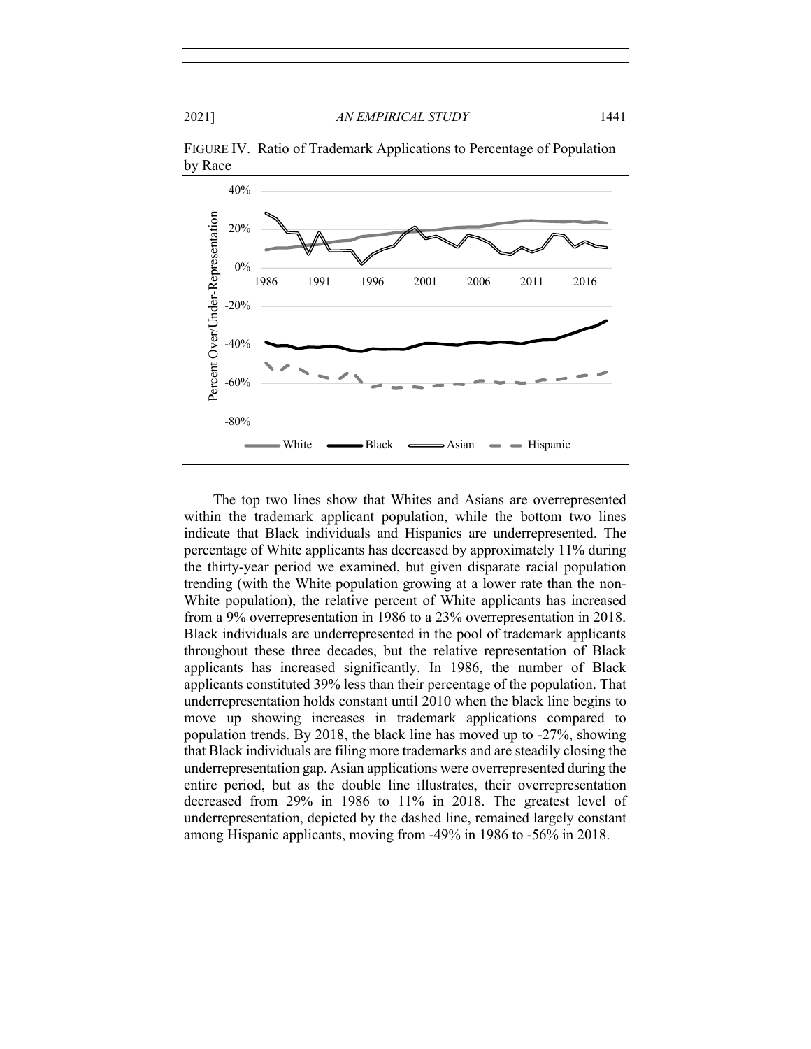

FIGURE IV. Ratio of Trademark Applications to Percentage of Population by Race

The top two lines show that Whites and Asians are overrepresented within the trademark applicant population, while the bottom two lines indicate that Black individuals and Hispanics are underrepresented. The percentage of White applicants has decreased by approximately 11% during the thirty-year period we examined, but given disparate racial population trending (with the White population growing at a lower rate than the non-White population), the relative percent of White applicants has increased from a 9% overrepresentation in 1986 to a 23% overrepresentation in 2018. Black individuals are underrepresented in the pool of trademark applicants throughout these three decades, but the relative representation of Black applicants has increased significantly. In 1986, the number of Black applicants constituted 39% less than their percentage of the population. That underrepresentation holds constant until 2010 when the black line begins to move up showing increases in trademark applications compared to population trends. By 2018, the black line has moved up to -27%, showing that Black individuals are filing more trademarks and are steadily closing the underrepresentation gap. Asian applications were overrepresented during the entire period, but as the double line illustrates, their overrepresentation decreased from 29% in 1986 to 11% in 2018. The greatest level of underrepresentation, depicted by the dashed line, remained largely constant among Hispanic applicants, moving from -49% in 1986 to -56% in 2018.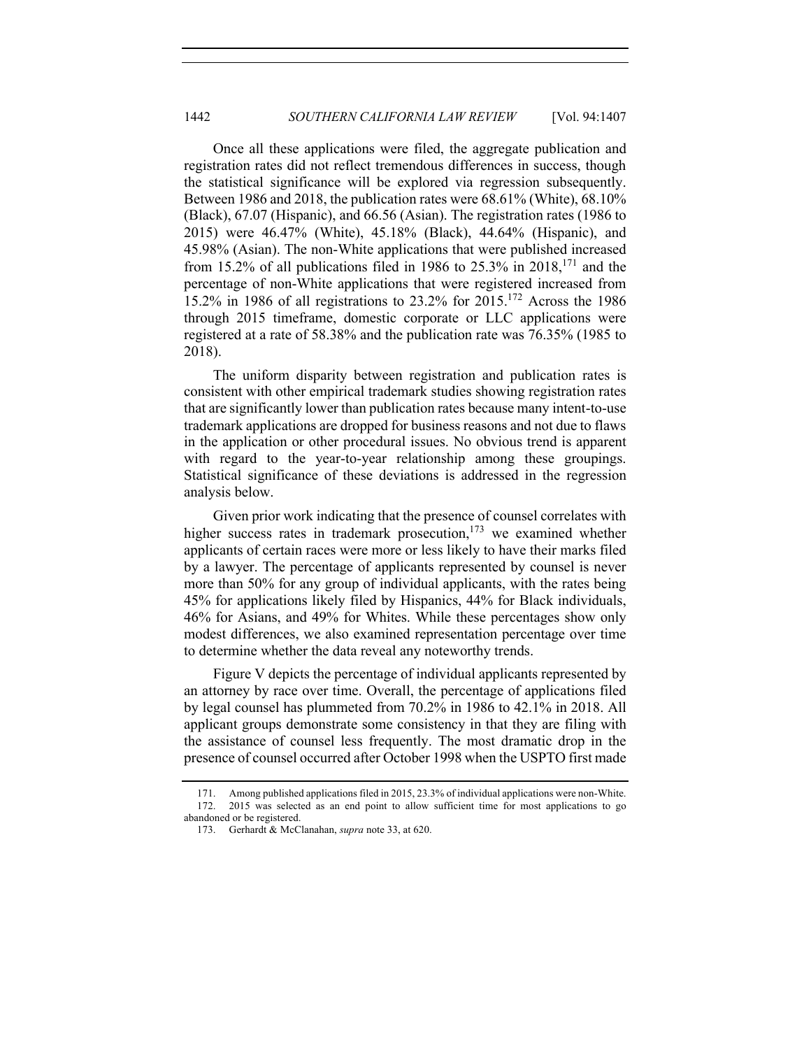Once all these applications were filed, the aggregate publication and registration rates did not reflect tremendous differences in success, though the statistical significance will be explored via regression subsequently. Between 1986 and 2018, the publication rates were 68.61% (White), 68.10% (Black), 67.07 (Hispanic), and 66.56 (Asian). The registration rates (1986 to 2015) were 46.47% (White), 45.18% (Black), 44.64% (Hispanic), and 45.98% (Asian). The non-White applications that were published increased from 15.2% of all publications filed in 1986 to 25.3% in 2018, <sup>171</sup> and the percentage of non-White applications that were registered increased from 15.2% in 1986 of all registrations to 23.2% for 2015.172 Across the 1986 through 2015 timeframe, domestic corporate or LLC applications were registered at a rate of 58.38% and the publication rate was 76.35% (1985 to 2018).

The uniform disparity between registration and publication rates is consistent with other empirical trademark studies showing registration rates that are significantly lower than publication rates because many intent-to-use trademark applications are dropped for business reasons and not due to flaws in the application or other procedural issues. No obvious trend is apparent with regard to the year-to-year relationship among these groupings. Statistical significance of these deviations is addressed in the regression analysis below.

Given prior work indicating that the presence of counsel correlates with higher success rates in trademark prosecution, $173$  we examined whether applicants of certain races were more or less likely to have their marks filed by a lawyer. The percentage of applicants represented by counsel is never more than 50% for any group of individual applicants, with the rates being 45% for applications likely filed by Hispanics, 44% for Black individuals, 46% for Asians, and 49% for Whites. While these percentages show only modest differences, we also examined representation percentage over time to determine whether the data reveal any noteworthy trends.

Figure V depicts the percentage of individual applicants represented by an attorney by race over time. Overall, the percentage of applications filed by legal counsel has plummeted from 70.2% in 1986 to 42.1% in 2018. All applicant groups demonstrate some consistency in that they are filing with the assistance of counsel less frequently. The most dramatic drop in the presence of counsel occurred after October 1998 when the USPTO first made

<sup>171.</sup> Among published applications filed in 2015, 23.3% of individual applications were non-White. 172. 2015 was selected as an end point to allow sufficient time for most applications to go

abandoned or be registered.

<sup>173.</sup> Gerhardt & McClanahan, *supra* note 33, at 620.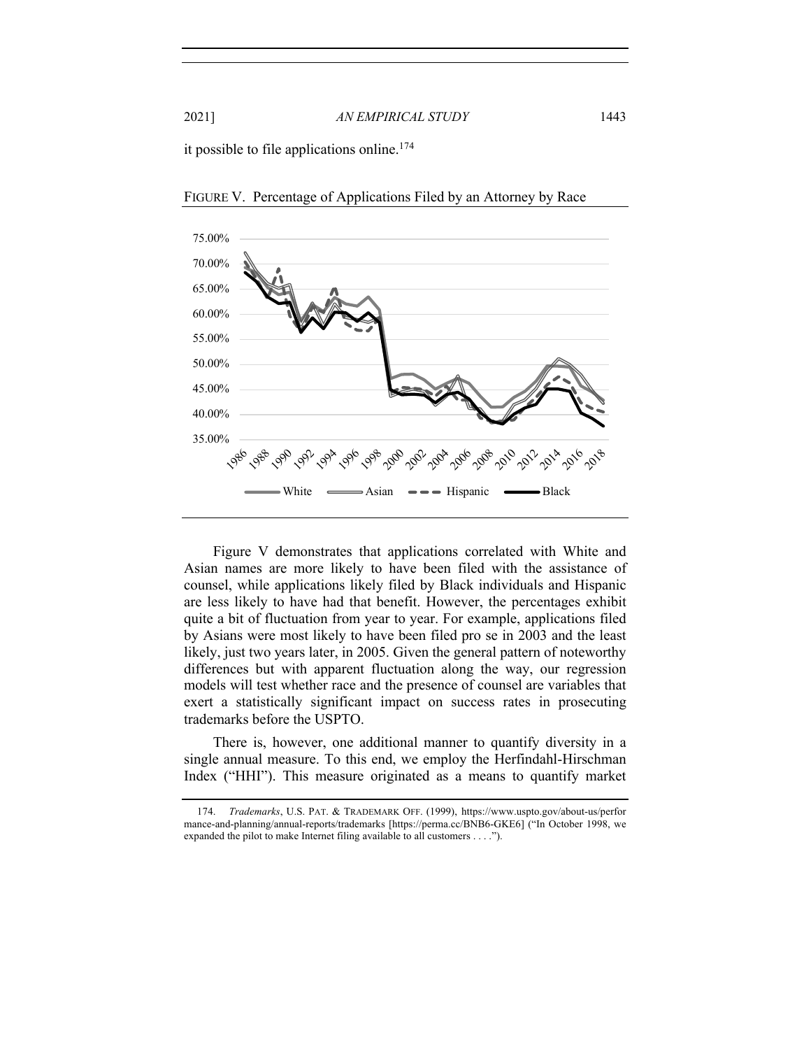it possible to file applications online.<sup>174</sup>



FIGURE V. Percentage of Applications Filed by an Attorney by Race

Figure V demonstrates that applications correlated with White and Asian names are more likely to have been filed with the assistance of counsel, while applications likely filed by Black individuals and Hispanic are less likely to have had that benefit. However, the percentages exhibit quite a bit of fluctuation from year to year. For example, applications filed by Asians were most likely to have been filed pro se in 2003 and the least likely, just two years later, in 2005. Given the general pattern of noteworthy differences but with apparent fluctuation along the way, our regression models will test whether race and the presence of counsel are variables that exert a statistically significant impact on success rates in prosecuting trademarks before the USPTO.

There is, however, one additional manner to quantify diversity in a single annual measure. To this end, we employ the Herfindahl-Hirschman Index ("HHI"). This measure originated as a means to quantify market

<sup>174.</sup> *Trademarks*, U.S. PAT. & TRADEMARK OFF. (1999), https://www.uspto.gov/about-us/perfor mance-and-planning/annual-reports/trademarks [https://perma.cc/BNB6-GKE6] ("In October 1998, we expanded the pilot to make Internet filing available to all customers . . . .").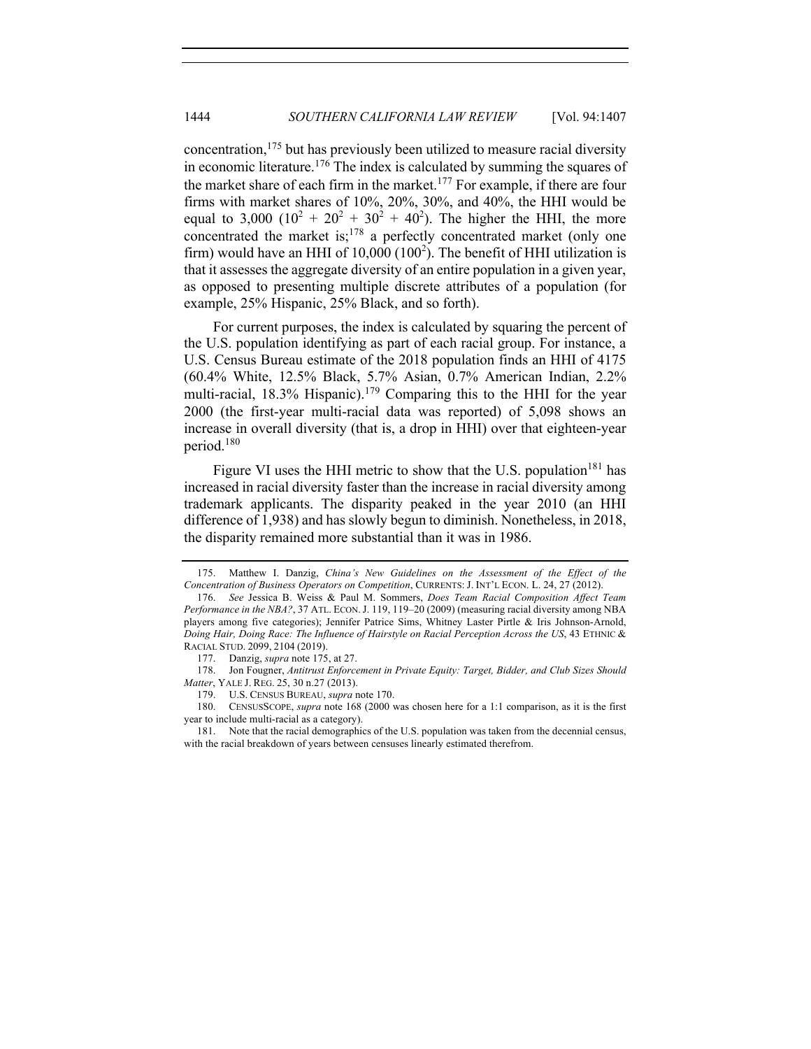concentration,  $175$  but has previously been utilized to measure racial diversity in economic literature.<sup>176</sup> The index is calculated by summing the squares of the market share of each firm in the market.<sup>177</sup> For example, if there are four firms with market shares of 10%, 20%, 30%, and 40%, the HHI would be equal to 3,000  $(10^2 + 20^2 + 30^2 + 40^2)$ . The higher the HHI, the more concentrated the market is;<sup>178</sup> a perfectly concentrated market (only one firm) would have an HHI of  $10,000$  ( $100<sup>2</sup>$ ). The benefit of HHI utilization is that it assesses the aggregate diversity of an entire population in a given year, as opposed to presenting multiple discrete attributes of a population (for example, 25% Hispanic, 25% Black, and so forth).

For current purposes, the index is calculated by squaring the percent of the U.S. population identifying as part of each racial group. For instance, a U.S. Census Bureau estimate of the 2018 population finds an HHI of 4175 (60.4% White, 12.5% Black, 5.7% Asian, 0.7% American Indian, 2.2% multi-racial, 18.3% Hispanic).<sup>179</sup> Comparing this to the HHI for the year 2000 (the first-year multi-racial data was reported) of 5,098 shows an increase in overall diversity (that is, a drop in HHI) over that eighteen-year period.<sup>180</sup>

Figure VI uses the HHI metric to show that the U.S. population<sup>181</sup> has increased in racial diversity faster than the increase in racial diversity among trademark applicants. The disparity peaked in the year 2010 (an HHI difference of 1,938) and has slowly begun to diminish. Nonetheless, in 2018, the disparity remained more substantial than it was in 1986.

<sup>175.</sup> Matthew I. Danzig, *China's New Guidelines on the Assessment of the Effect of the Concentration of Business Operators on Competition*, CURRENTS: J. INT'L ECON. L. 24, 27 (2012).

<sup>176.</sup> *See* Jessica B. Weiss & Paul M. Sommers, *Does Team Racial Composition Affect Team Performance in the NBA?*, 37 ATL. ECON. J. 119, 119–20 (2009) (measuring racial diversity among NBA players among five categories); Jennifer Patrice Sims, Whitney Laster Pirtle & Iris Johnson-Arnold, *Doing Hair, Doing Race: The Influence of Hairstyle on Racial Perception Across the US*, 43 ETHNIC & RACIAL STUD. 2099, 2104 (2019).

<sup>177.</sup> Danzig, *supra* note 175, at 27.

<sup>178.</sup> Jon Fougner, *Antitrust Enforcement in Private Equity: Target, Bidder, and Club Sizes Should Matter*, YALE J. REG. 25, 30 n.27 (2013).

<sup>179.</sup> U.S. CENSUS BUREAU, *supra* note 170.

<sup>180.</sup> CENSUSSCOPE, *supra* note 168 (2000 was chosen here for a 1:1 comparison, as it is the first year to include multi-racial as a category).

<sup>181.</sup> Note that the racial demographics of the U.S. population was taken from the decennial census, with the racial breakdown of years between censuses linearly estimated therefrom.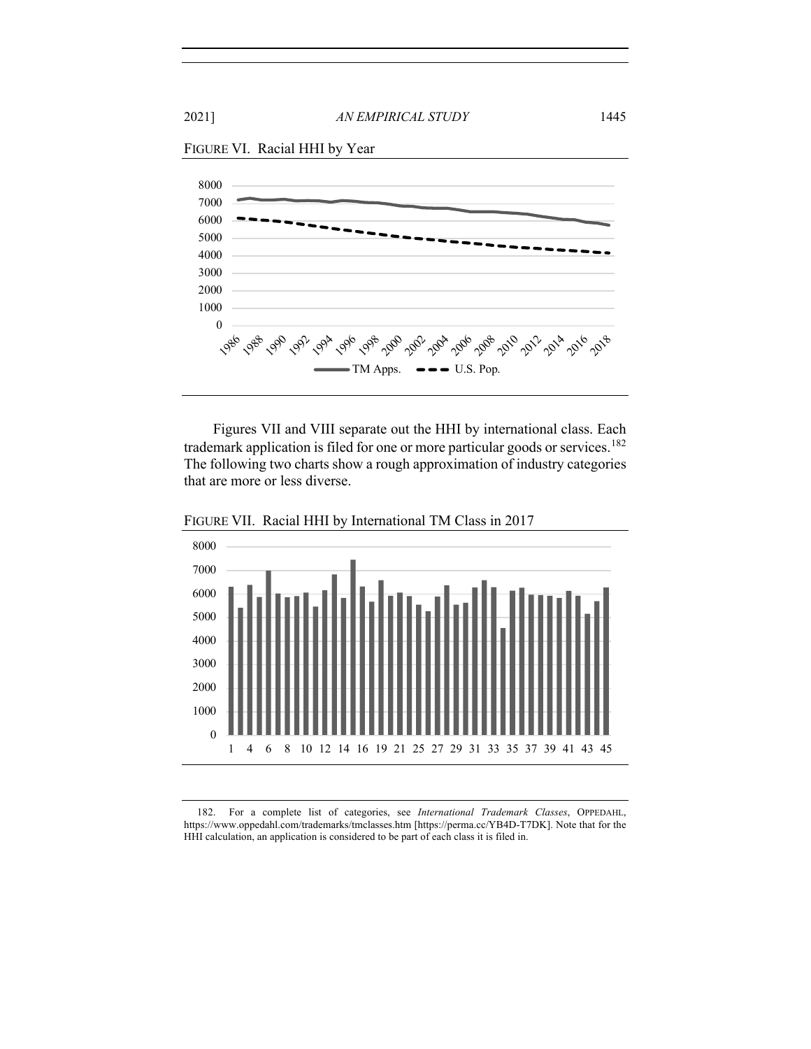



Figures VII and VIII separate out the HHI by international class. Each trademark application is filed for one or more particular goods or services.<sup>182</sup> The following two charts show a rough approximation of industry categories that are more or less diverse.



FIGURE VII. Racial HHI by International TM Class in 2017

182. For a complete list of categories, see *International Trademark Classes*, OPPEDAHL, https://www.oppedahl.com/trademarks/tmclasses.htm [https://perma.cc/YB4D-T7DK]. Note that for the HHI calculation, an application is considered to be part of each class it is filed in.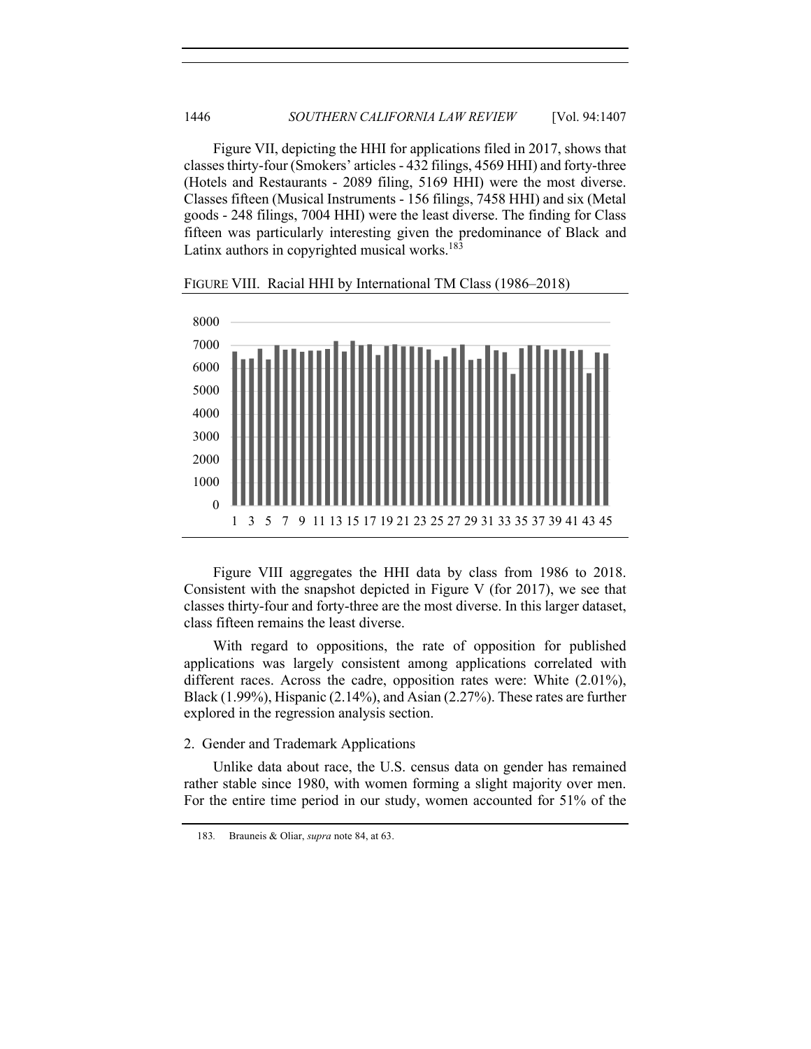Figure VII, depicting the HHI for applications filed in 2017, shows that classes thirty-four (Smokers' articles - 432 filings, 4569 HHI) and forty-three (Hotels and Restaurants - 2089 filing, 5169 HHI) were the most diverse. Classes fifteen (Musical Instruments - 156 filings, 7458 HHI) and six (Metal goods - 248 filings, 7004 HHI) were the least diverse. The finding for Class fifteen was particularly interesting given the predominance of Black and Latinx authors in copyrighted musical works. $183$ 



FIGURE VIII. Racial HHI by International TM Class (1986–2018)

Figure VIII aggregates the HHI data by class from 1986 to 2018. Consistent with the snapshot depicted in Figure V (for 2017), we see that classes thirty-four and forty-three are the most diverse. In this larger dataset, class fifteen remains the least diverse.

With regard to oppositions, the rate of opposition for published applications was largely consistent among applications correlated with different races. Across the cadre, opposition rates were: White (2.01%), Black (1.99%), Hispanic (2.14%), and Asian (2.27%). These rates are further explored in the regression analysis section.

2. Gender and Trademark Applications

Unlike data about race, the U.S. census data on gender has remained rather stable since 1980, with women forming a slight majority over men. For the entire time period in our study, women accounted for 51% of the

<sup>183</sup>*.* Brauneis & Oliar, *supra* note 84, at 63.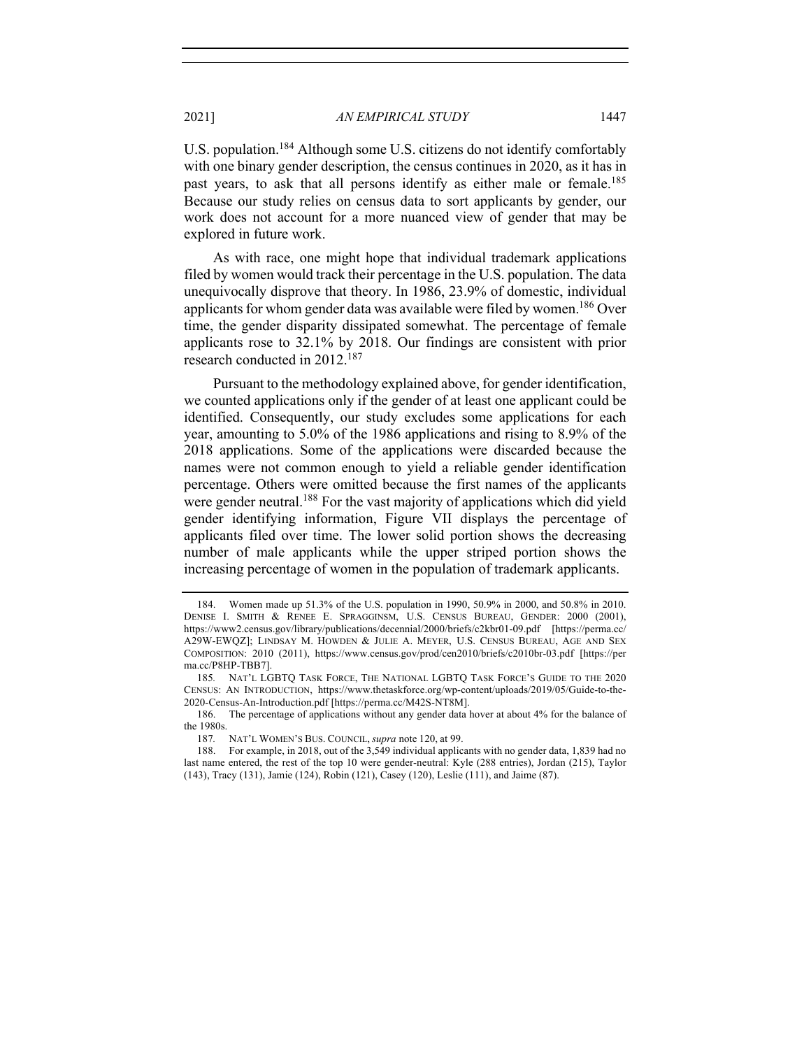U.S. population.<sup>184</sup> Although some U.S. citizens do not identify comfortably with one binary gender description, the census continues in 2020, as it has in past years, to ask that all persons identify as either male or female.<sup>185</sup> Because our study relies on census data to sort applicants by gender, our work does not account for a more nuanced view of gender that may be explored in future work.

As with race, one might hope that individual trademark applications filed by women would track their percentage in the U.S. population. The data unequivocally disprove that theory. In 1986, 23.9% of domestic, individual applicants for whom gender data was available were filed by women.<sup>186</sup> Over time, the gender disparity dissipated somewhat. The percentage of female applicants rose to 32.1% by 2018. Our findings are consistent with prior research conducted in 2012.<sup>187</sup>

Pursuant to the methodology explained above, for gender identification, we counted applications only if the gender of at least one applicant could be identified. Consequently, our study excludes some applications for each year, amounting to 5.0% of the 1986 applications and rising to 8.9% of the 2018 applications. Some of the applications were discarded because the names were not common enough to yield a reliable gender identification percentage. Others were omitted because the first names of the applicants were gender neutral.<sup>188</sup> For the vast majority of applications which did yield gender identifying information, Figure VII displays the percentage of applicants filed over time. The lower solid portion shows the decreasing number of male applicants while the upper striped portion shows the increasing percentage of women in the population of trademark applicants.

<sup>184.</sup> Women made up 51.3% of the U.S. population in 1990, 50.9% in 2000, and 50.8% in 2010. DENISE I. SMITH & RENEE E. SPRAGGINSM, U.S. CENSUS BUREAU, GENDER: 2000 (2001), https://www2.census.gov/library/publications/decennial/2000/briefs/c2kbr01-09.pdf [https://perma.cc/ A29W-EWQZ]; LINDSAY M. HOWDEN & JULIE A. MEYER, U.S. CENSUS BUREAU, AGE AND SEX COMPOSITION: 2010 (2011), https://www.census.gov/prod/cen2010/briefs/c2010br-03.pdf [https://per ma.cc/P8HP-TBB7].

<sup>185</sup>*.* NAT'L LGBTQ TASK FORCE, THE NATIONAL LGBTQ TASK FORCE'S GUIDE TO THE 2020 CENSUS: AN INTRODUCTION, https://www.thetaskforce.org/wp-content/uploads/2019/05/Guide-to-the-2020-Census-An-Introduction.pdf [https://perma.cc/M42S-NT8M].

<sup>186.</sup> The percentage of applications without any gender data hover at about 4% for the balance of the 1980s.

<sup>187</sup>*.* NAT'L WOMEN'S BUS. COUNCIL, *supra* note 120, at 99.

<sup>188.</sup> For example, in 2018, out of the 3,549 individual applicants with no gender data, 1,839 had no last name entered, the rest of the top 10 were gender-neutral: Kyle (288 entries), Jordan (215), Taylor (143), Tracy (131), Jamie (124), Robin (121), Casey (120), Leslie (111), and Jaime (87).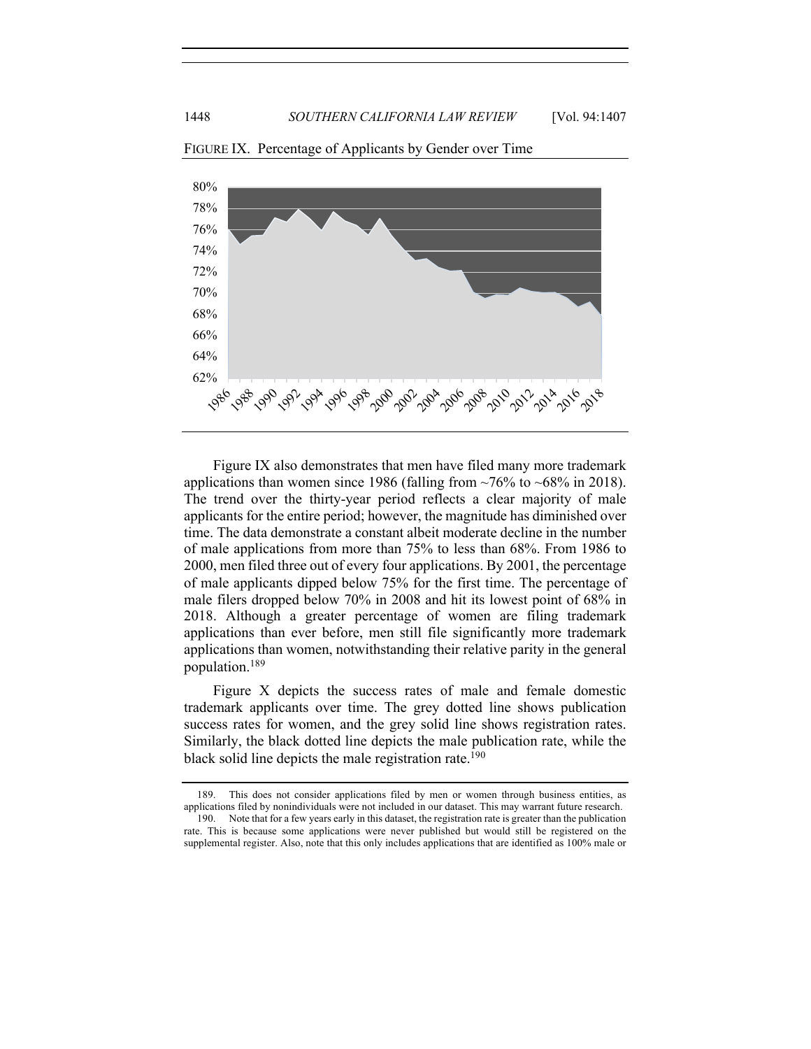

FIGURE IX. Percentage of Applicants by Gender over Time

Figure IX also demonstrates that men have filed many more trademark applications than women since 1986 (falling from  $\sim 76\%$  to  $\sim 68\%$  in 2018). The trend over the thirty-year period reflects a clear majority of male applicants for the entire period; however, the magnitude has diminished over time. The data demonstrate a constant albeit moderate decline in the number of male applications from more than 75% to less than 68%. From 1986 to 2000, men filed three out of every four applications. By 2001, the percentage of male applicants dipped below 75% for the first time. The percentage of male filers dropped below 70% in 2008 and hit its lowest point of 68% in 2018. Although a greater percentage of women are filing trademark applications than ever before, men still file significantly more trademark applications than women, notwithstanding their relative parity in the general population. 189

Figure X depicts the success rates of male and female domestic trademark applicants over time. The grey dotted line shows publication success rates for women, and the grey solid line shows registration rates. Similarly, the black dotted line depicts the male publication rate, while the black solid line depicts the male registration rate.<sup>190</sup>

<sup>189.</sup> This does not consider applications filed by men or women through business entities, as applications filed by nonindividuals were not included in our dataset. This may warrant future research.

<sup>190.</sup> Note that for a few years early in this dataset, the registration rate is greater than the publication rate. This is because some applications were never published but would still be registered on the supplemental register. Also, note that this only includes applications that are identified as 100% male or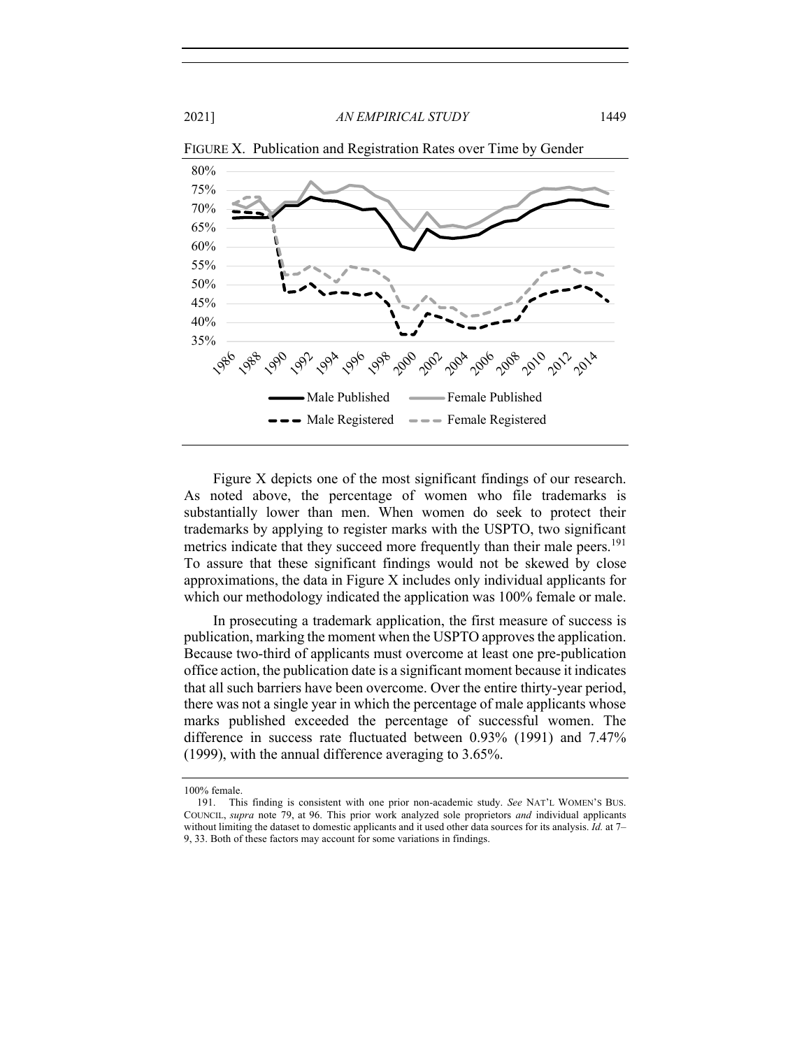

FIGURE X. Publication and Registration Rates over Time by Gender

Figure X depicts one of the most significant findings of our research. As noted above, the percentage of women who file trademarks is substantially lower than men. When women do seek to protect their trademarks by applying to register marks with the USPTO, two significant metrics indicate that they succeed more frequently than their male peers.<sup>191</sup> To assure that these significant findings would not be skewed by close approximations, the data in Figure X includes only individual applicants for which our methodology indicated the application was 100% female or male.

In prosecuting a trademark application, the first measure of success is publication, marking the moment when the USPTO approves the application. Because two-third of applicants must overcome at least one pre-publication office action, the publication date is a significant moment because it indicates that all such barriers have been overcome. Over the entire thirty-year period, there was not a single year in which the percentage of male applicants whose marks published exceeded the percentage of successful women. The difference in success rate fluctuated between 0.93% (1991) and 7.47% (1999), with the annual difference averaging to 3.65%.

<sup>100%</sup> female.

<sup>191.</sup> This finding is consistent with one prior non-academic study. *See* NAT'L WOMEN'S BUS. COUNCIL, *supra* note 79, at 96. This prior work analyzed sole proprietors *and* individual applicants without limiting the dataset to domestic applicants and it used other data sources for its analysis. *Id.* at 7– 9, 33. Both of these factors may account for some variations in findings.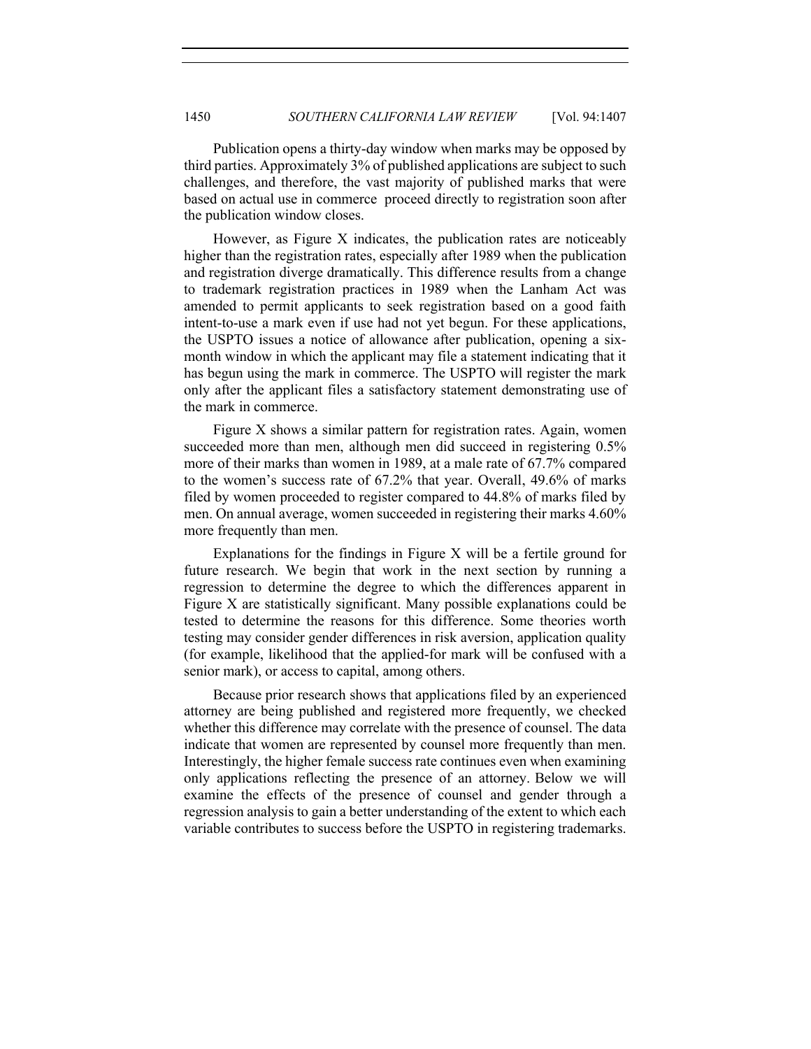Publication opens a thirty-day window when marks may be opposed by third parties. Approximately 3% of published applications are subject to such challenges, and therefore, the vast majority of published marks that were based on actual use in commerce proceed directly to registration soon after the publication window closes.

However, as Figure X indicates, the publication rates are noticeably higher than the registration rates, especially after 1989 when the publication and registration diverge dramatically. This difference results from a change to trademark registration practices in 1989 when the Lanham Act was amended to permit applicants to seek registration based on a good faith intent-to-use a mark even if use had not yet begun. For these applications, the USPTO issues a notice of allowance after publication, opening a sixmonth window in which the applicant may file a statement indicating that it has begun using the mark in commerce. The USPTO will register the mark only after the applicant files a satisfactory statement demonstrating use of the mark in commerce.

Figure X shows a similar pattern for registration rates. Again, women succeeded more than men, although men did succeed in registering 0.5% more of their marks than women in 1989, at a male rate of 67.7% compared to the women's success rate of 67.2% that year. Overall, 49.6% of marks filed by women proceeded to register compared to 44.8% of marks filed by men. On annual average, women succeeded in registering their marks 4.60% more frequently than men.

Explanations for the findings in Figure X will be a fertile ground for future research. We begin that work in the next section by running a regression to determine the degree to which the differences apparent in Figure X are statistically significant. Many possible explanations could be tested to determine the reasons for this difference. Some theories worth testing may consider gender differences in risk aversion, application quality (for example, likelihood that the applied-for mark will be confused with a senior mark), or access to capital, among others.

Because prior research shows that applications filed by an experienced attorney are being published and registered more frequently, we checked whether this difference may correlate with the presence of counsel. The data indicate that women are represented by counsel more frequently than men. Interestingly, the higher female success rate continues even when examining only applications reflecting the presence of an attorney. Below we will examine the effects of the presence of counsel and gender through a regression analysis to gain a better understanding of the extent to which each variable contributes to success before the USPTO in registering trademarks.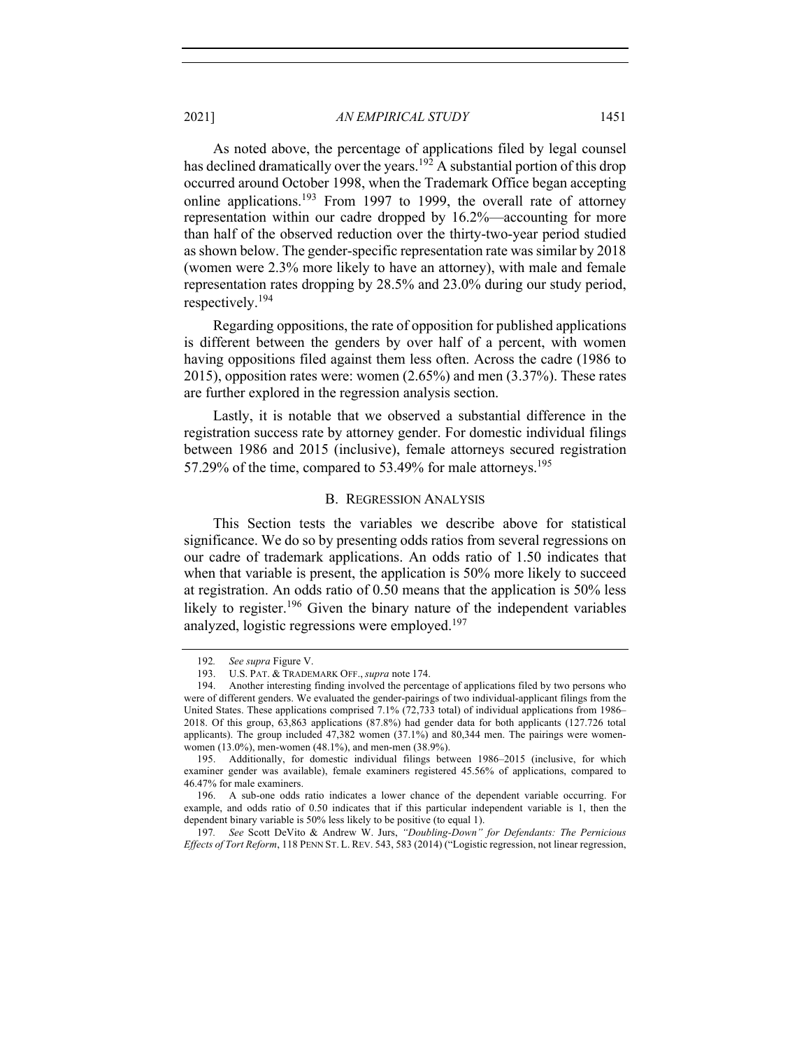As noted above, the percentage of applications filed by legal counsel has declined dramatically over the years.<sup>192</sup> A substantial portion of this drop occurred around October 1998, when the Trademark Office began accepting online applications.193 From 1997 to 1999, the overall rate of attorney representation within our cadre dropped by 16.2%—accounting for more than half of the observed reduction over the thirty-two-year period studied as shown below. The gender-specific representation rate was similar by 2018 (women were 2.3% more likely to have an attorney), with male and female representation rates dropping by 28.5% and 23.0% during our study period, respectively.<sup>194</sup>

Regarding oppositions, the rate of opposition for published applications is different between the genders by over half of a percent, with women having oppositions filed against them less often. Across the cadre (1986 to 2015), opposition rates were: women (2.65%) and men (3.37%). These rates are further explored in the regression analysis section.

Lastly, it is notable that we observed a substantial difference in the registration success rate by attorney gender. For domestic individual filings between 1986 and 2015 (inclusive), female attorneys secured registration 57.29% of the time, compared to 53.49% for male attorneys.<sup>195</sup>

#### B. REGRESSION ANALYSIS

This Section tests the variables we describe above for statistical significance. We do so by presenting odds ratios from several regressions on our cadre of trademark applications. An odds ratio of 1.50 indicates that when that variable is present, the application is 50% more likely to succeed at registration. An odds ratio of 0.50 means that the application is 50% less likely to register.<sup>196</sup> Given the binary nature of the independent variables analyzed, logistic regressions were employed.<sup>197</sup>

<sup>192</sup>*. See supra* Figure V.

<sup>193.</sup> U.S. PAT. & TRADEMARK OFF., *supra* note 174.

<sup>194.</sup> Another interesting finding involved the percentage of applications filed by two persons who were of different genders. We evaluated the gender-pairings of two individual-applicant filings from the United States. These applications comprised 7.1% (72,733 total) of individual applications from 1986– 2018. Of this group, 63,863 applications (87.8%) had gender data for both applicants (127.726 total applicants). The group included 47,382 women (37.1%) and 80,344 men. The pairings were womenwomen (13.0%), men-women (48.1%), and men-men (38.9%).

<sup>195.</sup> Additionally, for domestic individual filings between 1986–2015 (inclusive, for which examiner gender was available), female examiners registered 45.56% of applications, compared to 46.47% for male examiners.

<sup>196.</sup> A sub-one odds ratio indicates a lower chance of the dependent variable occurring. For example, and odds ratio of 0.50 indicates that if this particular independent variable is 1, then the dependent binary variable is 50% less likely to be positive (to equal 1).

<sup>197</sup>*. See* Scott DeVito & Andrew W. Jurs, *"Doubling-Down" for Defendants: The Pernicious Effects of Tort Reform*, 118 PENN ST. L. REV. 543, 583 (2014) ("Logistic regression, not linear regression,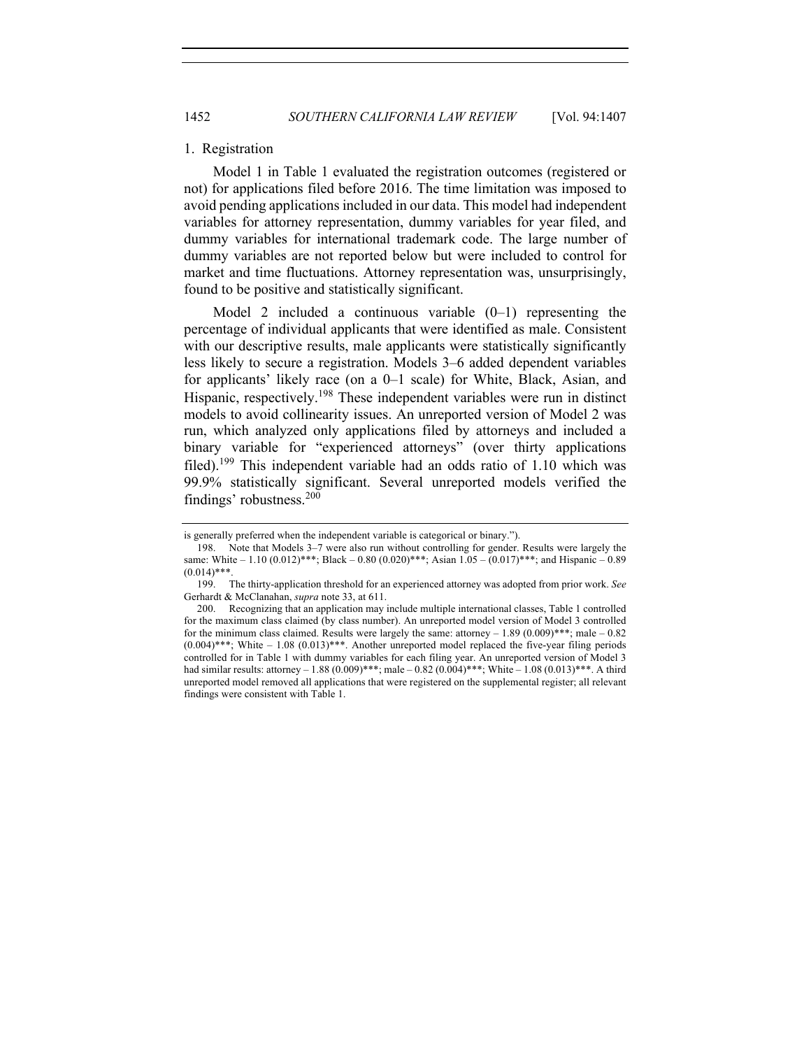#### 1. Registration

Model 1 in Table 1 evaluated the registration outcomes (registered or not) for applications filed before 2016. The time limitation was imposed to avoid pending applications included in our data. This model had independent variables for attorney representation, dummy variables for year filed, and dummy variables for international trademark code. The large number of dummy variables are not reported below but were included to control for market and time fluctuations. Attorney representation was, unsurprisingly, found to be positive and statistically significant.

Model 2 included a continuous variable  $(0-1)$  representing the percentage of individual applicants that were identified as male. Consistent with our descriptive results, male applicants were statistically significantly less likely to secure a registration. Models 3–6 added dependent variables for applicants' likely race (on a 0–1 scale) for White, Black, Asian, and Hispanic, respectively.<sup>198</sup> These independent variables were run in distinct models to avoid collinearity issues. An unreported version of Model 2 was run, which analyzed only applications filed by attorneys and included a binary variable for "experienced attorneys" (over thirty applications filed).<sup>199</sup> This independent variable had an odds ratio of 1.10 which was 99.9% statistically significant. Several unreported models verified the findings' robustness.<sup>200</sup>

is generally preferred when the independent variable is categorical or binary.").

<sup>198.</sup> Note that Models 3–7 were also run without controlling for gender. Results were largely the same: White – 1.10 (0.012)\*\*\*; Black – 0.80 (0.020)\*\*\*; Asian  $1.05 - (0.017)$ \*\*\*; and Hispanic – 0.89  $(0.014)$ \*\*\*.

<sup>199.</sup> The thirty-application threshold for an experienced attorney was adopted from prior work. *See*  Gerhardt & McClanahan, *supra* note 33, at 611.

<sup>200.</sup> Recognizing that an application may include multiple international classes, Table 1 controlled for the maximum class claimed (by class number). An unreported model version of Model 3 controlled for the minimum class claimed. Results were largely the same: attorney  $-1.89$  (0.009)\*\*\*; male  $-0.82$  $(0.004)$ <sup>\*\*\*</sup>; White  $-1.08$   $(0.013)$ <sup>\*\*\*</sup>. Another unreported model replaced the five-year filing periods controlled for in Table 1 with dummy variables for each filing year. An unreported version of Model 3 had similar results: attorney – 1.88 (0.009)\*\*\*; male – 0.82 (0.004)\*\*\*; White – 1.08 (0.013)\*\*\*. A third unreported model removed all applications that were registered on the supplemental register; all relevant findings were consistent with Table 1.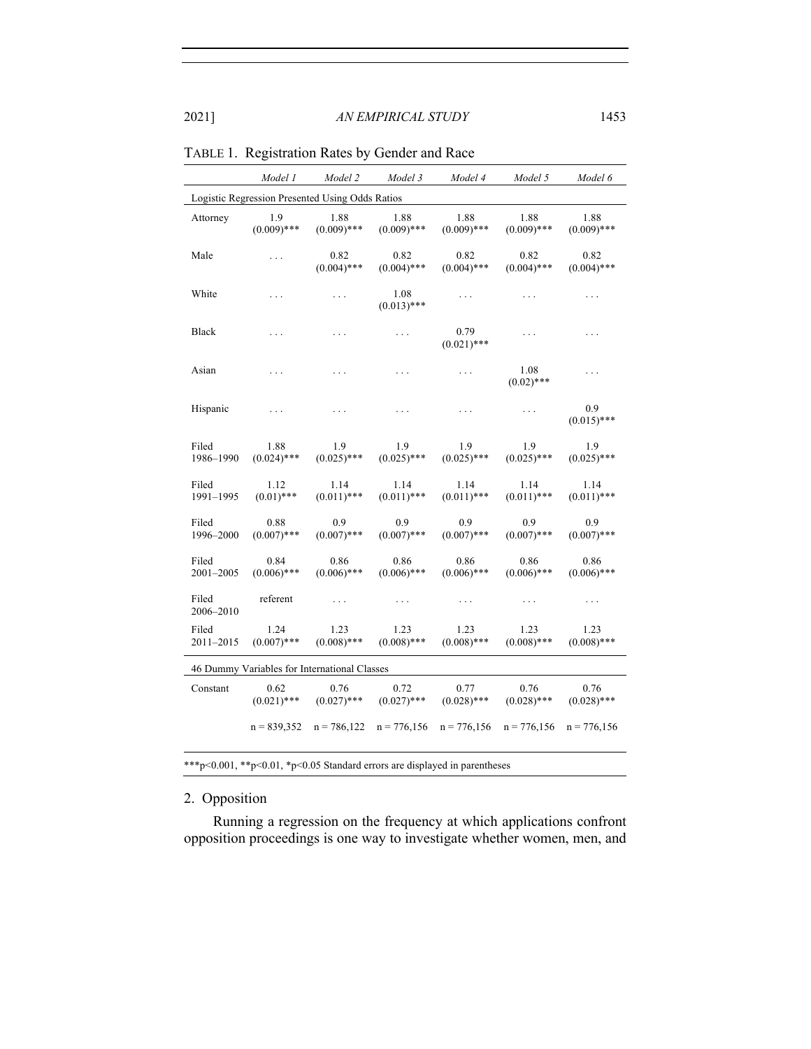|                    | Model 1                                         | Model 2               | Model 3               | Model 4                     | Model 5               | Model 6               |
|--------------------|-------------------------------------------------|-----------------------|-----------------------|-----------------------------|-----------------------|-----------------------|
|                    | Logistic Regression Presented Using Odds Ratios |                       |                       |                             |                       |                       |
| Attorney           | 1.9<br>$(0.009)$ ***                            | 1.88<br>$(0.009)$ *** | 1.88<br>$(0.009)$ *** | 1.88<br>$(0.009)$ ***       | 1.88<br>$(0.009)$ *** | 1.88<br>$(0.009)$ *** |
| Male               | .                                               | 0.82<br>$(0.004)$ *** | 0.82<br>$(0.004)$ *** | 0.82<br>$(0.004)$ ***       | 0.82<br>$(0.004)$ *** | 0.82<br>$(0.004)$ *** |
| White              | .                                               | $\cdots$              | 1.08<br>$(0.013)$ *** | $\cdots$                    | $\cdots$              | $\cdots$              |
| Black              | .                                               | $\cdots$              | $\cdots$              | 0.79<br>$(0.021)$ ***       | $\cdots$              | $\cdots$              |
| Asian              | .                                               | .                     | .                     | $\cdots$                    | 1.08<br>$(0.02)$ ***  | .                     |
| Hispanic           | .                                               | $\cdots$              | .                     | .                           | $\cdots$              | 0.9<br>$(0.015)$ ***  |
| Filed<br>1986-1990 | 1.88<br>$(0.024)$ ***                           | 1.9<br>$(0.025)$ ***  | 1.9<br>$(0.025)$ ***  | 1.9<br>$(0.025)$ ***        | 1.9<br>$(0.025)$ ***  | 1.9<br>$(0.025)$ ***  |
| Filed<br>1991-1995 | 1.12<br>$(0.01)$ ***                            | 1.14<br>$(0.011)$ *** | 1.14<br>$(0.011)$ *** | 1.14<br>$(0.011)$ ***       | 1.14<br>$(0.011)$ *** | 1.14<br>$(0.011)$ *** |
| Filed<br>1996-2000 | 0.88<br>$(0.007)$ ***                           | 0.9<br>$(0.007)$ ***  | 0.9<br>$(0.007)$ ***  | 0.9<br>$(0.007)$ ***        | 0.9<br>$(0.007)$ ***  | 0.9<br>$(0.007)$ ***  |
| Filed<br>2001-2005 | 0.84<br>$(0.006)$ ***                           | 0.86<br>$(0.006)$ *** | 0.86<br>$(0.006)$ *** | 0.86<br>$(0.006)$ ***       | 0.86<br>$(0.006)$ *** | 0.86<br>$(0.006)$ *** |
| Filed<br>2006-2010 | referent                                        | .                     | $\cdots$              | $\cdots$                    | $\cdots$              | $\cdots$              |
| Filed<br>2011-2015 | 1.24<br>$(0.007)$ ***                           | 1.23<br>$(0.008)$ *** | 1.23<br>$(0.008)$ *** | 1.23<br>$(0.008)$ ***       | 1.23<br>$(0.008)$ *** | 1.23<br>$(0.008)$ *** |
|                    | 46 Dummy Variables for International Classes    |                       |                       |                             |                       |                       |
| Constant           | 0.62<br>$(0.021)$ ***                           | 0.76<br>$(0.027)$ *** | 0.72<br>$(0.027)$ *** | 0.77<br>$(0.028)$ ***       | 0.76<br>$(0.028)$ *** | 0.76<br>$(0.028)$ *** |
|                    | $n = 839,352$                                   | $n = 786,122$         |                       | $n = 776,156$ $n = 776,156$ | $n = 776,156$         | $n = 776,156$         |

# TABLE 1. Registration Rates by Gender and Race

2. Opposition

Running a regression on the frequency at which applications confront opposition proceedings is one way to investigate whether women, men, and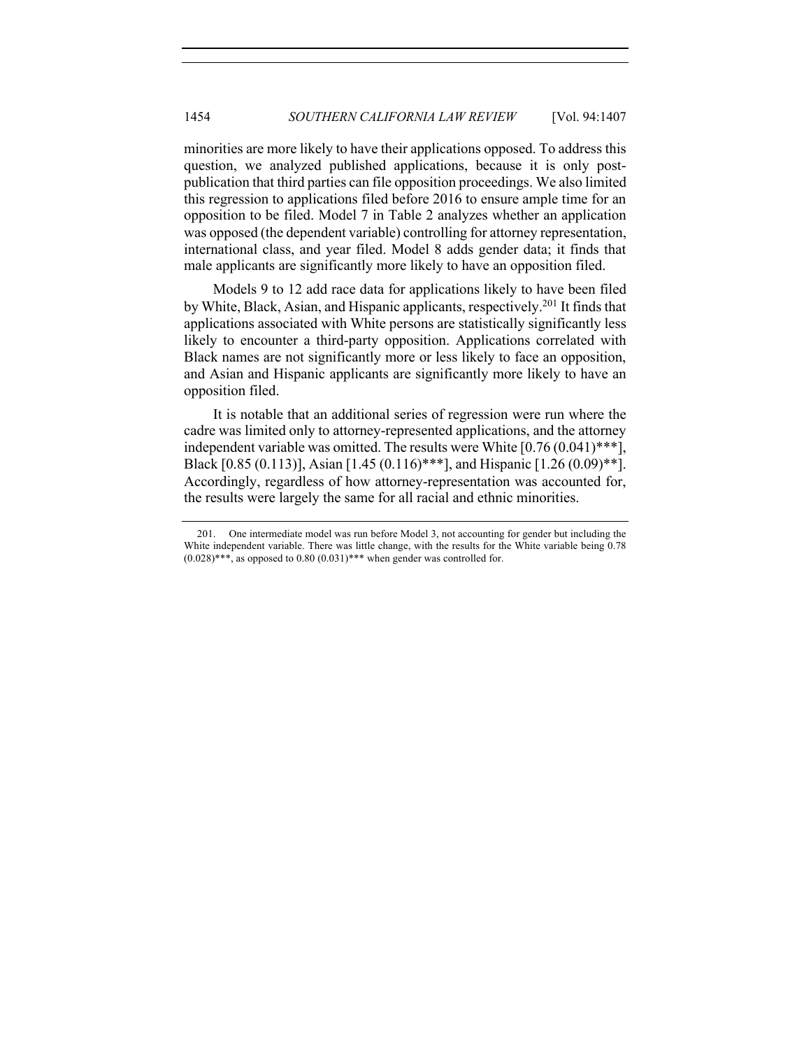minorities are more likely to have their applications opposed. To address this question, we analyzed published applications, because it is only postpublication that third parties can file opposition proceedings. We also limited this regression to applications filed before 2016 to ensure ample time for an opposition to be filed. Model 7 in Table 2 analyzes whether an application was opposed (the dependent variable) controlling for attorney representation, international class, and year filed. Model 8 adds gender data; it finds that male applicants are significantly more likely to have an opposition filed.

Models 9 to 12 add race data for applications likely to have been filed by White, Black, Asian, and Hispanic applicants, respectively.<sup>201</sup> It finds that applications associated with White persons are statistically significantly less likely to encounter a third-party opposition. Applications correlated with Black names are not significantly more or less likely to face an opposition, and Asian and Hispanic applicants are significantly more likely to have an opposition filed.

It is notable that an additional series of regression were run where the cadre was limited only to attorney-represented applications, and the attorney independent variable was omitted. The results were White  $[0.76(0.041)$ \*\*\*], Black [0.85 (0.113)], Asian [1.45 (0.116)\*\*\*], and Hispanic [1.26 (0.09)\*\*]. Accordingly, regardless of how attorney-representation was accounted for, the results were largely the same for all racial and ethnic minorities.

<sup>201.</sup> One intermediate model was run before Model 3, not accounting for gender but including the White independent variable. There was little change, with the results for the White variable being 0.78  $(0.028)$ <sup>\*\*\*</sup>, as opposed to  $0.80$   $(0.031)$ <sup>\*\*\*</sup> when gender was controlled for.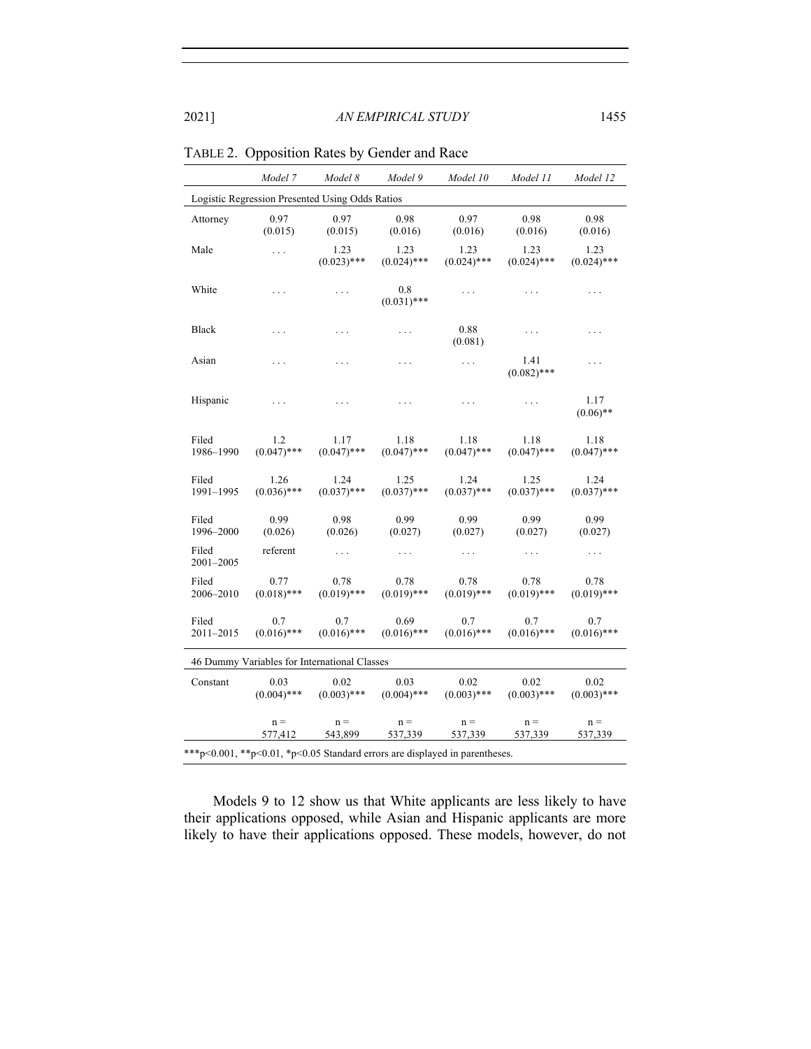|                    | Model 7               | Model 8                                         | Model 9               | Model 10              | Model 11              | Model 12              |
|--------------------|-----------------------|-------------------------------------------------|-----------------------|-----------------------|-----------------------|-----------------------|
|                    |                       | Logistic Regression Presented Using Odds Ratios |                       |                       |                       |                       |
| Attorney           | 0.97<br>(0.015)       | 0.97<br>(0.015)                                 | 0.98<br>(0.016)       | 0.97<br>(0.016)       | 0.98<br>(0.016)       | 0.98<br>(0.016)       |
| Male               | .                     | 1.23<br>$(0.023)$ ***                           | 1.23<br>$(0.024)$ *** | 1.23<br>$(0.024)$ *** | 1.23<br>$(0.024)$ *** | 1.23<br>$(0.024)$ *** |
| White              | .                     | .                                               | 0.8<br>$(0.031)$ ***  | .                     | .                     | .                     |
| Black              | $\cdots$              | $\cdots$                                        | .                     | 0.88<br>(0.081)       | .                     | .                     |
| Asian              | $\cdots$              | $\cdots$                                        | .                     | .                     | 1.41<br>$(0.082)$ *** | .                     |
| Hispanic           | .                     | .                                               | .                     | .                     | .                     | 1.17<br>$(0.06)$ **   |
| Filed<br>1986-1990 | 1.2<br>$(0.047)$ ***  | 1.17<br>$(0.047)$ ***                           | 1.18<br>$(0.047)$ *** | 1.18<br>$(0.047)$ *** | 1.18<br>$(0.047)$ *** | 1.18<br>$(0.047)$ *** |
| Filed<br>1991-1995 | 1.26<br>$(0.036)$ *** | 1.24<br>$(0.037)$ ***                           | 1.25<br>$(0.037)$ *** | 1.24<br>$(0.037)$ *** | 1.25<br>$(0.037)$ *** | 1.24<br>$(0.037)$ *** |
| Filed<br>1996-2000 | 0.99<br>(0.026)       | 0.98<br>(0.026)                                 | 0.99<br>(0.027)       | 0.99<br>(0.027)       | 0.99<br>(0.027)       | 0.99<br>(0.027)       |
| Filed<br>2001-2005 | referent              | $\cdots$                                        | $\cdots$              | $\cdots$              | .                     | .                     |
| Filed<br>2006-2010 | 0.77<br>$(0.018)$ *** | 0.78<br>$(0.019)$ ***                           | 0.78<br>$(0.019)$ *** | 0.78<br>$(0.019)$ *** | 0.78<br>$(0.019)$ *** | 0.78<br>$(0.019)$ *** |
| Filed<br>2011-2015 | 0.7<br>$(0.016)$ ***  | 0.7<br>$(0.016)$ ***                            | 0.69<br>$(0.016)$ *** | 0.7<br>$(0.016)$ ***  | 0.7<br>$(0.016)$ ***  | 0.7<br>$(0.016)$ ***  |
|                    |                       | 46 Dummy Variables for International Classes    |                       |                       |                       |                       |
| Constant           | 0.03<br>$(0.004)$ *** | 0.02<br>$(0.003)$ ***                           | 0.03<br>$(0.004)$ *** | 0.02<br>$(0.003)$ *** | 0.02<br>$(0.003)$ *** | 0.02<br>$(0.003)$ *** |
|                    | $n =$<br>577,412      | $n =$<br>543,899                                | $n =$<br>537,339      | $n =$<br>537,339      | $n =$<br>537,339      | $n =$<br>537,339      |

| TABLE 2. Opposition Rates by Gender and Race |
|----------------------------------------------|
|----------------------------------------------|

Models 9 to 12 show us that White applicants are less likely to have their applications opposed, while Asian and Hispanic applicants are more likely to have their applications opposed. These models, however, do not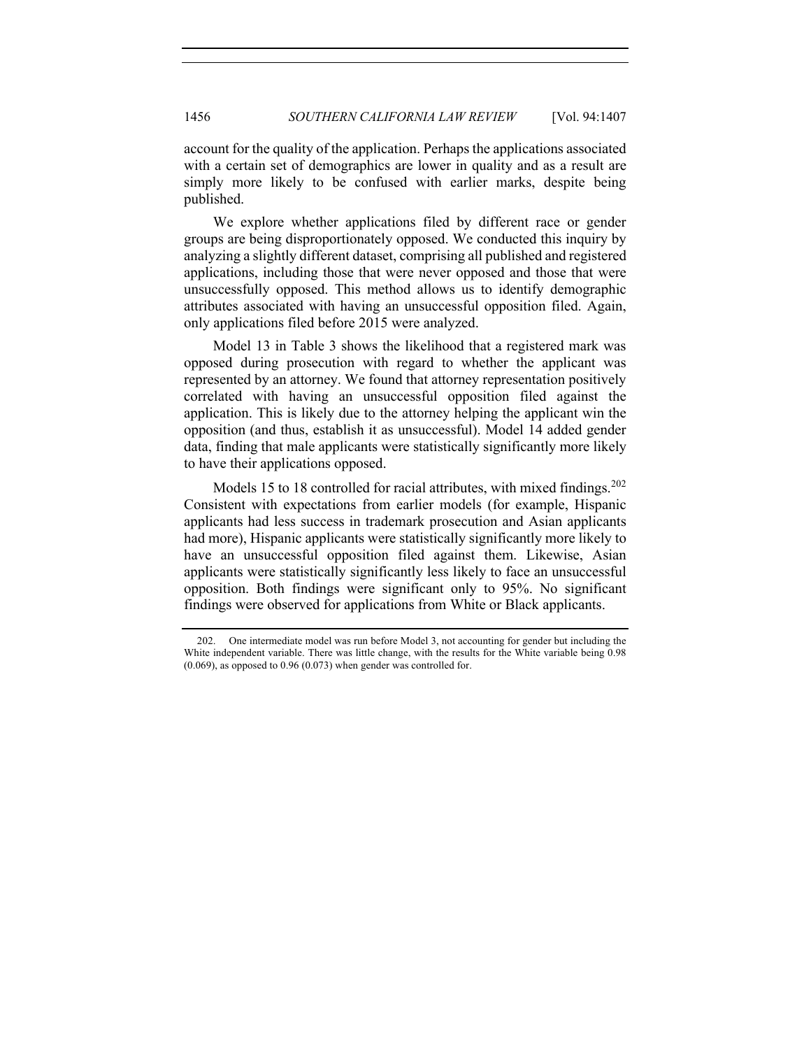account for the quality of the application. Perhaps the applications associated with a certain set of demographics are lower in quality and as a result are simply more likely to be confused with earlier marks, despite being published.

We explore whether applications filed by different race or gender groups are being disproportionately opposed. We conducted this inquiry by analyzing a slightly different dataset, comprising all published and registered applications, including those that were never opposed and those that were unsuccessfully opposed. This method allows us to identify demographic attributes associated with having an unsuccessful opposition filed. Again, only applications filed before 2015 were analyzed.

Model 13 in Table 3 shows the likelihood that a registered mark was opposed during prosecution with regard to whether the applicant was represented by an attorney. We found that attorney representation positively correlated with having an unsuccessful opposition filed against the application. This is likely due to the attorney helping the applicant win the opposition (and thus, establish it as unsuccessful). Model 14 added gender data, finding that male applicants were statistically significantly more likely to have their applications opposed.

Models 15 to 18 controlled for racial attributes, with mixed findings.<sup>202</sup> Consistent with expectations from earlier models (for example, Hispanic applicants had less success in trademark prosecution and Asian applicants had more), Hispanic applicants were statistically significantly more likely to have an unsuccessful opposition filed against them. Likewise, Asian applicants were statistically significantly less likely to face an unsuccessful opposition. Both findings were significant only to 95%. No significant findings were observed for applications from White or Black applicants.

<sup>202.</sup> One intermediate model was run before Model 3, not accounting for gender but including the White independent variable. There was little change, with the results for the White variable being 0.98  $(0.069)$ , as opposed to  $0.96$   $(0.073)$  when gender was controlled for.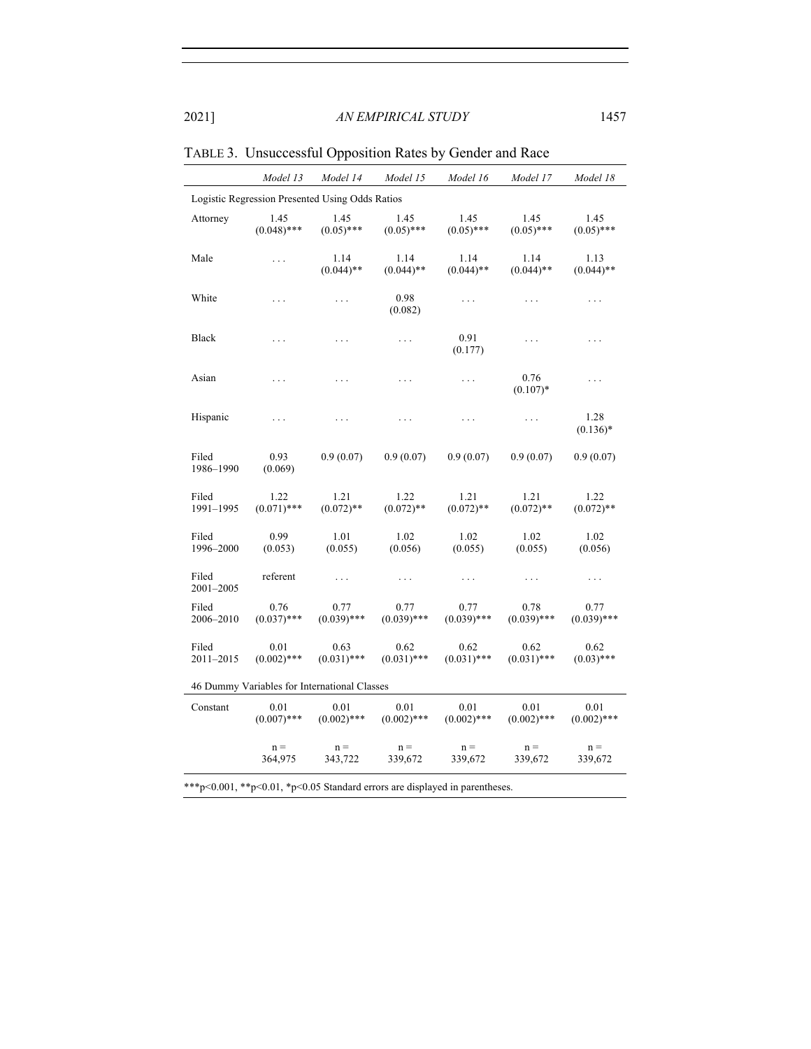|                    | Model 13                                        | Model 14              | Model 15              | Model 16              | Model 17              | Model 18              |
|--------------------|-------------------------------------------------|-----------------------|-----------------------|-----------------------|-----------------------|-----------------------|
|                    | Logistic Regression Presented Using Odds Ratios |                       |                       |                       |                       |                       |
| Attorney           | 1.45<br>$(0.048)$ ***                           | 1.45<br>$(0.05)$ ***  | 1.45<br>$(0.05)$ ***  | 1.45<br>$(0.05)$ ***  | 1.45<br>$(0.05)$ ***  | 1.45<br>$(0.05)$ ***  |
| Male               | $\cdots$                                        | 1.14<br>$(0.044)$ **  | 1.14<br>$(0.044)$ **  | 1.14<br>$(0.044)$ **  | 1.14<br>$(0.044)$ **  | 1.13<br>$(0.044)$ **  |
| White              | .                                               | .                     | 0.98<br>(0.082)       | $\ldots$              | .                     | $\cdots$              |
| Black              | $\cdots$                                        | $\cdots$              | $\cdots$              | 0.91<br>(0.177)       | $\ldots$              | $\cdots$              |
| Asian              | .                                               | .                     | $\cdots$              | $\cdots$              | 0.76<br>$(0.107)*$    | $\cdots$              |
| Hispanic           | $\ldots$                                        | .                     | $\cdots$              | $\ldots$              | $\cdots$              | 1.28<br>$(0.136)^*$   |
| Filed<br>1986-1990 | 0.93<br>(0.069)                                 | 0.9(0.07)             | 0.9(0.07)             | 0.9(0.07)             | 0.9(0.07)             | 0.9(0.07)             |
| Filed<br>1991-1995 | 1.22<br>$(0.071)$ ***                           | 1.21<br>$(0.072)$ **  | 1.22<br>$(0.072)$ **  | 1.21<br>$(0.072)$ **  | 1.21<br>$(0.072)$ **  | 1.22<br>$(0.072)$ **  |
| Filed<br>1996-2000 | 0.99<br>(0.053)                                 | 1.01<br>(0.055)       | 1.02<br>(0.056)       | 1.02<br>(0.055)       | 1.02<br>(0.055)       | 1.02<br>(0.056)       |
| Filed<br>2001-2005 | referent                                        | $\ldots$              | $\ldots$              | $\ldots$              | $\cdots$              | $\cdots$              |
| Filed<br>2006-2010 | 0.76<br>$(0.037)$ ***                           | 0.77<br>$(0.039)$ *** | 0.77<br>$(0.039)$ *** | 0.77<br>$(0.039)$ *** | 0.78<br>$(0.039)$ *** | 0.77<br>$(0.039)$ *** |
| Filed<br>2011-2015 | 0.01<br>$(0.002)$ ***                           | 0.63<br>$(0.031)$ *** | 0.62<br>$(0.031)$ *** | 0.62<br>$(0.031)$ *** | 0.62<br>$(0.031)$ *** | 0.62<br>$(0.03)$ ***  |
|                    | 46 Dummy Variables for International Classes    |                       |                       |                       |                       |                       |
| Constant           | 0.01<br>$(0.007)$ ***                           | 0.01<br>$(0.002)$ *** | 0.01<br>$(0.002)$ *** | 0.01<br>$(0.002)$ *** | 0.01<br>$(0.002)$ *** | 0.01<br>$(0.002)$ *** |
|                    | $n =$<br>364,975                                | $n =$<br>343,722      | $n =$<br>339,672      | $n =$<br>339,672      | $n =$<br>339,672      | $n =$<br>339,672      |

# TABLE 3. Unsuccessful Opposition Rates by Gender and Race

 $^{***}p<0.001,$   $^{**}p<0.01,$   $^{*}p<0.05$  Standard errors are displayed in parentheses.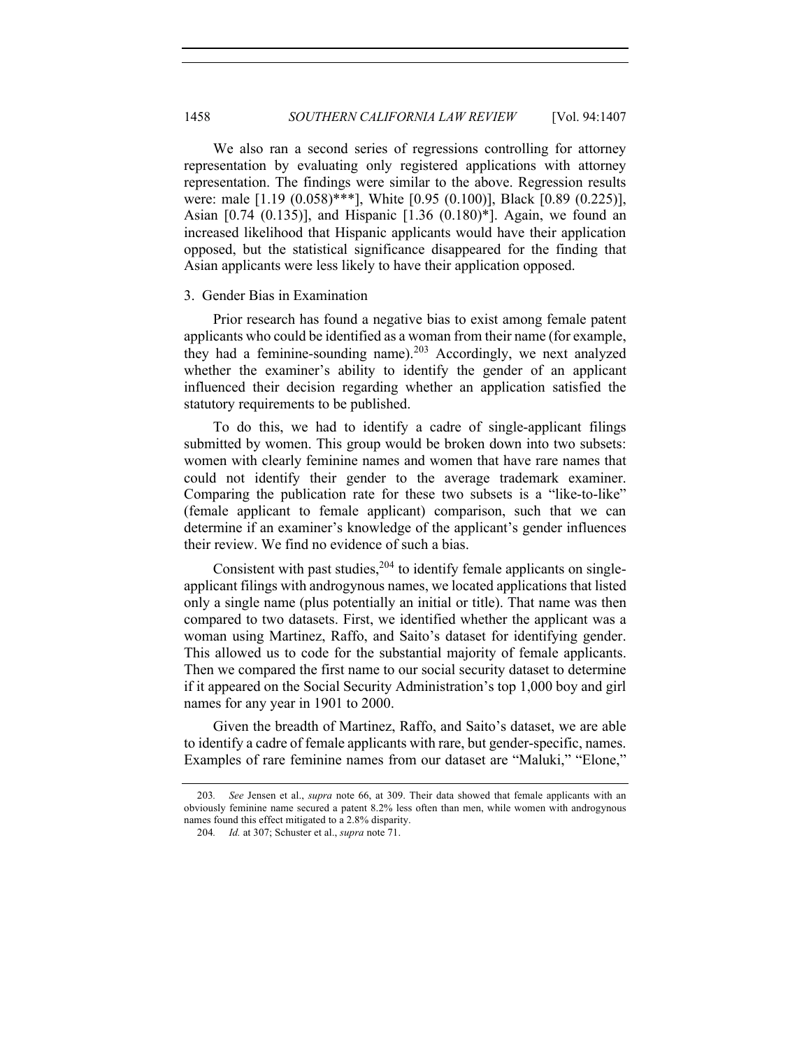We also ran a second series of regressions controlling for attorney representation by evaluating only registered applications with attorney representation. The findings were similar to the above. Regression results were: male [1.19 (0.058)\*\*\*], White [0.95 (0.100)], Black [0.89 (0.225)], Asian [0.74 (0.135)], and Hispanic [1.36 (0.180)\*]. Again, we found an increased likelihood that Hispanic applicants would have their application opposed, but the statistical significance disappeared for the finding that Asian applicants were less likely to have their application opposed.

#### 3. Gender Bias in Examination

Prior research has found a negative bias to exist among female patent applicants who could be identified as a woman from their name (for example, they had a feminine-sounding name).<sup>203</sup> Accordingly, we next analyzed whether the examiner's ability to identify the gender of an applicant influenced their decision regarding whether an application satisfied the statutory requirements to be published.

To do this, we had to identify a cadre of single-applicant filings submitted by women. This group would be broken down into two subsets: women with clearly feminine names and women that have rare names that could not identify their gender to the average trademark examiner. Comparing the publication rate for these two subsets is a "like-to-like" (female applicant to female applicant) comparison, such that we can determine if an examiner's knowledge of the applicant's gender influences their review. We find no evidence of such a bias.

Consistent with past studies,  $204$  to identify female applicants on singleapplicant filings with androgynous names, we located applications that listed only a single name (plus potentially an initial or title). That name was then compared to two datasets. First, we identified whether the applicant was a woman using Martinez, Raffo, and Saito's dataset for identifying gender. This allowed us to code for the substantial majority of female applicants. Then we compared the first name to our social security dataset to determine if it appeared on the Social Security Administration's top 1,000 boy and girl names for any year in 1901 to 2000.

Given the breadth of Martinez, Raffo, and Saito's dataset, we are able to identify a cadre of female applicants with rare, but gender-specific, names. Examples of rare feminine names from our dataset are "Maluki," "Elone,"

<sup>203</sup>*. See* Jensen et al., *supra* note 66, at 309. Their data showed that female applicants with an obviously feminine name secured a patent 8.2% less often than men, while women with androgynous names found this effect mitigated to a 2.8% disparity.

<sup>204</sup>*. Id.* at 307; Schuster et al., *supra* note 71.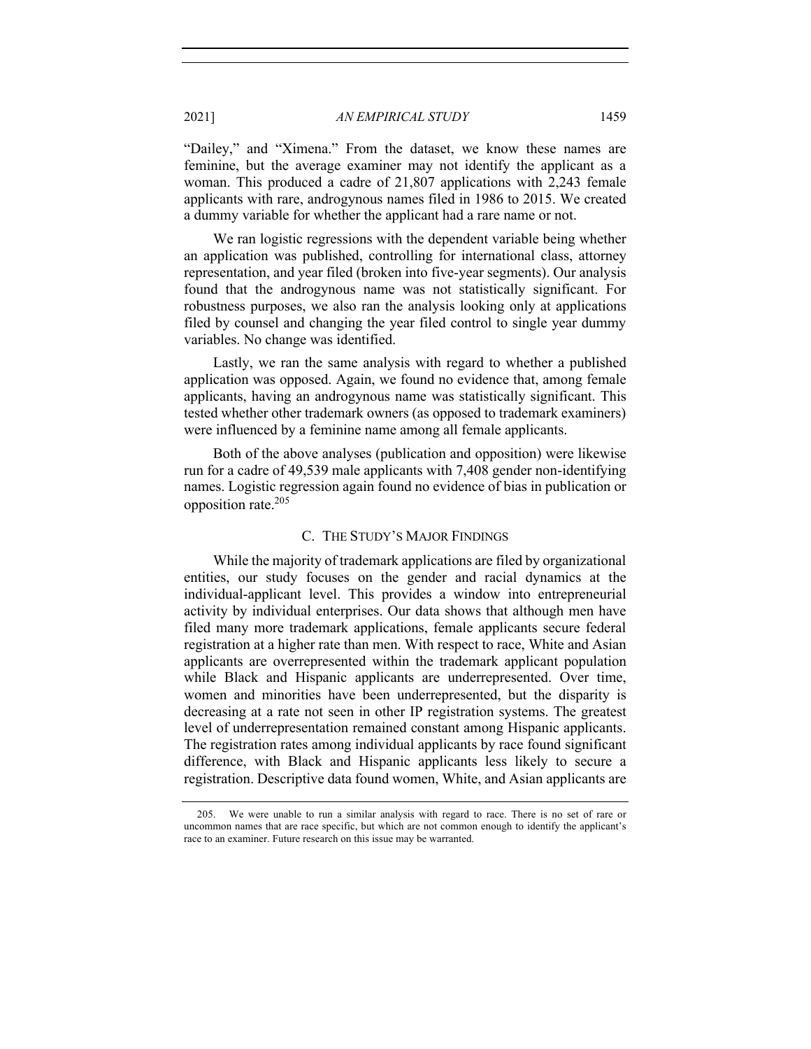"Dailey," and "Ximena." From the dataset, we know these names are feminine, but the average examiner may not identify the applicant as a woman. This produced a cadre of 21,807 applications with 2,243 female applicants with rare, androgynous names filed in 1986 to 2015. We created a dummy variable for whether the applicant had a rare name or not.

We ran logistic regressions with the dependent variable being whether an application was published, controlling for international class, attorney representation, and year filed (broken into five-year segments). Our analysis found that the androgynous name was not statistically significant. For robustness purposes, we also ran the analysis looking only at applications filed by counsel and changing the year filed control to single year dummy variables. No change was identified.

Lastly, we ran the same analysis with regard to whether a published application was opposed. Again, we found no evidence that, among female applicants, having an androgynous name was statistically significant. This tested whether other trademark owners (as opposed to trademark examiners) were influenced by a feminine name among all female applicants.

Both of the above analyses (publication and opposition) were likewise run for a cadre of 49,539 male applicants with 7,408 gender non-identifying names. Logistic regression again found no evidence of bias in publication or opposition rate.205

# C. THE STUDY'S MAJOR FINDINGS

While the majority of trademark applications are filed by organizational entities, our study focuses on the gender and racial dynamics at the individual-applicant level. This provides a window into entrepreneurial activity by individual enterprises. Our data shows that although men have filed many more trademark applications, female applicants secure federal registration at a higher rate than men. With respect to race, White and Asian applicants are overrepresented within the trademark applicant population while Black and Hispanic applicants are underrepresented. Over time, women and minorities have been underrepresented, but the disparity is decreasing at a rate not seen in other IP registration systems. The greatest level of underrepresentation remained constant among Hispanic applicants. The registration rates among individual applicants by race found significant difference, with Black and Hispanic applicants less likely to secure a registration. Descriptive data found women, White, and Asian applicants are

<sup>205.</sup> We were unable to run a similar analysis with regard to race. There is no set of rare or uncommon names that are race specific, but which are not common enough to identify the applicant's race to an examiner. Future research on this issue may be warranted.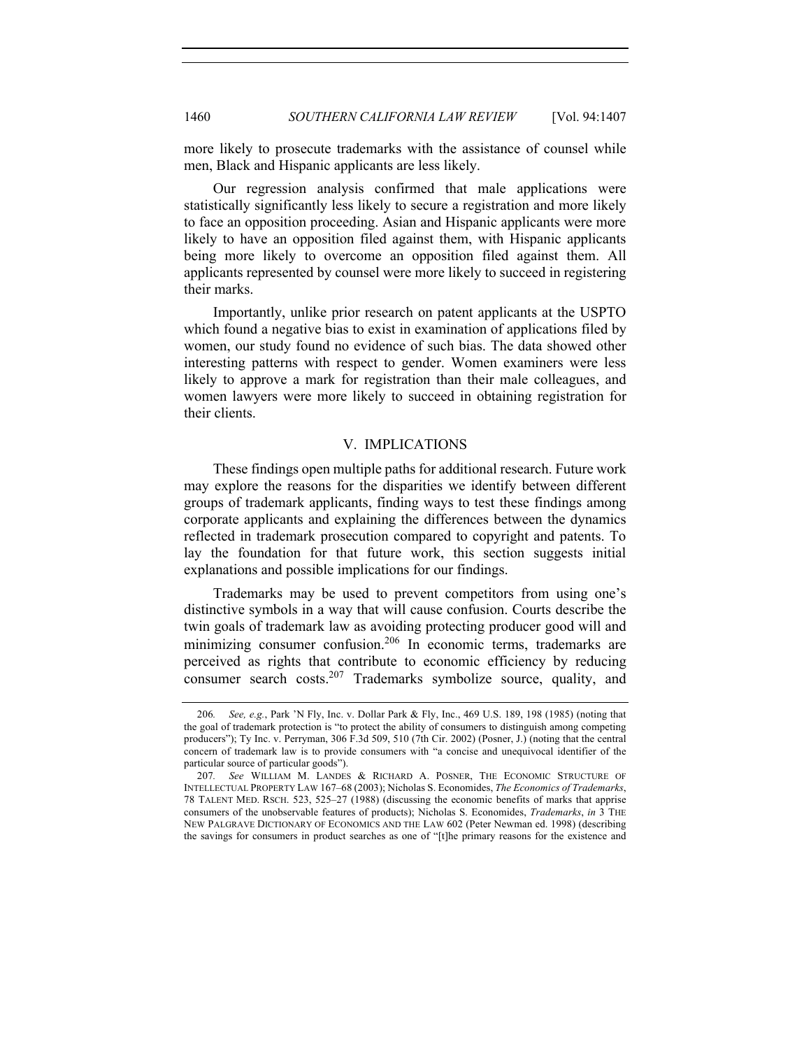more likely to prosecute trademarks with the assistance of counsel while men, Black and Hispanic applicants are less likely.

Our regression analysis confirmed that male applications were statistically significantly less likely to secure a registration and more likely to face an opposition proceeding. Asian and Hispanic applicants were more likely to have an opposition filed against them, with Hispanic applicants being more likely to overcome an opposition filed against them. All applicants represented by counsel were more likely to succeed in registering their marks.

Importantly, unlike prior research on patent applicants at the USPTO which found a negative bias to exist in examination of applications filed by women, our study found no evidence of such bias. The data showed other interesting patterns with respect to gender. Women examiners were less likely to approve a mark for registration than their male colleagues, and women lawyers were more likely to succeed in obtaining registration for their clients.

#### V. IMPLICATIONS

These findings open multiple paths for additional research. Future work may explore the reasons for the disparities we identify between different groups of trademark applicants, finding ways to test these findings among corporate applicants and explaining the differences between the dynamics reflected in trademark prosecution compared to copyright and patents. To lay the foundation for that future work, this section suggests initial explanations and possible implications for our findings.

Trademarks may be used to prevent competitors from using one's distinctive symbols in a way that will cause confusion. Courts describe the twin goals of trademark law as avoiding protecting producer good will and minimizing consumer confusion.<sup>206</sup> In economic terms, trademarks are perceived as rights that contribute to economic efficiency by reducing consumer search costs.<sup>207</sup> Trademarks symbolize source, quality, and

<sup>206</sup>*. See, e.g.*, Park 'N Fly, Inc. v. Dollar Park & Fly, Inc., 469 U.S. 189, 198 (1985) (noting that the goal of trademark protection is "to protect the ability of consumers to distinguish among competing producers"); Ty Inc. v. Perryman, 306 F.3d 509, 510 (7th Cir. 2002) (Posner, J.) (noting that the central concern of trademark law is to provide consumers with "a concise and unequivocal identifier of the particular source of particular goods").

<sup>207</sup>*. See* WILLIAM M. LANDES & RICHARD A. POSNER, THE ECONOMIC STRUCTURE OF INTELLECTUAL PROPERTY LAW 167–68 (2003); Nicholas S. Economides, *The Economics of Trademarks*, 78 TALENT MED. RSCH. 523, 525–27 (1988) (discussing the economic benefits of marks that apprise consumers of the unobservable features of products); Nicholas S. Economides, *Trademarks*, *in* 3 THE NEW PALGRAVE DICTIONARY OF ECONOMICS AND THE LAW 602 (Peter Newman ed. 1998) (describing the savings for consumers in product searches as one of "[t]he primary reasons for the existence and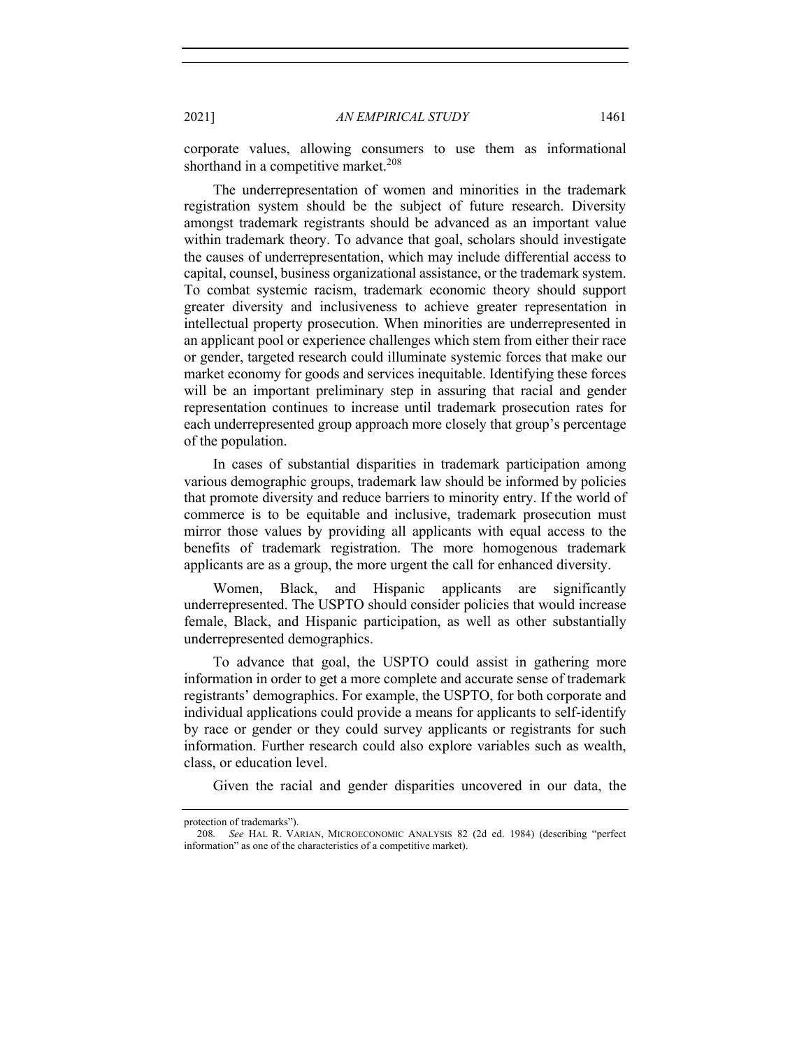corporate values, allowing consumers to use them as informational shorthand in a competitive market.<sup>208</sup>

The underrepresentation of women and minorities in the trademark registration system should be the subject of future research. Diversity amongst trademark registrants should be advanced as an important value within trademark theory. To advance that goal, scholars should investigate the causes of underrepresentation, which may include differential access to capital, counsel, business organizational assistance, or the trademark system. To combat systemic racism, trademark economic theory should support greater diversity and inclusiveness to achieve greater representation in intellectual property prosecution. When minorities are underrepresented in an applicant pool or experience challenges which stem from either their race or gender, targeted research could illuminate systemic forces that make our market economy for goods and services inequitable. Identifying these forces will be an important preliminary step in assuring that racial and gender representation continues to increase until trademark prosecution rates for each underrepresented group approach more closely that group's percentage of the population.

In cases of substantial disparities in trademark participation among various demographic groups, trademark law should be informed by policies that promote diversity and reduce barriers to minority entry. If the world of commerce is to be equitable and inclusive, trademark prosecution must mirror those values by providing all applicants with equal access to the benefits of trademark registration. The more homogenous trademark applicants are as a group, the more urgent the call for enhanced diversity.

Women, Black, and Hispanic applicants are significantly underrepresented. The USPTO should consider policies that would increase female, Black, and Hispanic participation, as well as other substantially underrepresented demographics.

To advance that goal, the USPTO could assist in gathering more information in order to get a more complete and accurate sense of trademark registrants' demographics. For example, the USPTO, for both corporate and individual applications could provide a means for applicants to self-identify by race or gender or they could survey applicants or registrants for such information. Further research could also explore variables such as wealth, class, or education level.

Given the racial and gender disparities uncovered in our data, the

protection of trademarks").

<sup>208</sup>*. See* HAL R. VARIAN, MICROECONOMIC ANALYSIS 82 (2d ed. 1984) (describing "perfect information" as one of the characteristics of a competitive market).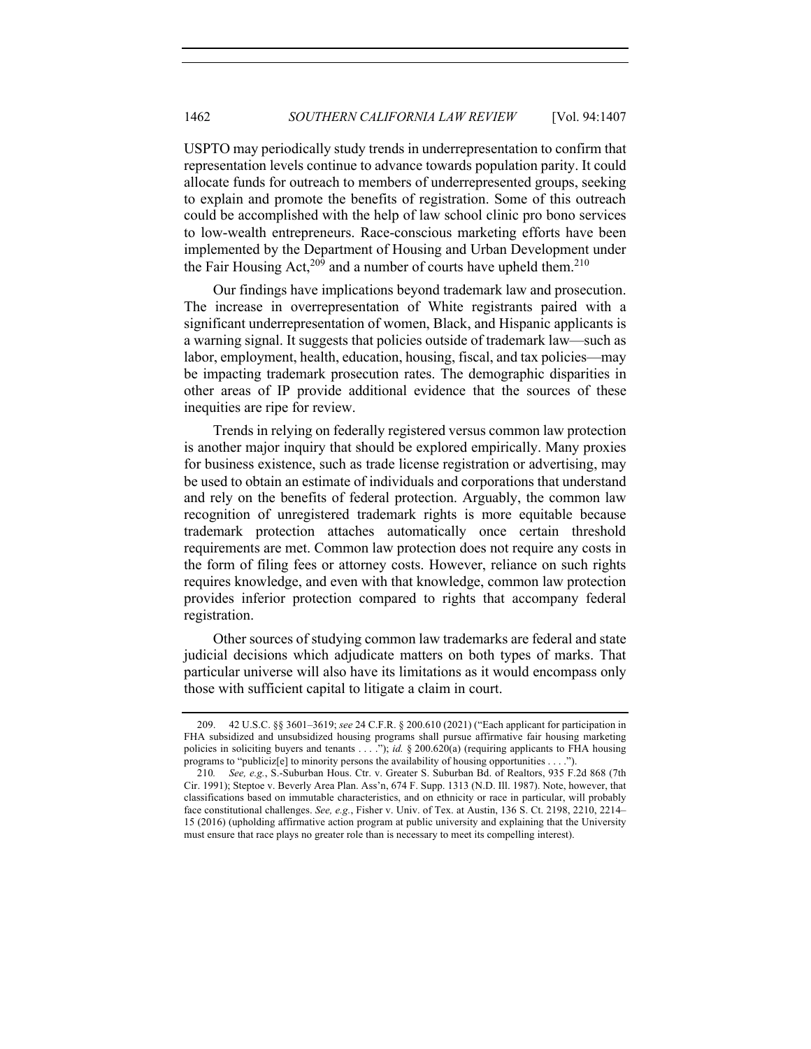USPTO may periodically study trends in underrepresentation to confirm that representation levels continue to advance towards population parity. It could allocate funds for outreach to members of underrepresented groups, seeking to explain and promote the benefits of registration. Some of this outreach could be accomplished with the help of law school clinic pro bono services to low-wealth entrepreneurs. Race-conscious marketing efforts have been implemented by the Department of Housing and Urban Development under the Fair Housing Act,  $209$  and a number of courts have upheld them.<sup>210</sup>

Our findings have implications beyond trademark law and prosecution. The increase in overrepresentation of White registrants paired with a significant underrepresentation of women, Black, and Hispanic applicants is a warning signal. It suggests that policies outside of trademark law—such as labor, employment, health, education, housing, fiscal, and tax policies—may be impacting trademark prosecution rates. The demographic disparities in other areas of IP provide additional evidence that the sources of these inequities are ripe for review.

Trends in relying on federally registered versus common law protection is another major inquiry that should be explored empirically. Many proxies for business existence, such as trade license registration or advertising, may be used to obtain an estimate of individuals and corporations that understand and rely on the benefits of federal protection. Arguably, the common law recognition of unregistered trademark rights is more equitable because trademark protection attaches automatically once certain threshold requirements are met. Common law protection does not require any costs in the form of filing fees or attorney costs. However, reliance on such rights requires knowledge, and even with that knowledge, common law protection provides inferior protection compared to rights that accompany federal registration.

Other sources of studying common law trademarks are federal and state judicial decisions which adjudicate matters on both types of marks. That particular universe will also have its limitations as it would encompass only those with sufficient capital to litigate a claim in court.

<sup>209.</sup> 42 U.S.C. §§ 3601–3619; *see* 24 C.F.R. § 200.610 (2021) ("Each applicant for participation in FHA subsidized and unsubsidized housing programs shall pursue affirmative fair housing marketing policies in soliciting buyers and tenants . . . .<sup>"</sup>"); *id.* § 200.620(a) (requiring applicants to FHA housing programs to "publiciz[e] to minority persons the availability of housing opportunities . . . .").

<sup>210</sup>*. See, e.g.*, S.-Suburban Hous. Ctr. v. Greater S. Suburban Bd. of Realtors, 935 F.2d 868 (7th Cir. 1991); Steptoe v. Beverly Area Plan. Ass'n, 674 F. Supp. 1313 (N.D. Ill. 1987). Note, however, that classifications based on immutable characteristics, and on ethnicity or race in particular, will probably face constitutional challenges. *See, e.g.*, Fisher v. Univ. of Tex. at Austin, 136 S. Ct. 2198, 2210, 2214– 15 (2016) (upholding affirmative action program at public university and explaining that the University must ensure that race plays no greater role than is necessary to meet its compelling interest).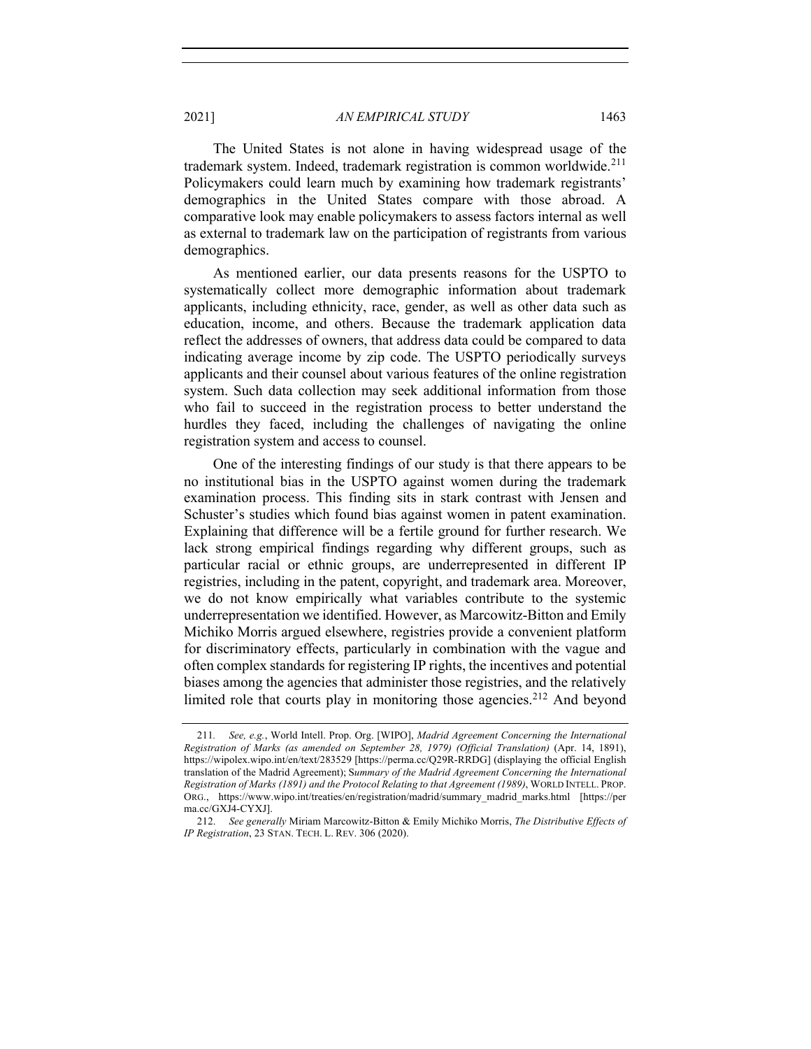The United States is not alone in having widespread usage of the trademark system. Indeed, trademark registration is common worldwide.<sup>211</sup> Policymakers could learn much by examining how trademark registrants' demographics in the United States compare with those abroad. A comparative look may enable policymakers to assess factors internal as well as external to trademark law on the participation of registrants from various demographics.

As mentioned earlier, our data presents reasons for the USPTO to systematically collect more demographic information about trademark applicants, including ethnicity, race, gender, as well as other data such as education, income, and others. Because the trademark application data reflect the addresses of owners, that address data could be compared to data indicating average income by zip code. The USPTO periodically surveys applicants and their counsel about various features of the online registration system. Such data collection may seek additional information from those who fail to succeed in the registration process to better understand the hurdles they faced, including the challenges of navigating the online registration system and access to counsel.

One of the interesting findings of our study is that there appears to be no institutional bias in the USPTO against women during the trademark examination process. This finding sits in stark contrast with Jensen and Schuster's studies which found bias against women in patent examination. Explaining that difference will be a fertile ground for further research. We lack strong empirical findings regarding why different groups, such as particular racial or ethnic groups, are underrepresented in different IP registries, including in the patent, copyright, and trademark area. Moreover, we do not know empirically what variables contribute to the systemic underrepresentation we identified. However, as Marcowitz-Bitton and Emily Michiko Morris argued elsewhere, registries provide a convenient platform for discriminatory effects, particularly in combination with the vague and often complex standards for registering IP rights, the incentives and potential biases among the agencies that administer those registries, and the relatively limited role that courts play in monitoring those agencies.<sup>212</sup> And beyond

<sup>211</sup>*. See, e.g.*, World Intell. Prop. Org. [WIPO], *Madrid Agreement Concerning the International Registration of Marks (as amended on September 28, 1979) (Official Translation)* (Apr. 14, 1891), https://wipolex.wipo.int/en/text/283529 [https://perma.cc/Q29R-RRDG] (displaying the official English translation of the Madrid Agreement); S*ummary of the Madrid Agreement Concerning the International Registration of Marks (1891) and the Protocol Relating to that Agreement (1989)*, WORLD INTELL. PROP. ORG., https://www.wipo.int/treaties/en/registration/madrid/summary\_madrid\_marks.html [https://per ma.cc/GXJ4-CYXJ].

<sup>212.</sup> *See generally* Miriam Marcowitz-Bitton & Emily Michiko Morris, *The Distributive Effects of IP Registration*, 23 STAN. TECH. L. REV. 306 (2020).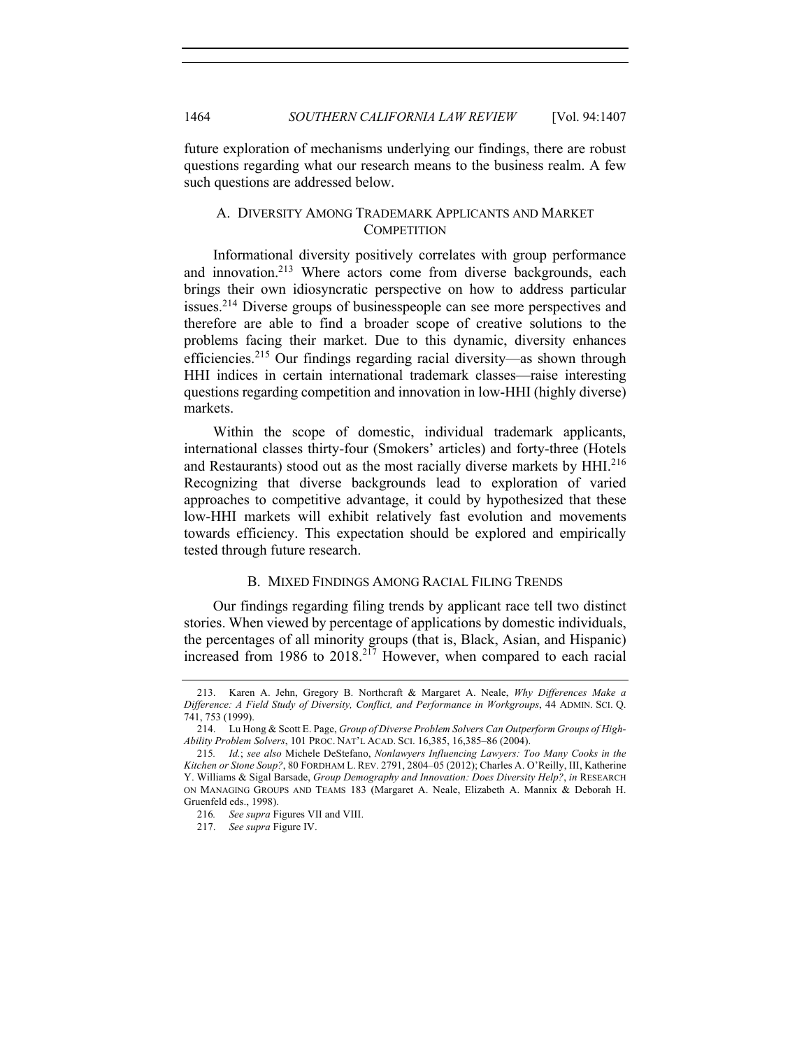future exploration of mechanisms underlying our findings, there are robust questions regarding what our research means to the business realm. A few such questions are addressed below.

# A. DIVERSITY AMONG TRADEMARK APPLICANTS AND MARKET **COMPETITION**

Informational diversity positively correlates with group performance and innovation.<sup>213</sup> Where actors come from diverse backgrounds, each brings their own idiosyncratic perspective on how to address particular issues.<sup>214</sup> Diverse groups of businesspeople can see more perspectives and therefore are able to find a broader scope of creative solutions to the problems facing their market. Due to this dynamic, diversity enhances efficiencies.<sup>215</sup> Our findings regarding racial diversity—as shown through HHI indices in certain international trademark classes—raise interesting questions regarding competition and innovation in low-HHI (highly diverse) markets.

Within the scope of domestic, individual trademark applicants, international classes thirty-four (Smokers' articles) and forty-three (Hotels and Restaurants) stood out as the most racially diverse markets by  $HHI<sup>216</sup>$ Recognizing that diverse backgrounds lead to exploration of varied approaches to competitive advantage, it could by hypothesized that these low-HHI markets will exhibit relatively fast evolution and movements towards efficiency. This expectation should be explored and empirically tested through future research.

## B. MIXED FINDINGS AMONG RACIAL FILING TRENDS

Our findings regarding filing trends by applicant race tell two distinct stories. When viewed by percentage of applications by domestic individuals, the percentages of all minority groups (that is, Black, Asian, and Hispanic) increased from 1986 to 2018.<sup>217</sup> However, when compared to each racial

<sup>213.</sup> Karen A. Jehn, Gregory B. Northcraft & Margaret A. Neale, *Why Differences Make a Difference: A Field Study of Diversity, Conflict, and Performance in Workgroups*, 44 ADMIN. SCI. Q. 741, 753 (1999).

<sup>214.</sup> Lu Hong & Scott E. Page, *Group of Diverse Problem Solvers Can Outperform Groups of High-Ability Problem Solvers*, 101 PROC. NAT'L ACAD. SCI. 16,385, 16,385–86 (2004).

<sup>215</sup>*. Id.*; *see also* Michele DeStefano, *Nonlawyers Influencing Lawyers: Too Many Cooks in the Kitchen or Stone Soup?*, 80 FORDHAM L. REV. 2791, 2804–05 (2012); Charles A. O'Reilly, III, Katherine Y. Williams & Sigal Barsade, *Group Demography and Innovation: Does Diversity Help?*, *in* RESEARCH ON MANAGING GROUPS AND TEAMS 183 (Margaret A. Neale, Elizabeth A. Mannix & Deborah H. Gruenfeld eds., 1998).

<sup>216</sup>*. See supra* Figures VII and VIII.

<sup>217.</sup> *See supra* Figure IV.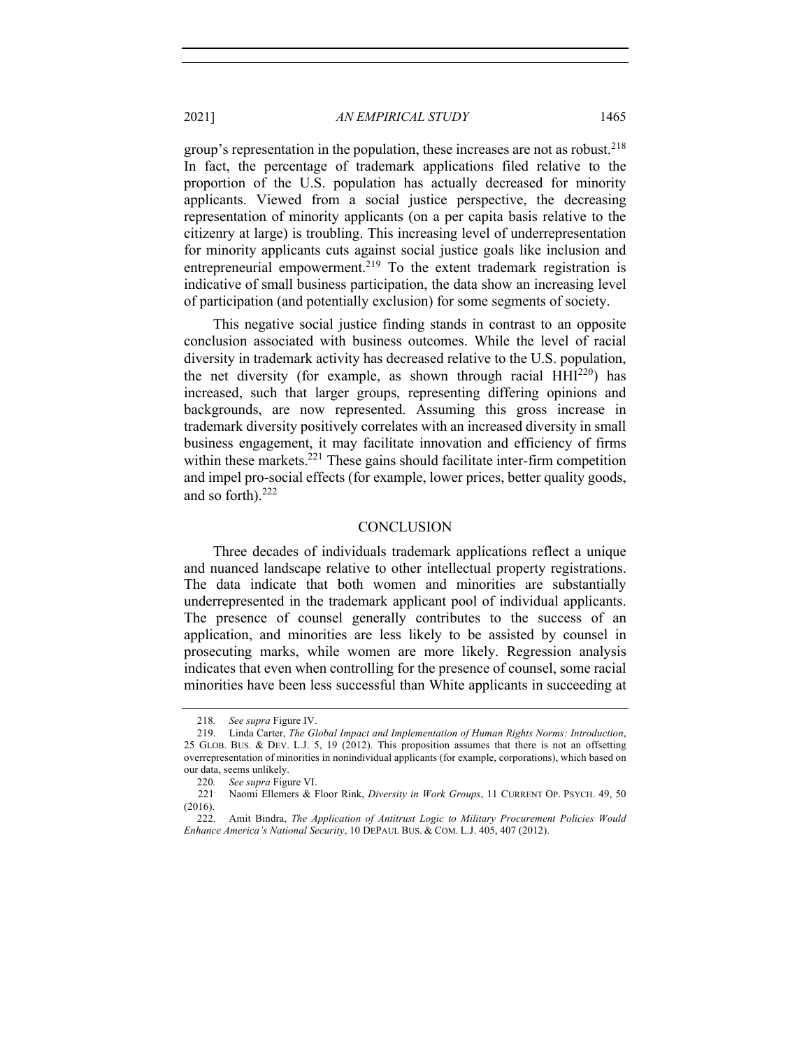group's representation in the population, these increases are not as robust.<sup>218</sup> In fact, the percentage of trademark applications filed relative to the proportion of the U.S. population has actually decreased for minority applicants. Viewed from a social justice perspective, the decreasing representation of minority applicants (on a per capita basis relative to the citizenry at large) is troubling. This increasing level of underrepresentation for minority applicants cuts against social justice goals like inclusion and entrepreneurial empowerment.<sup>219</sup> To the extent trademark registration is indicative of small business participation, the data show an increasing level of participation (and potentially exclusion) for some segments of society.

This negative social justice finding stands in contrast to an opposite conclusion associated with business outcomes. While the level of racial diversity in trademark activity has decreased relative to the U.S. population, the net diversity (for example, as shown through racial  $HHI^{220}$ ) has increased, such that larger groups, representing differing opinions and backgrounds, are now represented. Assuming this gross increase in trademark diversity positively correlates with an increased diversity in small business engagement, it may facilitate innovation and efficiency of firms within these markets.<sup>221</sup> These gains should facilitate inter-firm competition and impel pro-social effects (for example, lower prices, better quality goods, and so forth).<sup>222</sup>

#### **CONCLUSION**

Three decades of individuals trademark applications reflect a unique and nuanced landscape relative to other intellectual property registrations. The data indicate that both women and minorities are substantially underrepresented in the trademark applicant pool of individual applicants. The presence of counsel generally contributes to the success of an application, and minorities are less likely to be assisted by counsel in prosecuting marks, while women are more likely. Regression analysis indicates that even when controlling for the presence of counsel, some racial minorities have been less successful than White applicants in succeeding at

<sup>218</sup>*. See supra* Figure IV.

<sup>219.</sup> Linda Carter, *The Global Impact and Implementation of Human Rights Norms: Introduction*, 25 GLOB. BUS. & DEV. L.J. 5, 19 (2012). This proposition assumes that there is not an offsetting overrepresentation of minorities in nonindividual applicants (for example, corporations), which based on our data, seems unlikely.

<sup>220</sup>*. See supra* Figure VI.

<sup>221</sup>. Naomi Ellemers & Floor Rink, *Diversity in Work Groups*, 11 CURRENT OP. PSYCH. 49, 50 (2016).

<sup>222.</sup> Amit Bindra, *The Application of Antitrust Logic to Military Procurement Policies Would Enhance America's National Security*, 10 DEPAUL BUS. & COM. L.J. 405, 407 (2012).